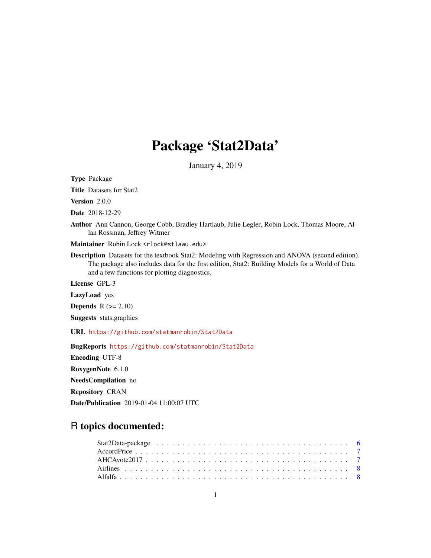# Package 'Stat2Data'

January 4, 2019

Type Package

Title Datasets for Stat2

Version 2.0.0

Date 2018-12-29

Author Ann Cannon, George Cobb, Bradley Hartlaub, Julie Legler, Robin Lock, Thomas Moore, Allan Rossman, Jeffrey Witmer

Maintainer Robin Lock <rlock@stlawu.edu>

Description Datasets for the textbook Stat2: Modeling with Regression and ANOVA (second edition). The package also includes data for the first edition, Stat2: Building Models for a World of Data and a few functions for plotting diagnostics.

License GPL-3

LazyLoad yes

Depends  $R$  ( $>= 2.10$ )

Suggests stats,graphics

URL <https://github.com/statmanrobin/Stat2Data>

BugReports <https://github.com/statmanrobin/Stat2Data>

Encoding UTF-8

RoxygenNote 6.1.0

NeedsCompilation no

Repository CRAN

Date/Publication 2019-01-04 11:00:07 UTC

## R topics documented: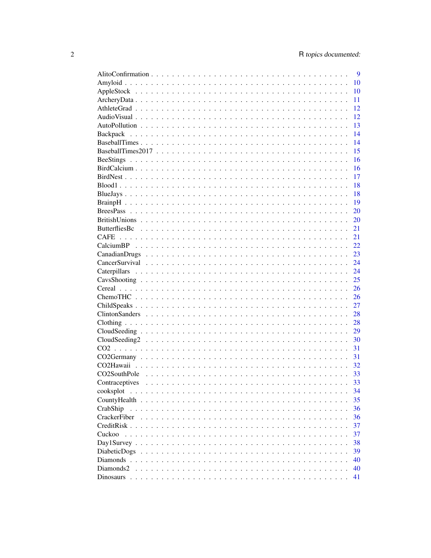|                         | 9             |
|-------------------------|---------------|
|                         | 10            |
|                         | 10            |
|                         | 11            |
|                         | 12            |
|                         | 12            |
|                         | 13            |
|                         | 14            |
|                         | 14            |
|                         | 15            |
|                         | 16            |
|                         | 16            |
|                         | 17            |
|                         | 18            |
|                         | 18            |
|                         | <sup>19</sup> |
|                         | 20            |
|                         | 20            |
|                         | 21            |
|                         | 21            |
|                         |               |
|                         | 22            |
|                         | 23            |
|                         | 24            |
|                         | 24            |
|                         | 25            |
|                         | 26            |
|                         | 26            |
|                         | 27            |
|                         | 28            |
|                         | 28            |
|                         | 29            |
|                         | 30            |
|                         | 31            |
|                         | 31            |
|                         | 32            |
| CO2SouthPole            | 33            |
| Contraceptives          | 33            |
| cooksplot               | 34            |
| CountyHealth<br>.       | 35            |
| CrabShip<br>$\cdots$    | 36            |
| CrackerFiber            | 36            |
| CreditRisk<br>1.1.1.1.1 | 37            |
| Cuckoo                  | 37            |
| Day1Survey $\ldots$     | 38            |
| DiabeticDogs            | 39            |
| Diamonds $\ldots$       | 40            |
| Diamonds2               |               |
|                         | 40            |
|                         | 41            |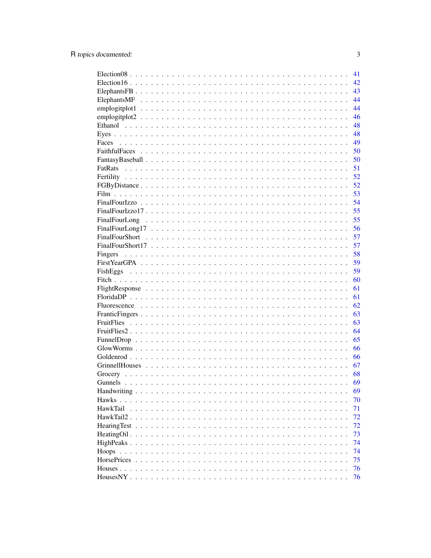|                                                                                                                                                                                                                                                 | 41 |
|-------------------------------------------------------------------------------------------------------------------------------------------------------------------------------------------------------------------------------------------------|----|
|                                                                                                                                                                                                                                                 | 42 |
|                                                                                                                                                                                                                                                 | 43 |
|                                                                                                                                                                                                                                                 | 44 |
|                                                                                                                                                                                                                                                 | 44 |
|                                                                                                                                                                                                                                                 | 46 |
|                                                                                                                                                                                                                                                 | 48 |
|                                                                                                                                                                                                                                                 | 48 |
| Faces                                                                                                                                                                                                                                           | 49 |
|                                                                                                                                                                                                                                                 | 50 |
|                                                                                                                                                                                                                                                 | 50 |
|                                                                                                                                                                                                                                                 | 51 |
|                                                                                                                                                                                                                                                 | 52 |
|                                                                                                                                                                                                                                                 | 52 |
|                                                                                                                                                                                                                                                 | 53 |
|                                                                                                                                                                                                                                                 | 54 |
|                                                                                                                                                                                                                                                 | 55 |
|                                                                                                                                                                                                                                                 | 55 |
|                                                                                                                                                                                                                                                 | 56 |
|                                                                                                                                                                                                                                                 | 57 |
|                                                                                                                                                                                                                                                 | 57 |
|                                                                                                                                                                                                                                                 | 58 |
|                                                                                                                                                                                                                                                 | 59 |
|                                                                                                                                                                                                                                                 | 59 |
|                                                                                                                                                                                                                                                 | 60 |
|                                                                                                                                                                                                                                                 | 61 |
|                                                                                                                                                                                                                                                 | 61 |
|                                                                                                                                                                                                                                                 | 62 |
|                                                                                                                                                                                                                                                 | 63 |
|                                                                                                                                                                                                                                                 | 63 |
|                                                                                                                                                                                                                                                 | 64 |
|                                                                                                                                                                                                                                                 | 65 |
|                                                                                                                                                                                                                                                 | 66 |
|                                                                                                                                                                                                                                                 | 66 |
|                                                                                                                                                                                                                                                 | 67 |
|                                                                                                                                                                                                                                                 | 68 |
|                                                                                                                                                                                                                                                 | 69 |
|                                                                                                                                                                                                                                                 | 69 |
| Hawks<br>.<br>$\mathbf{r}$ . The set of the set of the set of the set of the set of the set of the set of the set of the set of the set of the set of the set of the set of the set of the set of the set of the set of the set of the set of t | 70 |
| HawkTail                                                                                                                                                                                                                                        | 71 |
| HawkTail2.                                                                                                                                                                                                                                      | 72 |
| <b>HearingTest</b>                                                                                                                                                                                                                              | 72 |
| HeatingOil.<br>$\ddots$                                                                                                                                                                                                                         | 73 |
|                                                                                                                                                                                                                                                 | 74 |
|                                                                                                                                                                                                                                                 | 74 |
| <b>HorsePrices</b>                                                                                                                                                                                                                              | 75 |
|                                                                                                                                                                                                                                                 | 76 |
|                                                                                                                                                                                                                                                 | 76 |
|                                                                                                                                                                                                                                                 |    |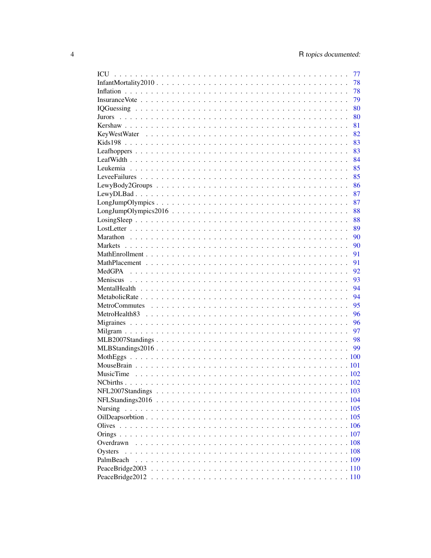|           | 77 |
|-----------|----|
|           | 78 |
|           | 78 |
|           | 79 |
|           | 80 |
|           | 80 |
|           | 81 |
|           | 82 |
|           | 83 |
|           | 83 |
|           | 84 |
|           | 85 |
|           | 85 |
|           | 86 |
|           | 87 |
|           | 87 |
|           | 88 |
|           | 88 |
|           | 89 |
|           | 90 |
|           | 90 |
|           | 91 |
|           | 91 |
|           | 92 |
|           | 93 |
|           | 94 |
|           | 94 |
|           | 95 |
|           | 96 |
|           | 96 |
|           | 97 |
|           | 98 |
|           | 99 |
|           |    |
|           |    |
|           |    |
|           |    |
|           |    |
|           |    |
| Nursing   |    |
|           |    |
|           |    |
|           |    |
| Overdrawn |    |
| Oysters   |    |
| PalmBeach |    |
|           |    |
|           |    |
|           |    |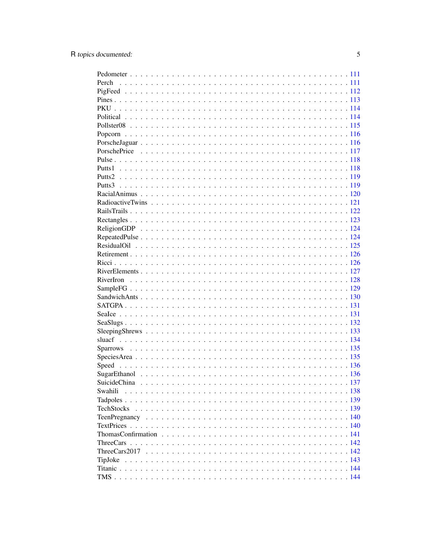| Perch             |  |
|-------------------|--|
|                   |  |
|                   |  |
|                   |  |
|                   |  |
|                   |  |
|                   |  |
|                   |  |
|                   |  |
|                   |  |
|                   |  |
|                   |  |
|                   |  |
|                   |  |
|                   |  |
|                   |  |
|                   |  |
|                   |  |
|                   |  |
|                   |  |
|                   |  |
|                   |  |
|                   |  |
|                   |  |
|                   |  |
|                   |  |
|                   |  |
|                   |  |
|                   |  |
|                   |  |
|                   |  |
|                   |  |
|                   |  |
|                   |  |
|                   |  |
|                   |  |
|                   |  |
| Swahili           |  |
|                   |  |
| <b>TechStocks</b> |  |
|                   |  |
|                   |  |
|                   |  |
|                   |  |
|                   |  |
| TipJoke           |  |
|                   |  |
|                   |  |
|                   |  |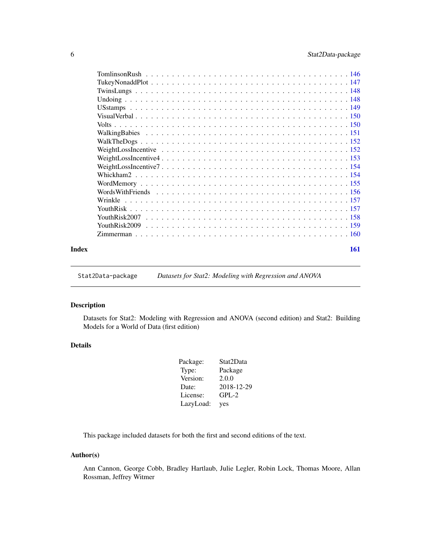<span id="page-5-0"></span>

| Index | 161 |
|-------|-----|

Stat2Data-package *Datasets for Stat2: Modeling with Regression and ANOVA*

### Description

Datasets for Stat2: Modeling with Regression and ANOVA (second edition) and Stat2: Building Models for a World of Data (first edition)

### Details

| Package:  | Stat2Data  |
|-----------|------------|
| Type:     | Package    |
| Version:  | 2.0.0      |
| Date:     | 2018-12-29 |
| License:  | $GPL-2$    |
| LazyLoad: | yes        |

This package included datasets for both the first and second editions of the text.

#### Author(s)

Ann Cannon, George Cobb, Bradley Hartlaub, Julie Legler, Robin Lock, Thomas Moore, Allan Rossman, Jeffrey Witmer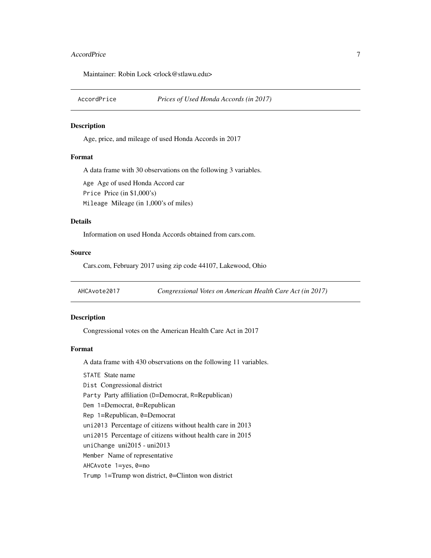#### <span id="page-6-0"></span>AccordPrice 2012 2013 2014 2022 2023 2023 2024 2022 2023 2024 2022 2023 2024 2022 2023 2024 2022 2023 2024 202

Maintainer: Robin Lock <rlock@stlawu.edu>

#### Description

Age, price, and mileage of used Honda Accords in 2017

#### Format

A data frame with 30 observations on the following 3 variables.

Age Age of used Honda Accord car Price Price (in \$1,000's) Mileage Mileage (in 1,000's of miles)

#### Details

Information on used Honda Accords obtained from cars.com.

#### Source

Cars.com, February 2017 using zip code 44107, Lakewood, Ohio

AHCAvote2017 *Congressional Votes on American Health Care Act (in 2017)*

### Description

Congressional votes on the American Health Care Act in 2017

### Format

A data frame with 430 observations on the following 11 variables.

STATE State name

Dist Congressional district

Party Party affiliation (D=Democrat, R=Republican)

Dem 1=Democrat, 0=Republican

Rep 1=Republican, 0=Democrat

uni2013 Percentage of citizens without health care in 2013

uni2015 Percentage of citizens without health care in 2015

uniChange uni2015 - uni2013

Member Name of representative

AHCAvote 1=yes, 0=no

Trump  $1=Trump$  won district,  $0=Clinton$  won district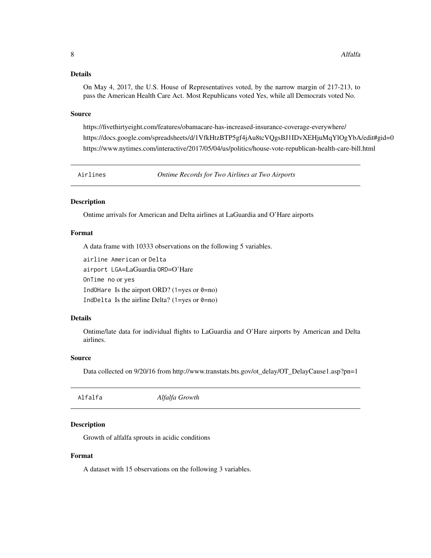<span id="page-7-0"></span>On May 4, 2017, the U.S. House of Representatives voted, by the narrow margin of 217-213, to pass the American Health Care Act. Most Republicans voted Yes, while all Democrats voted No.

#### Source

https://fivethirtyeight.com/features/obamacare-has-increased-insurance-coverage-everywhere/ https://docs.google.com/spreadsheets/d/1VfkHtzBTP5gf4jAu8tcVQgsBJ1IDvXEHjuMqYlOgYbA/edit#gid=0 https://www.nytimes.com/interactive/2017/05/04/us/politics/house-vote-republican-health-care-bill.html

Airlines *Ontime Records for Two Airlines at Two Airports*

### **Description**

Ontime arrivals for American and Delta airlines at LaGuardia and O'Hare airports

### Format

A data frame with 10333 observations on the following 5 variables.

```
airline American or Delta
airport LGA=LaGuardia ORD=O'Hare
OnTime no or yes
IndOHare Is the airport ORD? (1=yes or 0=no)
IndDelta Is the airline Delta? (1=yes or 0=no)
```
### Details

Ontime/late data for individual flights to LaGuardia and O'Hare airports by American and Delta airlines.

### Source

Data collected on 9/20/16 from http://www.transtats.bts.gov/ot\_delay/OT\_DelayCause1.asp?pn=1

| Alfalfa | Alfalfa Growth |  |  |
|---------|----------------|--|--|
|---------|----------------|--|--|

### Description

Growth of alfalfa sprouts in acidic conditions

#### Format

A dataset with 15 observations on the following 3 variables.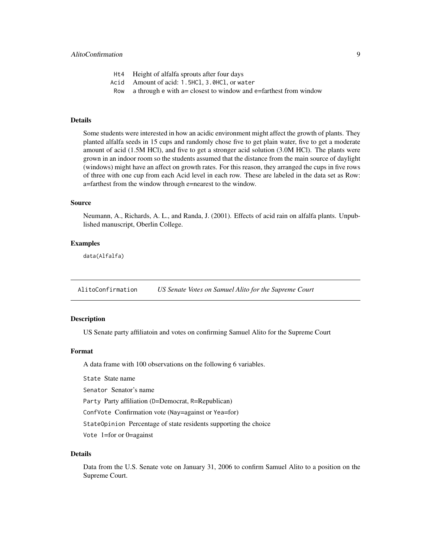- <span id="page-8-0"></span>Ht4 Height of alfalfa sprouts after four days
- Acid Amount of acid: 1.5HCl, 3.0HCl, or water
- Row a through  $e$  with  $a =$  closest to window and  $e =$  farthest from window

Some students were interested in how an acidic environment might affect the growth of plants. They planted alfalfa seeds in 15 cups and randomly chose five to get plain water, five to get a moderate amount of acid (1.5M HCl), and five to get a stronger acid solution (3.0M HCl). The plants were grown in an indoor room so the students assumed that the distance from the main source of daylight (windows) might have an affect on growth rates. For this reason, they arranged the cups in five rows of three with one cup from each Acid level in each row. These are labeled in the data set as Row: a=farthest from the window through e=nearest to the window.

### Source

Neumann, A., Richards, A. L., and Randa, J. (2001). Effects of acid rain on alfalfa plants. Unpublished manuscript, Oberlin College.

#### Examples

data(Alfalfa)

AlitoConfirmation *US Senate Votes on Samuel Alito for the Supreme Court*

### Description

US Senate party affiliatoin and votes on confirming Samuel Alito for the Supreme Court

#### Format

A data frame with 100 observations on the following 6 variables.

State State name

Senator Senator's name

Party Party affiliation (D=Democrat, R=Republican)

ConfVote Confirmation vote (Nay=against or Yea=for)

StateOpinion Percentage of state residents supporting the choice

Vote 1=for or 0=against

#### Details

Data from the U.S. Senate vote on January 31, 2006 to confirm Samuel Alito to a position on the Supreme Court.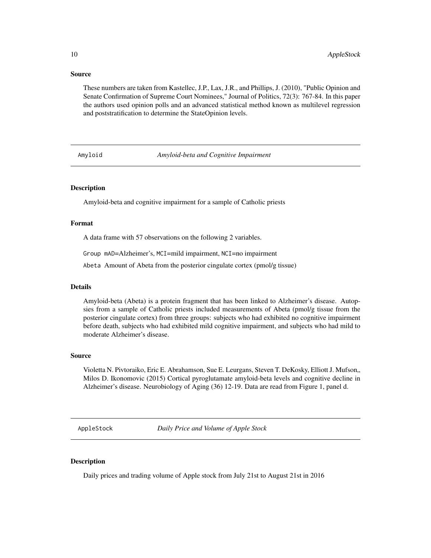#### Source

These numbers are taken from Kastellec, J.P., Lax, J.R., and Phillips, J. (2010), "Public Opinion and Senate Confirmation of Supreme Court Nominees," Journal of Politics, 72(3): 767-84. In this paper the authors used opinion polls and an advanced statistical method known as multilevel regression and poststratification to determine the StateOpinion levels.

Amyloid *Amyloid-beta and Cognitive Impairment*

### **Description**

Amyloid-beta and cognitive impairment for a sample of Catholic priests

#### Format

A data frame with 57 observations on the following 2 variables.

Group mAD=Alzheimer's, MCI=mild impairment, NCI=no impairment

Abeta Amount of Abeta from the posterior cingulate cortex (pmol/g tissue)

### Details

Amyloid-beta (Abeta) is a protein fragment that has been linked to Alzheimer's disease. Autopsies from a sample of Catholic priests included measurements of Abeta (pmol/g tissue from the posterior cingulate cortex) from three groups: subjects who had exhibited no cognitive impairment before death, subjects who had exhibited mild cognitive impairment, and subjects who had mild to moderate Alzheimer's disease.

### Source

Violetta N. Pivtoraiko, Eric E. Abrahamson, Sue E. Leurgans, Steven T. DeKosky, Elliott J. Mufson" Milos D. Ikonomovic (2015) Cortical pyroglutamate amyloid-beta levels and cognitive decline in Alzheimer's disease. Neurobiology of Aging (36) 12-19. Data are read from Figure 1, panel d.

AppleStock *Daily Price and Volume of Apple Stock*

### Description

Daily prices and trading volume of Apple stock from July 21st to August 21st in 2016

<span id="page-9-0"></span>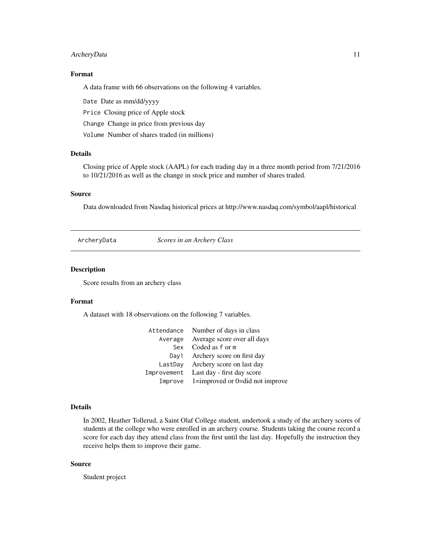### <span id="page-10-0"></span>ArcheryData 11

### Format

A data frame with 66 observations on the following 4 variables.

Date Date as mm/dd/yyyy

Price Closing price of Apple stock

Change Change in price from previous day

Volume Number of shares traded (in millions)

### Details

Closing price of Apple stock (AAPL) for each trading day in a three month period from 7/21/2016 to 10/21/2016 as well as the change in stock price and number of shares traded.

### Source

Data downloaded from Nasdaq historical prices at http://www.nasdaq.com/symbol/aapl/historical

ArcheryData *Scores in an Archery Class*

#### Description

Score results from an archery class

### Format

A dataset with 18 observations on the following 7 variables.

|             | Attendance Number of days in class          |
|-------------|---------------------------------------------|
| Average     | Average score over all days                 |
| Sex         | Coded as f or m                             |
| Day1        | Archery score on first day                  |
| LastDay     | Archery score on last day                   |
| Improvement | Last day - first day score                  |
|             | Improve $1 =$ improved or 0=did not improve |

### Details

In 2002, Heather Tollerud, a Saint Olaf College student, undertook a study of the archery scores of students at the college who were enrolled in an archery course. Students taking the course record a score for each day they attend class from the first until the last day. Hopefully the instruction they receive helps them to improve their game.

#### Source

Student project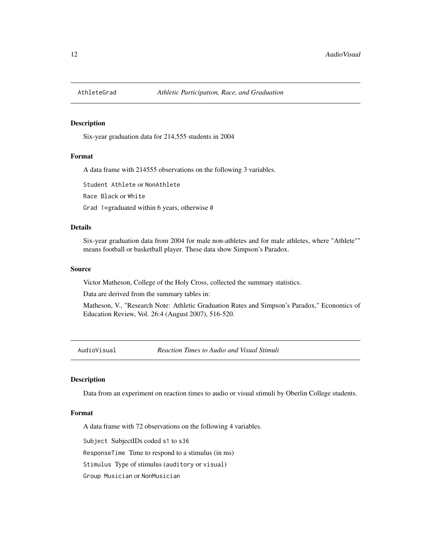<span id="page-11-0"></span>

Six-year graduation data for 214,555 students in 2004

#### Format

A data frame with 214555 observations on the following 3 variables.

Student Athlete or NonAthlete

Race Black or White

Grad 1=graduated within 6 years, otherwise  $\theta$ 

### Details

Six-year graduation data from 2004 for male non-athletes and for male athletes, where "Athlete"" means football or basketball player. These data show Simpson's Paradox.

#### Source

Victor Matheson, College of the Holy Cross, collected the summary statistics.

Data are derived from the summary tables in:

Matheson, V., "Research Note: Athletic Graduation Rates and Simpson's Paradox," Economics of Education Review, Vol. 26:4 (August 2007), 516-520.

AudioVisual *Reaction Times to Audio and Visual Stimuli*

### Description

Data from an experiment on reaction times to audio or visual stimuli by Oberlin College students.

#### Format

A data frame with 72 observations on the following 4 variables.

Subject SubjectIDs coded s1 to s36

ResponseTime Time to respond to a stimulus (in ms)

Stimulus Type of stimulus (auditory or visual)

Group Musician or NonMusician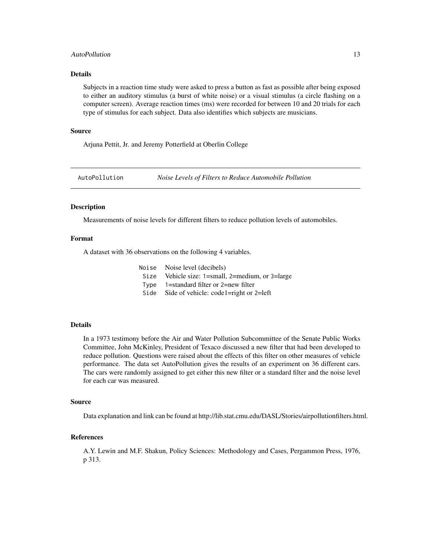### <span id="page-12-0"></span>AutoPollution 13

### Details

Subjects in a reaction time study were asked to press a button as fast as possible after being exposed to either an auditory stimulus (a burst of white noise) or a visual stimulus (a circle flashing on a computer screen). Average reaction times (ms) were recorded for between 10 and 20 trials for each type of stimulus for each subject. Data also identifies which subjects are musicians.

#### Source

Arjuna Pettit, Jr. and Jeremy Potterfield at Oberlin College

AutoPollution *Noise Levels of Filters to Reduce Automobile Pollution*

#### **Description**

Measurements of noise levels for different filters to reduce pollution levels of automobiles.

#### Format

A dataset with 36 observations on the following 4 variables.

| Noise Noise level (decibels)                     |
|--------------------------------------------------|
| Size Vehicle size: 1=small, 2=medium, or 3=large |
| Type $1$ =standard filter or 2=new filter        |
| Side Side of vehicle: code1=right or 2=left      |

### Details

In a 1973 testimony before the Air and Water Pollution Subcommittee of the Senate Public Works Committee, John McKinley, President of Texaco discussed a new filter that had been developed to reduce pollution. Questions were raised about the effects of this filter on other measures of vehicle performance. The data set AutoPollution gives the results of an experiment on 36 different cars. The cars were randomly assigned to get either this new filter or a standard filter and the noise level for each car was measured.

#### Source

Data explanation and link can be found at http://lib.stat.cmu.edu/DASL/Stories/airpollutionfilters.html.

### References

A.Y. Lewin and M.F. Shakun, Policy Sciences: Methodology and Cases, Pergammon Press, 1976, p 313.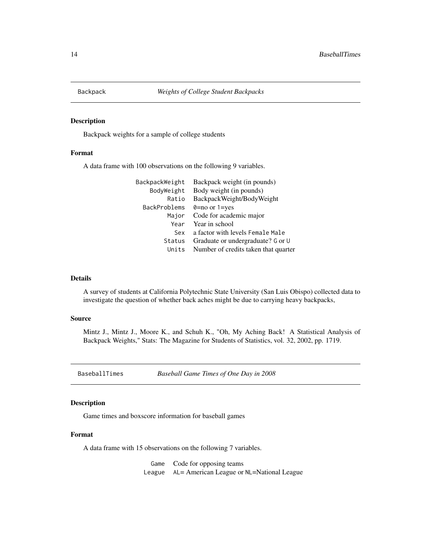<span id="page-13-0"></span>

Backpack weights for a sample of college students

### Format

A data frame with 100 observations on the following 9 variables.

| BackpackWeight | Backpack weight (in pounds)          |
|----------------|--------------------------------------|
| BodyWeight     | Body weight (in pounds)              |
| Ratio          | BackpackWeight/BodyWeight            |
| BackProblems   | $\theta$ =no or 1=yes                |
| Major          | Code for academic major              |
| Year           | Year in school                       |
| Sex            | a factor with levels Female Male     |
| Status         | Graduate or undergraduate? G or U    |
| Units          | Number of credits taken that quarter |

### Details

A survey of students at California Polytechnic State University (San Luis Obispo) collected data to investigate the question of whether back aches might be due to carrying heavy backpacks,

### Source

Mintz J., Mintz J., Moore K., and Schuh K., "Oh, My Aching Back! A Statistical Analysis of Backpack Weights," Stats: The Magazine for Students of Statistics, vol. 32, 2002, pp. 1719.

BaseballTimes *Baseball Game Times of One Day in 2008*

### Description

Game times and boxscore information for baseball games

### Format

A data frame with 15 observations on the following 7 variables.

Game Code for opposing teams League AL= American League or NL=National League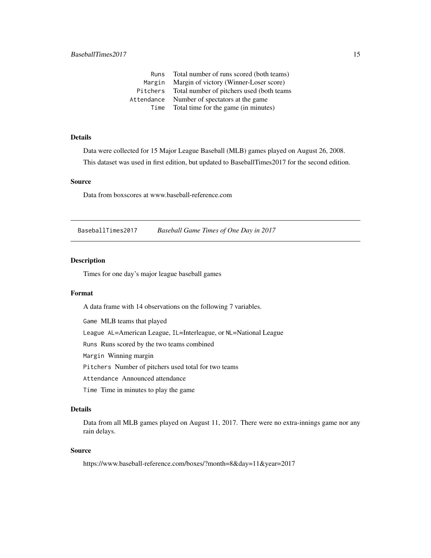<span id="page-14-0"></span>

| Runs       | Total number of runs scored (both teams)   |
|------------|--------------------------------------------|
| Margin     | Margin of victory (Winner-Loser score)     |
| Pitchers   | Total number of pitchers used (both teams) |
| Attendance | Number of spectators at the game.          |
| Time       | Total time for the game (in minutes)       |

Data were collected for 15 Major League Baseball (MLB) games played on August 26, 2008. This dataset was used in first edition, but updated to BaseballTimes2017 for the second edition.

### Source

Data from boxscores at www.baseball-reference.com

BaseballTimes2017 *Baseball Game Times of One Day in 2017*

### Description

Times for one day's major league baseball games

#### Format

A data frame with 14 observations on the following 7 variables.

Game MLB teams that played

League AL=American League, IL=Interleague, or NL=National League

Runs Runs scored by the two teams combined

Margin Winning margin

Pitchers Number of pitchers used total for two teams

Attendance Announced attendance

Time Time in minutes to play the game

#### Details

Data from all MLB games played on August 11, 2017. There were no extra-innings game nor any rain delays.

### Source

https://www.baseball-reference.com/boxes/?month=8&day=11&year=2017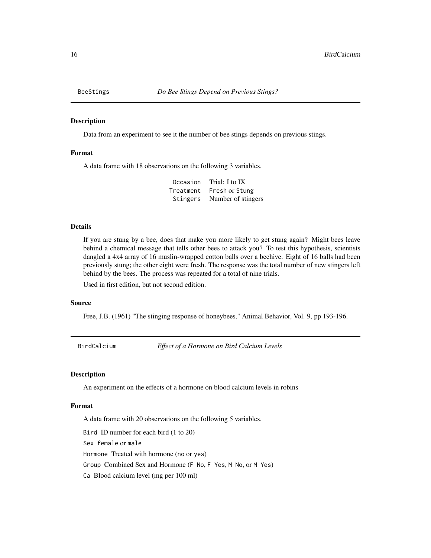<span id="page-15-0"></span>

Data from an experiment to see it the number of bee stings depends on previous stings.

### Format

A data frame with 18 observations on the following 3 variables.

Occasion Trial: I to IX Treatment Fresh or Stung Stingers Number of stingers

#### Details

If you are stung by a bee, does that make you more likely to get stung again? Might bees leave behind a chemical message that tells other bees to attack you? To test this hypothesis, scientists dangled a 4x4 array of 16 muslin-wrapped cotton balls over a beehive. Eight of 16 balls had been previously stung; the other eight were fresh. The response was the total number of new stingers left behind by the bees. The process was repeated for a total of nine trials.

Used in first edition, but not second edition.

#### Source

Free, J.B. (1961) "The stinging response of honeybees," Animal Behavior, Vol. 9, pp 193-196.

BirdCalcium *Effect of a Hormone on Bird Calcium Levels*

#### Description

An experiment on the effects of a hormone on blood calcium levels in robins

### Format

A data frame with 20 observations on the following 5 variables.

Bird ID number for each bird (1 to 20)

Sex female or male

Hormone Treated with hormone (no or yes)

Group Combined Sex and Hormone (F No, F Yes, M No, or M Yes)

Ca Blood calcium level (mg per 100 ml)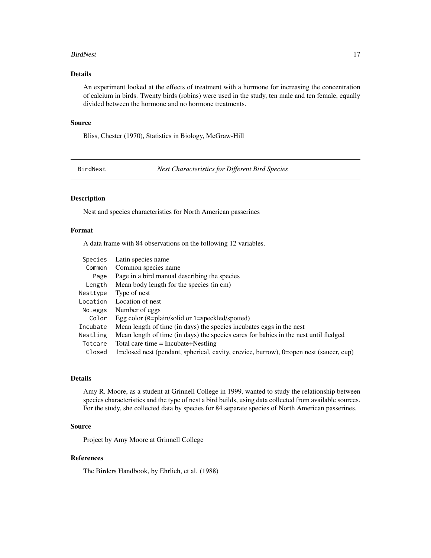#### <span id="page-16-0"></span>BirdNest 17

### Details

An experiment looked at the effects of treatment with a hormone for increasing the concentration of calcium in birds. Twenty birds (robins) were used in the study, ten male and ten female, equally divided between the hormone and no hormone treatments.

#### Source

Bliss, Chester (1970), Statistics in Biology, McGraw-Hill

BirdNest *Nest Characteristics for Different Bird Species*

### Description

Nest and species characteristics for North American passerines

#### Format

A data frame with 84 observations on the following 12 variables.

| Species  | Latin species name                                                                              |
|----------|-------------------------------------------------------------------------------------------------|
| Common   | Common species name                                                                             |
| Page     | Page in a bird manual describing the species                                                    |
| Length   | Mean body length for the species (in cm)                                                        |
| Nesttype | Type of nest                                                                                    |
| Location | Location of nest                                                                                |
| No.eggs  | Number of eggs                                                                                  |
| Color    | Egg color $(\theta = \text{plain}/\text{solid} \text{ or } 1 = \text{speckled}/\text{spotted})$ |
| Incubate | Mean length of time (in days) the species incubates eggs in the nest                            |
| Nestling | Mean length of time (in days) the species cares for babies in the nest until fledged            |
| Totcare  | Total care time $=$ Incubate+Nestling                                                           |
| Closed   | 1=closed nest (pendant, spherical, cavity, crevice, burrow), 0=open nest (saucer, cup)          |

### Details

Amy R. Moore, as a student at Grinnell College in 1999, wanted to study the relationship between species characteristics and the type of nest a bird builds, using data collected from available sources. For the study, she collected data by species for 84 separate species of North American passerines.

#### Source

Project by Amy Moore at Grinnell College

### References

The Birders Handbook, by Ehrlich, et al. (1988)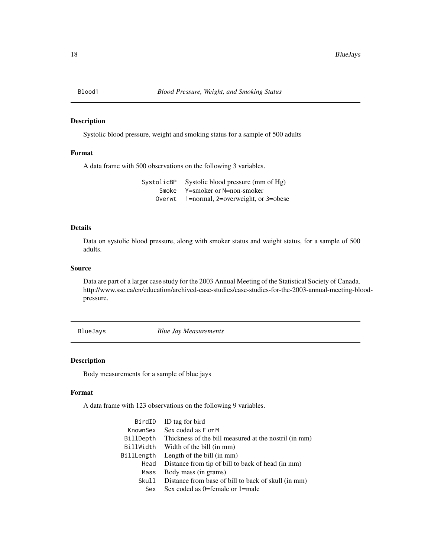<span id="page-17-0"></span>

Systolic blood pressure, weight and smoking status for a sample of 500 adults

### Format

A data frame with 500 observations on the following 3 variables.

| SystolicBP | Systolic blood pressure (mm of Hg) |
|------------|------------------------------------|
| Smoke      | Y=smoker or N=non-smoker           |
| Overwt     | 1=normal, 2=overweight, or 3=obese |

### Details

Data on systolic blood pressure, along with smoker status and weight status, for a sample of 500 adults.

### Source

Data are part of a larger case study for the 2003 Annual Meeting of the Statistical Society of Canada. http://www.ssc.ca/en/education/archived-case-studies/case-studies-for-the-2003-annual-meeting-bloodpressure.

BlueJays *Blue Jay Measurements*

### Description

Body measurements for a sample of blue jays

### Format

A data frame with 123 observations on the following 9 variables.

| ID tag for bird                                       |
|-------------------------------------------------------|
| Sex coded as F or M                                   |
| Thickness of the bill measured at the nostril (in mm) |
| Width of the bill (in mm)                             |
| Length of the bill (in mm)                            |
| Distance from tip of bill to back of head (in mm)     |
| Body mass (in grams)                                  |
| Distance from base of bill to back of skull (in mm)   |
| Sex coded as $0$ =female or $1$ =male                 |
|                                                       |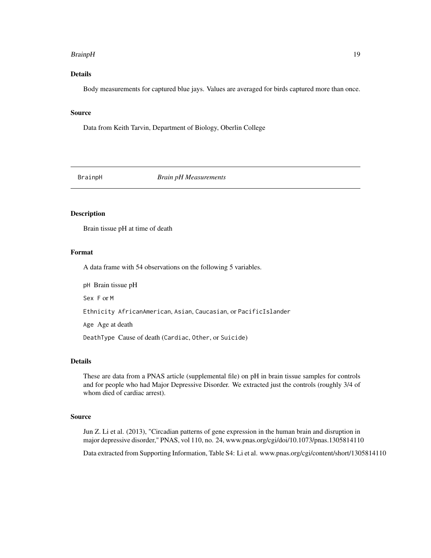#### <span id="page-18-0"></span>BrainpH 19

### Details

Body measurements for captured blue jays. Values are averaged for birds captured more than once.

#### Source

Data from Keith Tarvin, Department of Biology, Oberlin College

BrainpH *Brain pH Measurements*

### Description

Brain tissue pH at time of death

#### Format

A data frame with 54 observations on the following 5 variables.

pH Brain tissue pH

Sex F or M

Ethnicity AfricanAmerican, Asian, Caucasian, or PacificIslander

Age Age at death

DeathType Cause of death (Cardiac, Other, or Suicide)

### Details

These are data from a PNAS article (supplemental file) on pH in brain tissue samples for controls and for people who had Major Depressive Disorder. We extracted just the controls (roughly 3/4 of whom died of cardiac arrest).

### Source

Jun Z. Li et al. (2013), "Circadian patterns of gene expression in the human brain and disruption in major depressive disorder," PNAS, vol 110, no. 24, www.pnas.org/cgi/doi/10.1073/pnas.1305814110

Data extracted from Supporting Information, Table S4: Li et al. www.pnas.org/cgi/content/short/1305814110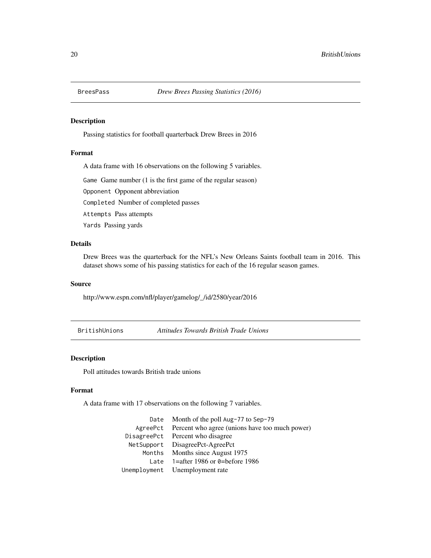<span id="page-19-0"></span>

Passing statistics for football quarterback Drew Brees in 2016

### Format

A data frame with 16 observations on the following 5 variables.

Game Game number (1 is the first game of the regular season)

Opponent Opponent abbreviation

Completed Number of completed passes

Attempts Pass attempts

Yards Passing yards

### Details

Drew Brees was the quarterback for the NFL's New Orleans Saints football team in 2016. This dataset shows some of his passing statistics for each of the 16 regular season games.

#### Source

http://www.espn.com/nfl/player/gamelog/\_/id/2580/year/2016

BritishUnions *Attitudes Towards British Trade Unions*

### Description

Poll attitudes towards British trade unions

#### Format

A data frame with 17 observations on the following 7 variables.

Date Month of the poll Aug-77 to Sep-79 AgreePct Percent who agree (unions have too much power) DisagreePct Percent who disagree NetSupport DisagreePct-AgreePct Months Months since August 1975 Late 1=after 1986 or 0=before 1986 Unemployment Unemployment rate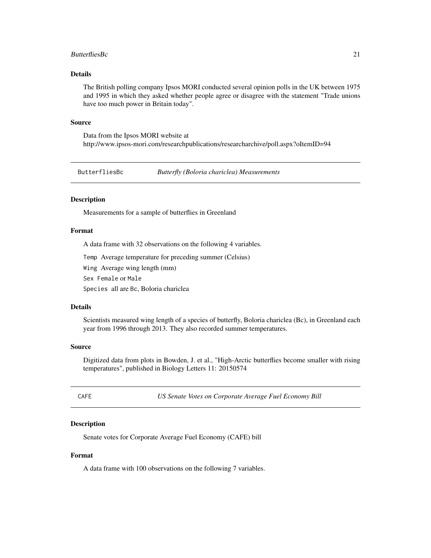#### <span id="page-20-0"></span>ButterfliesBc 21

### Details

The British polling company Ipsos MORI conducted several opinion polls in the UK between 1975 and 1995 in which they asked whether people agree or disagree with the statement "Trade unions have too much power in Britain today".

#### Source

Data from the Ipsos MORI website at http://www.ipsos-mori.com/researchpublications/researcharchive/poll.aspx?oItemID=94

ButterfliesBc *Butterfly (Boloria chariclea) Measurements*

### Description

Measurements for a sample of butterflies in Greenland

#### Format

A data frame with 32 observations on the following 4 variables.

Temp Average temperature for preceding summer (Celsius)

Wing Average wing length (mm)

Sex Female or Male

Species all are Bc, Boloria chariclea

#### Details

Scientists measured wing length of a species of butterfly, Boloria chariclea (Bc), in Greenland each year from 1996 through 2013. They also recorded summer temperatures.

### Source

Digitized data from plots in Bowden, J. et al., "High-Arctic butterflies become smaller with rising temperatures", published in Biology Letters 11: 20150574

E *US Senate Votes on Corporate Average Fuel Economy Bill* 

#### Description

Senate votes for Corporate Average Fuel Economy (CAFE) bill

#### Format

A data frame with 100 observations on the following 7 variables.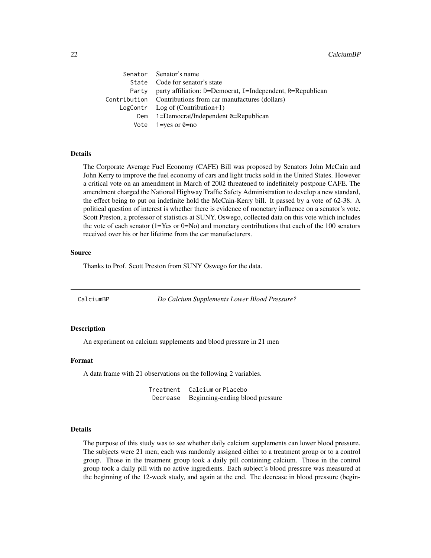<span id="page-21-0"></span>

| Senator Senator's name                                           |
|------------------------------------------------------------------|
| State Code for senator's state                                   |
| Party party affiliation: D=Democrat, I=Independent, R=Republican |
| Contribution Contributions from car manufactures (dollars)       |
| $LogContr$ Log of (Contribution+1)                               |
| Dem $1 =$ Democrat/Independent 0=Republican                      |
| Vote $1 = yes$ or $0 = no$                                       |
|                                                                  |

The Corporate Average Fuel Economy (CAFE) Bill was proposed by Senators John McCain and John Kerry to improve the fuel economy of cars and light trucks sold in the United States. However a critical vote on an amendment in March of 2002 threatened to indefinitely postpone CAFE. The amendment charged the National Highway Traffic Safety Administration to develop a new standard, the effect being to put on indefinite hold the McCain-Kerry bill. It passed by a vote of 62-38. A political question of interest is whether there is evidence of monetary influence on a senator's vote. Scott Preston, a professor of statistics at SUNY, Oswego, collected data on this vote which includes the vote of each senator (1=Yes or 0=No) and monetary contributions that each of the 100 senators received over his or her lifetime from the car manufacturers.

#### Source

Thanks to Prof. Scott Preston from SUNY Oswego for the data.

CalciumBP *Do Calcium Supplements Lower Blood Pressure?*

#### **Description**

An experiment on calcium supplements and blood pressure in 21 men

#### Format

A data frame with 21 observations on the following 2 variables.

Treatment Calcium or Placebo Decrease Beginning-ending blood pressure

#### Details

The purpose of this study was to see whether daily calcium supplements can lower blood pressure. The subjects were 21 men; each was randomly assigned either to a treatment group or to a control group. Those in the treatment group took a daily pill containing calcium. Those in the control group took a daily pill with no active ingredients. Each subject's blood pressure was measured at the beginning of the 12-week study, and again at the end. The decrease in blood pressure (begin-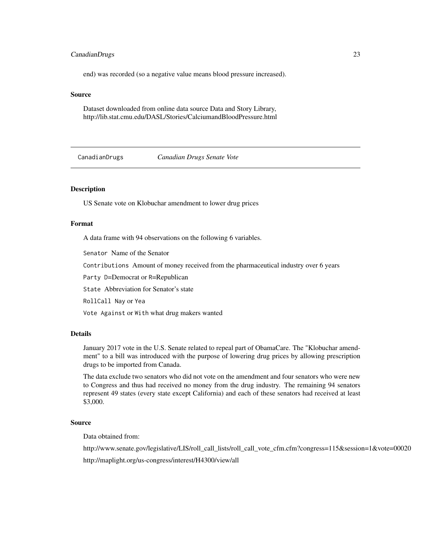### <span id="page-22-0"></span>CanadianDrugs 23

end) was recorded (so a negative value means blood pressure increased).

#### Source

Dataset downloaded from online data source Data and Story Library, http://lib.stat.cmu.edu/DASL/Stories/CalciumandBloodPressure.html

CanadianDrugs *Canadian Drugs Senate Vote*

### Description

US Senate vote on Klobuchar amendment to lower drug prices

#### Format

A data frame with 94 observations on the following 6 variables.

Senator Name of the Senator

Contributions Amount of money received from the pharmaceutical industry over 6 years

Party D=Democrat or R=Republican

State Abbreviation for Senator's state

RollCall Nay or Yea

Vote Against or With what drug makers wanted

### Details

January 2017 vote in the U.S. Senate related to repeal part of ObamaCare. The "Klobuchar amendment" to a bill was introduced with the purpose of lowering drug prices by allowing prescription drugs to be imported from Canada.

The data exclude two senators who did not vote on the amendment and four senators who were new to Congress and thus had received no money from the drug industry. The remaining 94 senators represent 49 states (every state except California) and each of these senators had received at least \$3,000.

### Source

Data obtained from:

http://www.senate.gov/legislative/LIS/roll\_call\_lists/roll\_call\_vote\_cfm.cfm?congress=115&session=1&vote=00020

http://maplight.org/us-congress/interest/H4300/view/all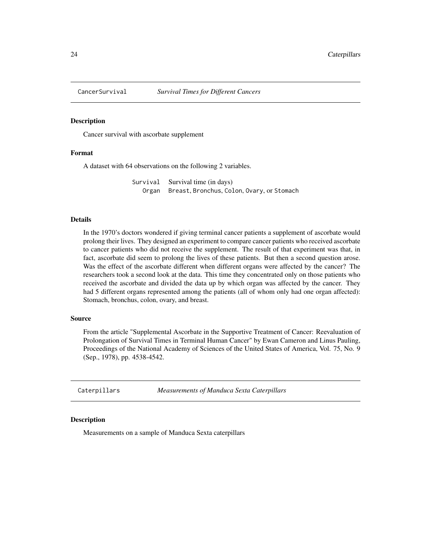<span id="page-23-0"></span>

Cancer survival with ascorbate supplement

#### Format

A dataset with 64 observations on the following 2 variables.

Survival Survival time (in days) Organ Breast, Bronchus, Colon, Ovary, or Stomach

#### Details

In the 1970's doctors wondered if giving terminal cancer patients a supplement of ascorbate would prolong their lives. They designed an experiment to compare cancer patients who received ascorbate to cancer patients who did not receive the supplement. The result of that experiment was that, in fact, ascorbate did seem to prolong the lives of these patients. But then a second question arose. Was the effect of the ascorbate different when different organs were affected by the cancer? The researchers took a second look at the data. This time they concentrated only on those patients who received the ascorbate and divided the data up by which organ was affected by the cancer. They had 5 different organs represented among the patients (all of whom only had one organ affected): Stomach, bronchus, colon, ovary, and breast.

#### Source

From the article "Supplemental Ascorbate in the Supportive Treatment of Cancer: Reevaluation of Prolongation of Survival Times in Terminal Human Cancer" by Ewan Cameron and Linus Pauling, Proceedings of the National Academy of Sciences of the United States of America, Vol. 75, No. 9 (Sep., 1978), pp. 4538-4542.

Caterpillars *Measurements of Manduca Sexta Caterpillars*

#### Description

Measurements on a sample of Manduca Sexta caterpillars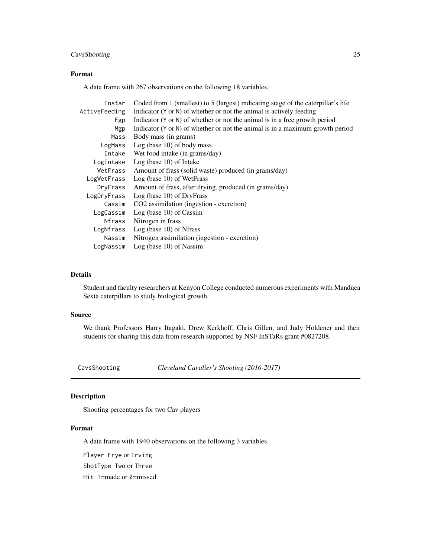### <span id="page-24-0"></span>CavsShooting 25

### Format

A data frame with 267 observations on the following 18 variables.

| Instar        | Coded from 1 (smallest) to 5 (largest) indicating stage of the caterpillar's life |
|---------------|-----------------------------------------------------------------------------------|
| ActiveFeeding | Indicator (Y or N) of whether or not the animal is actively feeding               |
| Fgp           | Indicator (Y or N) of whether or not the animal is in a free growth period        |
| Mgp           | Indicator (Y or N) of whether or not the animal is in a maximum growth period     |
| Mass          | Body mass (in grams)                                                              |
| LogMass       | $Log (base 10)$ of body mass                                                      |
| Intake        | Wet food intake (in grams/day)                                                    |
| LogIntake     | $Log (base 10)$ of Intake                                                         |
| WetFrass      | Amount of frass (solid waste) produced (in grams/day)                             |
| LogWetFrass   | $Log (base 10)$ of WetFrass                                                       |
| DryFrass      | Amount of frass, after drying, produced (in grams/day)                            |
| LogDryFrass   | $Log (base 10)$ of DryFrass                                                       |
| Cassim        | CO2 assimilation (ingestion - excretion)                                          |
| LogCassim     | $Log (base 10)$ of Cassim                                                         |
| Nfrass        | Nitrogen in frass                                                                 |
| LogNfrass     | $Log (base 10)$ of Nfrass                                                         |
| Nassim        | Nitrogen assimilation (ingestion - excretion)                                     |
| LogNassim     | $Log (base 10)$ of Nassim                                                         |

### Details

Student and faculty researchers at Kenyon College conducted numerous experiments with Manduca Sexta caterpillars to study biological growth.

### Source

We thank Professors Harry Itagaki, Drew Kerkhoff, Chris Gillen, and Judy Holdener and their students for sharing this data from research supported by NSF InSTaRs grant #0827208.

CavsShooting *Cleveland Cavalier's Shooting (2016-2017)*

### Description

Shooting percentages for two Cav players

### Format

A data frame with 1940 observations on the following 3 variables.

Player Frye or Irving

ShotType Two or Three

Hit 1=made or 0=missed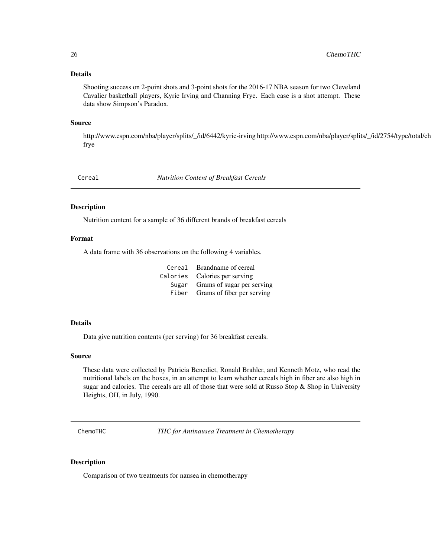<span id="page-25-0"></span>Shooting success on 2-point shots and 3-point shots for the 2016-17 NBA season for two Cleveland Cavalier basketball players, Kyrie Irving and Channing Frye. Each case is a shot attempt. These data show Simpson's Paradox.

#### Source

http://www.espn.com/nba/player/splits/\_/id/6442/kyrie-irving http://www.espn.com/nba/player/splits/\_/id/2754/type/total/ch frye

Cereal *Nutrition Content of Breakfast Cereals*

#### Description

Nutrition content for a sample of 36 different brands of breakfast cereals

#### Format

A data frame with 36 observations on the following 4 variables.

| Cereal Brandname of cereal       |
|----------------------------------|
| Calories Calories per serving    |
| Sugar Grams of sugar per serving |
| Fiber Grams of fiber per serving |

#### Details

Data give nutrition contents (per serving) for 36 breakfast cereals.

#### Source

These data were collected by Patricia Benedict, Ronald Brahler, and Kenneth Motz, who read the nutritional labels on the boxes, in an attempt to learn whether cereals high in fiber are also high in sugar and calories. The cereals are all of those that were sold at Russo Stop  $\&$  Shop in University Heights, OH, in July, 1990.

ChemoTHC *THC for Antinausea Treatment in Chemotherapy*

#### Description

Comparison of two treatments for nausea in chemotherapy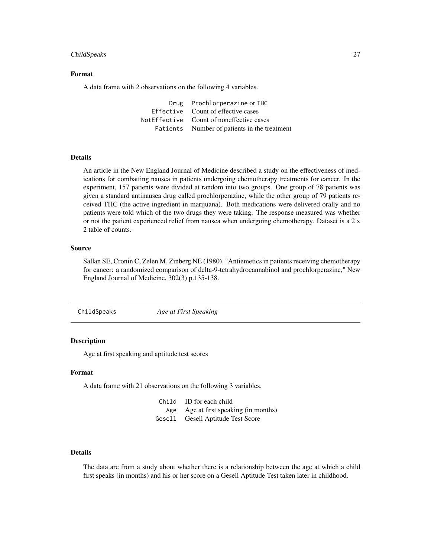#### <span id="page-26-0"></span>ChildSpeaks 27

### Format

A data frame with 2 observations on the following 4 variables.

Drug Prochlorperazine or THC Effective Count of effective cases NotEffective Count of noneffective cases Patients Number of patients in the treatment

#### Details

An article in the New England Journal of Medicine described a study on the effectiveness of medications for combatting nausea in patients undergoing chemotherapy treatments for cancer. In the experiment, 157 patients were divided at random into two groups. One group of 78 patients was given a standard antinausea drug called prochlorperazine, while the other group of 79 patients received THC (the active ingredient in marijuana). Both medications were delivered orally and no patients were told which of the two drugs they were taking. The response measured was whether or not the patient experienced relief from nausea when undergoing chemotherapy. Dataset is a 2 x 2 table of counts.

### Source

Sallan SE, Cronin C, Zelen M, Zinberg NE (1980), "Antiemetics in patients receiving chemotherapy for cancer: a randomized comparison of delta-9-tetrahydrocannabinol and prochlorperazine," New England Journal of Medicine, 302(3) p.135-138.

ChildSpeaks *Age at First Speaking*

### **Description**

Age at first speaking and aptitude test scores

### Format

A data frame with 21 observations on the following 3 variables.

Child ID for each child Age Age at first speaking (in months) Gesell Gesell Aptitude Test Score

#### Details

The data are from a study about whether there is a relationship between the age at which a child first speaks (in months) and his or her score on a Gesell Aptitude Test taken later in childhood.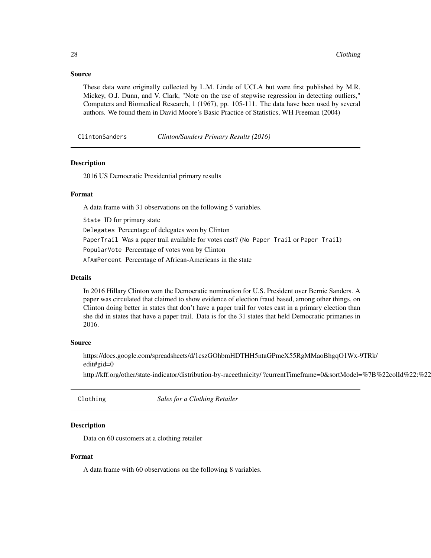#### <span id="page-27-0"></span>Source

These data were originally collected by L.M. Linde of UCLA but were first published by M.R. Mickey, O.J. Dunn, and V. Clark, "Note on the use of stepwise regression in detecting outliers," Computers and Biomedical Research, 1 (1967), pp. 105-111. The data have been used by several authors. We found them in David Moore's Basic Practice of Statistics, WH Freeman (2004)

ClintonSanders *Clinton/Sanders Primary Results (2016)*

### Description

2016 US Democratic Presidential primary results

### Format

A data frame with 31 observations on the following 5 variables.

State ID for primary state

Delegates Percentage of delegates won by Clinton

PaperTrail Was a paper trail available for votes cast? (No Paper Trail or Paper Trail)

PopularVote Percentage of votes won by Clinton

AfAmPercent Percentage of African-Americans in the state

### Details

In 2016 Hillary Clinton won the Democratic nomination for U.S. President over Bernie Sanders. A paper was circulated that claimed to show evidence of election fraud based, among other things, on Clinton doing better in states that don't have a paper trail for votes cast in a primary election than she did in states that have a paper trail. Data is for the 31 states that held Democratic primaries in 2016.

#### Source

https://docs.google.com/spreadsheets/d/1cszGOhbmHDTHH5ntaGPmeX55RgMMaoBhgqO1Wx-9TRk/ edit#gid=0

http://kff.org/other/state-indicator/distribution-by-raceethnicity/ ?currentTimeframe=0&sortModel=%7B%22colId%22:%22

Clothing *Sales for a Clothing Retailer*

### Description

Data on 60 customers at a clothing retailer

#### Format

A data frame with 60 observations on the following 8 variables.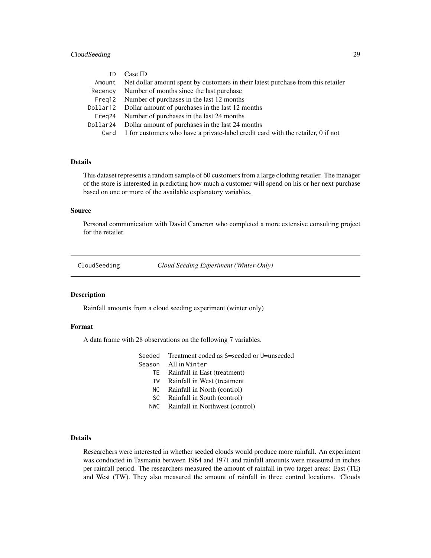### <span id="page-28-0"></span>CloudSeeding 29

| TD. | Case ID                                                                                 |
|-----|-----------------------------------------------------------------------------------------|
|     | Amount Net dollar amount spent by customers in their latest purchase from this retailer |
|     | Recency Number of months since the last purchase                                        |
|     | Freq 12 Number of purchases in the last 12 months                                       |
|     | Dollar 12 Dollar amount of purchases in the last 12 months                              |
|     | Freq 24 Number of purchases in the last 24 months                                       |
|     | Dollar 24 Dollar amount of purchases in the last 24 months                              |
|     | Card 1 for customers who have a private-label credit card with the retailer, 0 if not   |

### Details

This dataset represents a random sample of 60 customers from a large clothing retailer. The manager of the store is interested in predicting how much a customer will spend on his or her next purchase based on one or more of the available explanatory variables.

### Source

Personal communication with David Cameron who completed a more extensive consulting project for the retailer.

CloudSeeding *Cloud Seeding Experiment (Winter Only)*

### Description

Rainfall amounts from a cloud seeding experiment (winter only)

#### Format

A data frame with 28 observations on the following 7 variables.

|        | Seeded Treatment coded as S=seeded or U=unseeded |
|--------|--------------------------------------------------|
| Season | All in Winter                                    |
| TE.    | Rainfall in East (treatment)                     |
| TW     | Rainfall in West (treatment                      |
|        | NC Rainfall in North (control)                   |
| SC.    | Rainfall in South (control)                      |
| NWC.   | Rainfall in Northwest (control)                  |
|        |                                                  |

### Details

Researchers were interested in whether seeded clouds would produce more rainfall. An experiment was conducted in Tasmania between 1964 and 1971 and rainfall amounts were measured in inches per rainfall period. The researchers measured the amount of rainfall in two target areas: East (TE) and West (TW). They also measured the amount of rainfall in three control locations. Clouds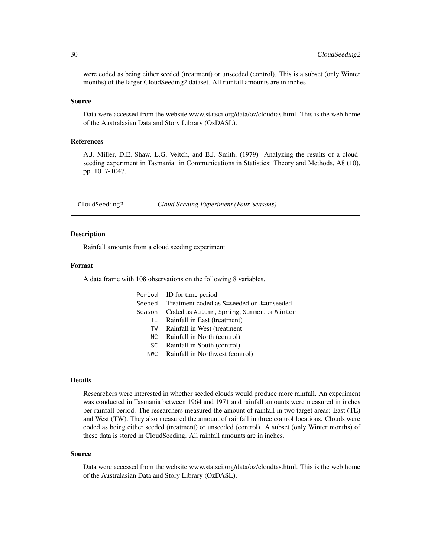<span id="page-29-0"></span>were coded as being either seeded (treatment) or unseeded (control). This is a subset (only Winter months) of the larger CloudSeeding2 dataset. All rainfall amounts are in inches.

#### Source

Data were accessed from the website www.statsci.org/data/oz/cloudtas.html. This is the web home of the Australasian Data and Story Library (OzDASL).

### References

A.J. Miller, D.E. Shaw, L.G. Veitch, and E.J. Smith, (1979) "Analyzing the results of a cloudseeding experiment in Tasmania" in Communications in Statistics: Theory and Methods, A8 (10), pp. 1017-1047.

CloudSeeding2 *Cloud Seeding Experiment (Four Seasons)*

#### **Description**

Rainfall amounts from a cloud seeding experiment

#### Format

A data frame with 108 observations on the following 8 variables.

|        | Period ID for time period                                                                                                                                                                                                                                                                                                          |
|--------|------------------------------------------------------------------------------------------------------------------------------------------------------------------------------------------------------------------------------------------------------------------------------------------------------------------------------------|
|        | Seeded Treatment coded as S=seeded or U=unseeded                                                                                                                                                                                                                                                                                   |
| Season | Coded as Autumn, Spring, Summer, or Winter                                                                                                                                                                                                                                                                                         |
|        | TE Rainfall in East (treatment)                                                                                                                                                                                                                                                                                                    |
| TW     | Rainfall in West (treatment                                                                                                                                                                                                                                                                                                        |
| NC     | Rainfall in North (control)                                                                                                                                                                                                                                                                                                        |
| SC.    | Rainfall in South (control)                                                                                                                                                                                                                                                                                                        |
|        | $\mathbf{D}$ $\mathbf{C}$ $\mathbf{H}$ $\mathbf{A}$ $\mathbf{F}$ $\mathbf{A}$ $\mathbf{F}$ $\mathbf{A}$ $\mathbf{C}$ $\mathbf{A}$ $\mathbf{C}$ $\mathbf{A}$ $\mathbf{A}$ $\mathbf{A}$ $\mathbf{C}$ $\mathbf{A}$ $\mathbf{A}$ $\mathbf{A}$ $\mathbf{C}$ $\mathbf{A}$ $\mathbf{A}$ $\mathbf{A}$ $\mathbf{C}$ $\mathbf{A}$ $\mathbf{$ |

#### NWC Rainfall in Northwest (control)

### Details

Researchers were interested in whether seeded clouds would produce more rainfall. An experiment was conducted in Tasmania between 1964 and 1971 and rainfall amounts were measured in inches per rainfall period. The researchers measured the amount of rainfall in two target areas: East (TE) and West (TW). They also measured the amount of rainfall in three control locations. Clouds were coded as being either seeded (treatment) or unseeded (control). A subset (only Winter months) of these data is stored in CloudSeeding. All rainfall amounts are in inches.

#### Source

Data were accessed from the website www.statsci.org/data/oz/cloudtas.html. This is the web home of the Australasian Data and Story Library (OzDASL).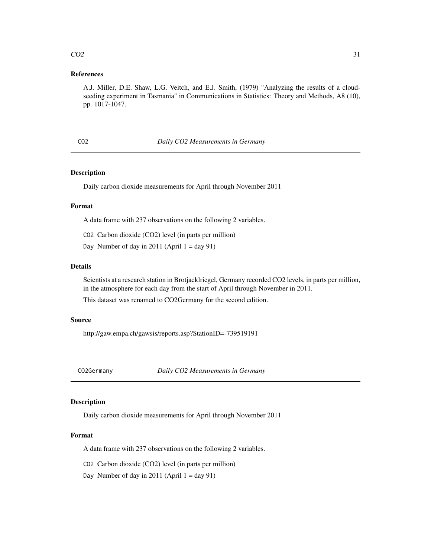### <span id="page-30-0"></span> $CO2$  31

### References

A.J. Miller, D.E. Shaw, L.G. Veitch, and E.J. Smith, (1979) "Analyzing the results of a cloudseeding experiment in Tasmania" in Communications in Statistics: Theory and Methods, A8 (10), pp. 1017-1047.

### CO2 *Daily CO2 Measurements in Germany*

### Description

Daily carbon dioxide measurements for April through November 2011

### Format

A data frame with 237 observations on the following 2 variables.

- CO2 Carbon dioxide (CO2) level (in parts per million)
- Day Number of day in 2011 (April  $1 = day 91$ )

### Details

Scientists at a research station in Brotjacklriegel, Germany recorded CO2 levels, in parts per million, in the atmosphere for each day from the start of April through November in 2011.

This dataset was renamed to CO2Germany for the second edition.

#### Source

http://gaw.empa.ch/gawsis/reports.asp?StationID=-739519191

CO2Germany *Daily CO2 Measurements in Germany*

#### Description

Daily carbon dioxide measurements for April through November 2011

#### Format

A data frame with 237 observations on the following 2 variables.

CO2 Carbon dioxide (CO2) level (in parts per million)

Day Number of day in 2011 (April  $1 = day 91$ )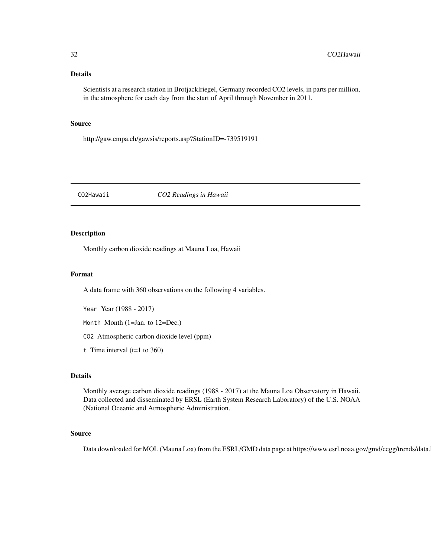<span id="page-31-0"></span>Scientists at a research station in Brotjacklriegel, Germany recorded CO2 levels, in parts per million, in the atmosphere for each day from the start of April through November in 2011.

### Source

http://gaw.empa.ch/gawsis/reports.asp?StationID=-739519191

CO2Hawaii *CO2 Readings in Hawaii*

### Description

Monthly carbon dioxide readings at Mauna Loa, Hawaii

### Format

A data frame with 360 observations on the following 4 variables.

Year Year (1988 - 2017)

Month Month (1=Jan. to 12=Dec.)

CO2 Atmospheric carbon dioxide level (ppm)

t Time interval  $(t=1 \text{ to } 360)$ 

### Details

Monthly average carbon dioxide readings (1988 - 2017) at the Mauna Loa Observatory in Hawaii. Data collected and disseminated by ERSL (Earth System Research Laboratory) of the U.S. NOAA (National Oceanic and Atmospheric Administration.

### Source

Data downloaded for MOL (Mauna Loa) from the ESRL/GMD data page at https://www.esrl.noaa.gov/gmd/ccgg/trends/data.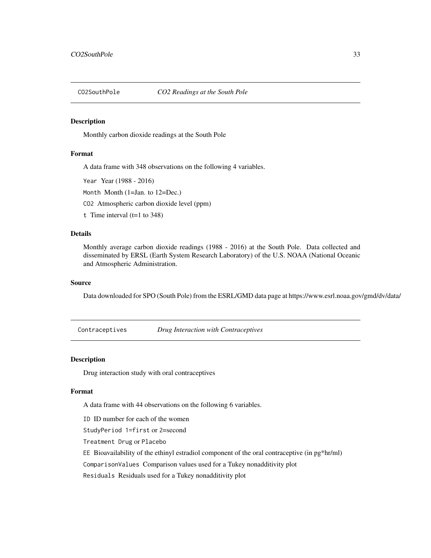<span id="page-32-0"></span>

Monthly carbon dioxide readings at the South Pole

#### Format

A data frame with 348 observations on the following 4 variables.

Year Year (1988 - 2016)

Month Month (1=Jan. to 12=Dec.)

CO2 Atmospheric carbon dioxide level (ppm)

t Time interval  $(t=1 \text{ to } 348)$ 

#### Details

Monthly average carbon dioxide readings (1988 - 2016) at the South Pole. Data collected and disseminated by ERSL (Earth System Research Laboratory) of the U.S. NOAA (National Oceanic and Atmospheric Administration.

### Source

Data downloaded for SPO (South Pole) from the ESRL/GMD data page at https://www.esrl.noaa.gov/gmd/dv/data/

Contraceptives *Drug Interaction with Contraceptives*

### Description

Drug interaction study with oral contraceptives

### Format

A data frame with 44 observations on the following 6 variables.

ID ID number for each of the women

StudyPeriod 1=first or 2=second

Treatment Drug or Placebo

EE Bioavailability of the ethinyl estradiol component of the oral contraceptive (in pg\*hr/ml)

ComparisonValues Comparison values used for a Tukey nonadditivity plot

Residuals Residuals used for a Tukey nonadditivity plot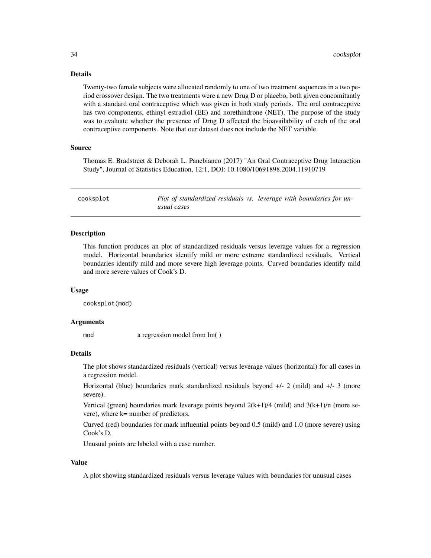Twenty-two female subjects were allocated randomly to one of two treatment sequences in a two period crossover design. The two treatments were a new Drug D or placebo, both given concomitantly with a standard oral contraceptive which was given in both study periods. The oral contraceptive has two components, ethinyl estradiol (EE) and norethindrone (NET). The purpose of the study was to evaluate whether the presence of Drug D affected the bioavailability of each of the oral contraceptive components. Note that our dataset does not include the NET variable.

### Source

Thomas E. Bradstreet & Deborah L. Panebianco (2017) "An Oral Contraceptive Drug Interaction Study", Journal of Statistics Education, 12:1, DOI: 10.1080/10691898.2004.11910719

cooksplot *Plot of standardized residuals vs. leverage with boundaries for unusual cases*

### **Description**

This function produces an plot of standardized residuals versus leverage values for a regression model. Horizontal boundaries identify mild or more extreme standardized residuals. Vertical boundaries identify mild and more severe high leverage points. Curved boundaries identify mild and more severe values of Cook's D.

#### Usage

cooksplot(mod)

### Arguments

mod a regression model from lm()

### Details

The plot shows standardized residuals (vertical) versus leverage values (horizontal) for all cases in a regression model.

Horizontal (blue) boundaries mark standardized residuals beyond +/- 2 (mild) and +/- 3 (more severe).

Vertical (green) boundaries mark leverage points beyond  $2(k+1)/4$  (mild) and  $3(k+1)/n$  (more severe), where k= number of predictors.

Curved (red) boundaries for mark influential points beyond 0.5 (mild) and 1.0 (more severe) using Cook's D.

Unusual points are labeled with a case number.

### Value

A plot showing standardized residuals versus leverage values with boundaries for unusual cases

<span id="page-33-0"></span>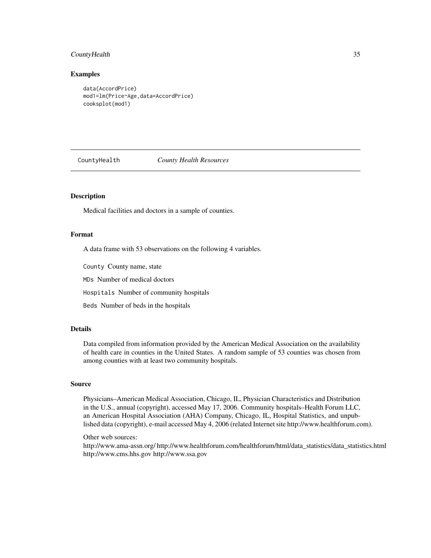### <span id="page-34-0"></span>CountyHealth 35

#### Examples

```
data(AccordPrice)
mod1=lm(Price~Age,data=AccordPrice)
cooksplot(mod1)
```
CountyHealth *County Health Resources*

### Description

Medical facilities and doctors in a sample of counties.

#### Format

A data frame with 53 observations on the following 4 variables.

County County name, state

MDs Number of medical doctors

Hospitals Number of community hospitals

Beds Number of beds in the hospitals

### Details

Data compiled from information provided by the American Medical Association on the availability of health care in counties in the United States. A random sample of 53 counties was chosen from among counties with at least two community hospitals.

### Source

Physicians–American Medical Association, Chicago, IL, Physician Characteristics and Distribution in the U.S., annual (copyright), accessed May 17, 2006. Community hospitals–Health Forum LLC, an American Hospital Association (AHA) Company, Chicago, IL, Hospital Statistics, and unpublished data (copyright), e-mail accessed May 4, 2006 (related Internet site http://www.healthforum.com).

### Other web sources:

http://www.ama-assn.org/ http://www.healthforum.com/healthforum/html/data\_statistics/data\_statistics.html http://www.cms.hhs.gov http://www.ssa.gov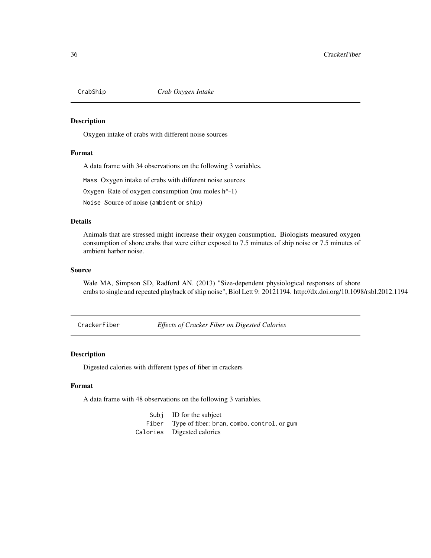<span id="page-35-0"></span>

Oxygen intake of crabs with different noise sources

### Format

A data frame with 34 observations on the following 3 variables.

Mass Oxygen intake of crabs with different noise sources

Oxygen Rate of oxygen consumption (mu moles h^-1)

Noise Source of noise (ambient or ship)

### Details

Animals that are stressed might increase their oxygen consumption. Biologists measured oxygen consumption of shore crabs that were either exposed to 7.5 minutes of ship noise or 7.5 minutes of ambient harbor noise.

#### Source

Wale MA, Simpson SD, Radford AN. (2013) "Size-dependent physiological responses of shore crabs to single and repeated playback of ship noise", Biol Lett 9: 20121194. http://dx.doi.org/10.1098/rsbl.2012.1194

CrackerFiber *Effects of Cracker Fiber on Digested Calories*

#### Description

Digested calories with different types of fiber in crackers

#### Format

A data frame with 48 observations on the following 3 variables.

Subj ID for the subject Fiber Type of fiber: bran, combo, control, or gum Calories Digested calories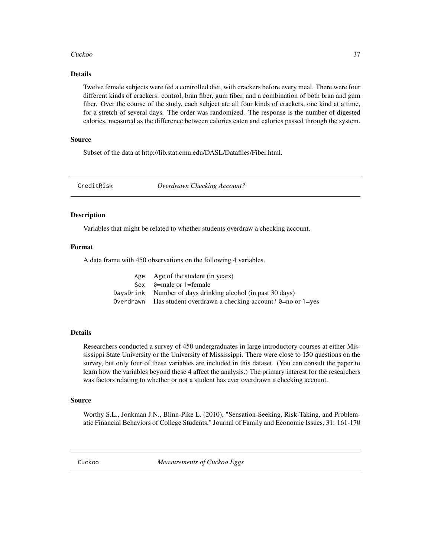## Cuckoo 37

# Details

Twelve female subjects were fed a controlled diet, with crackers before every meal. There were four different kinds of crackers: control, bran fiber, gum fiber, and a combination of both bran and gum fiber. Over the course of the study, each subject ate all four kinds of crackers, one kind at a time, for a stretch of several days. The order was randomized. The response is the number of digested calories, measured as the difference between calories eaten and calories passed through the system.

## Source

Subset of the data at http://lib.stat.cmu.edu/DASL/Datafiles/Fiber.html.

CreditRisk *Overdrawn Checking Account?*

## Description

Variables that might be related to whether students overdraw a checking account.

## Format

A data frame with 450 observations on the following 4 variables.

| Age Age of the student (in years)                                       |
|-------------------------------------------------------------------------|
| Sex $\theta$ =male or 1=female                                          |
| DaysDrink Number of days drinking alcohol (in past 30 days)             |
| Overdrawn Has student overdrawn a checking account? $0=$ no or $1=$ yes |

## Details

Researchers conducted a survey of 450 undergraduates in large introductory courses at either Mississippi State University or the University of Mississippi. There were close to 150 questions on the survey, but only four of these variables are included in this dataset. (You can consult the paper to learn how the variables beyond these 4 affect the analysis.) The primary interest for the researchers was factors relating to whether or not a student has ever overdrawn a checking account.

## Source

Worthy S.L., Jonkman J.N., Blinn-Pike L. (2010), "Sensation-Seeking, Risk-Taking, and Problematic Financial Behaviors of College Students," Journal of Family and Economic Issues, 31: 161-170

Cuckoo *Measurements of Cuckoo Eggs*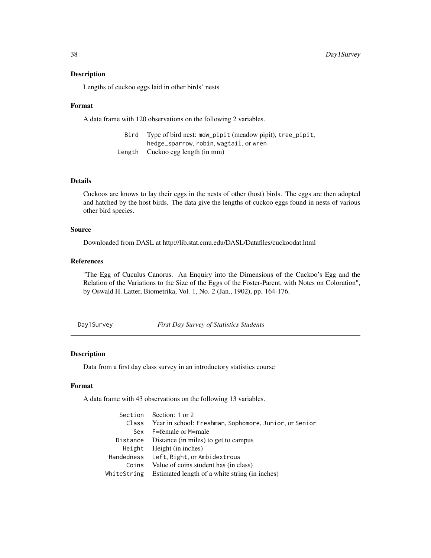Lengths of cuckoo eggs laid in other birds' nests

### Format

A data frame with 120 observations on the following 2 variables.

| Bird | Type of bird nest: mdw_pipit (meadow pipit), tree_pipit, |
|------|----------------------------------------------------------|
|      | hedge_sparrow, robin, wagtail, or wren                   |
|      | Length Cuckoo egg length (in mm)                         |

### Details

Cuckoos are knows to lay their eggs in the nests of other (host) birds. The eggs are then adopted and hatched by the host birds. The data give the lengths of cuckoo eggs found in nests of various other bird species.

# Source

Downloaded from DASL at http://lib.stat.cmu.edu/DASL/Datafiles/cuckoodat.html

# References

"The Egg of Cuculus Canorus. An Enquiry into the Dimensions of the Cuckoo's Egg and the Relation of the Variations to the Size of the Eggs of the Foster-Parent, with Notes on Coloration", by Oswald H. Latter, Biometrika, Vol. 1, No. 2 (Jan., 1902), pp. 164-176.

Day1Survey *First Day Survey of Statistics Students*

## Description

Data from a first day class survey in an introductory statistics course

## Format

A data frame with 43 observations on the following 13 variables.

|          | Section Section: 1 or 2                                      |
|----------|--------------------------------------------------------------|
|          | Class Year in school: Freshman, Sophomore, Junior, or Senior |
| Sex      | F=female or M=male                                           |
| Distance | Distance (in miles) to get to campus                         |
|          | Height Height (in inches)                                    |
|          | Handedness Left, Right, or Ambidextrous                      |
|          | Coins Value of coins student has (in class)                  |
|          | WhiteString Estimated length of a white string (in inches)   |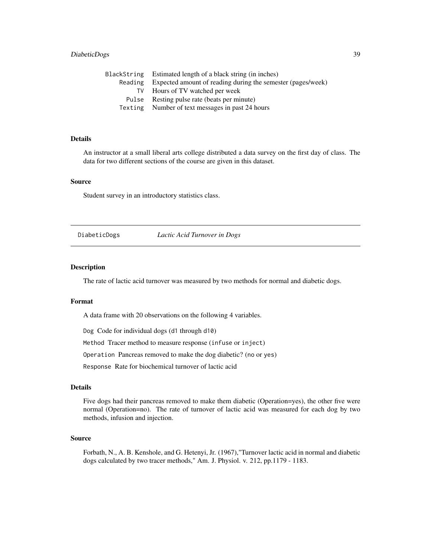# DiabeticDogs 39

|         | BlackString Estimated length of a black string (in inches)  |
|---------|-------------------------------------------------------------|
| Reading | Expected amount of reading during the semester (pages/week) |
| TV      | Hours of TV watched per week                                |
| Pulse   | Resting pulse rate (beats per minute)                       |
|         | Texting Number of text messages in past 24 hours            |
|         |                                                             |

# Details

An instructor at a small liberal arts college distributed a data survey on the first day of class. The data for two different sections of the course are given in this dataset.

### Source

Student survey in an introductory statistics class.

DiabeticDogs *Lactic Acid Turnover in Dogs*

### Description

The rate of lactic acid turnover was measured by two methods for normal and diabetic dogs.

## Format

A data frame with 20 observations on the following 4 variables.

Dog Code for individual dogs (d1 through d10)

Method Tracer method to measure response (infuse or inject)

Operation Pancreas removed to make the dog diabetic? (no or yes)

Response Rate for biochemical turnover of lactic acid

# Details

Five dogs had their pancreas removed to make them diabetic (Operation=yes), the other five were normal (Operation=no). The rate of turnover of lactic acid was measured for each dog by two methods, infusion and injection.

### Source

Forbath, N., A. B. Kenshole, and G. Hetenyi, Jr. (1967),"Turnover lactic acid in normal and diabetic dogs calculated by two tracer methods," Am. J. Physiol. v. 212, pp.1179 - 1183.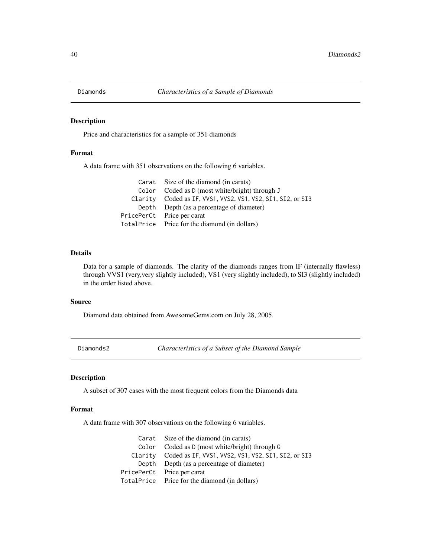Price and characteristics for a sample of 351 diamonds

## Format

A data frame with 351 observations on the following 6 variables.

| Carat Size of the diamond (in carats)                       |
|-------------------------------------------------------------|
| Color Coded as D (most white/bright) through J              |
| Clarity Coded as IF, VVS1, VVS2, VS1, VS2, SI1, SI2, or SI3 |
| Depth Depth (as a percentage of diameter)                   |
| PricePerCt Price per carat                                  |
| TotalPrice Price for the diamond (in dollars)               |

## Details

Data for a sample of diamonds. The clarity of the diamonds ranges from IF (internally flawless) through VVS1 (very,very slightly included), VS1 (very slightly included), to SI3 (slightly included) in the order listed above.

# Source

Diamond data obtained from AwesomeGems.com on July 28, 2005.

Diamonds2 *Characteristics of a Subset of the Diamond Sample*

# Description

A subset of 307 cases with the most frequent colors from the Diamonds data

## Format

A data frame with 307 observations on the following 6 variables.

| Carat Size of the diamond (in carats)                       |
|-------------------------------------------------------------|
| Color Coded as D (most white/bright) through G              |
| Clarity Coded as IF, VVS1, VVS2, VS1, VS2, SI1, SI2, or SI3 |
| Depth Depth (as a percentage of diameter)                   |
| PricePerCt Price per carat                                  |
| TotalPrice Price for the diamond (in dollars)               |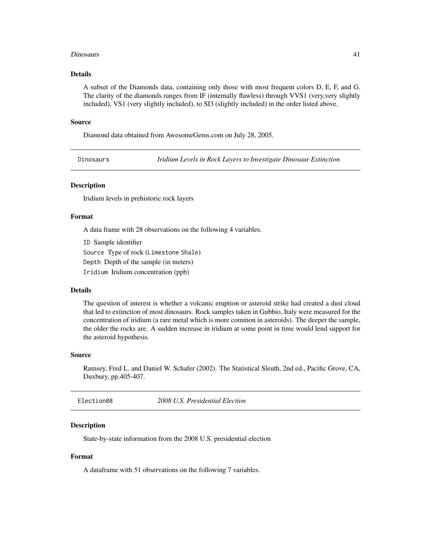### Dinosaurs 41

## Details

A subset of the Diamonds data, containing only those with most frequent colors D, E, F, and G. The clarity of the diamonds ranges from IF (internally flawless) through VVS1 (very,very slightly included), VS1 (very slightly included), to SI3 (slightly included) in the order listed above.

### Source

Diamond data obtained from AwesomeGems.com on July 28, 2005.

Dinosaurs *Iridium Levels in Rock Layers to Investigate Dinosaur Extinction*

# Description

Iridium levels in prehistoric rock layers

# Format

A data frame with 28 observations on the following 4 variables.

ID Sample identifier Source Type of rock (Limestone Shale) Depth Depth of the sample (in meters) Iridium Iridium concentration (ppb)

### Details

The question of interest is whether a volcanic eruption or asteroid strike had created a dust cloud that led to extinction of most dinosaurs. Rock samples taken in Gubbio, Italy were measured for the concentration of iridium (a rare metal which is more common in asteroids). The deeper the sample, the older the rocks are. A sudden increase in iridium at some point in time would lend support for the asteroid hypothesis.

### Source

Ramsey, Fred L. and Daniel W. Schafer (2002). The Statistical Sleuth, 2nd ed., Pacific Grove, CA, Duxbury, pp.405-407.

| Election08 | 2008 U.S. Presidential Election |  |
|------------|---------------------------------|--|
|            |                                 |  |

## Description

State-by-state information from the 2008 U.S. presidential election

## Format

A dataframe with 51 observations on the following 7 variables.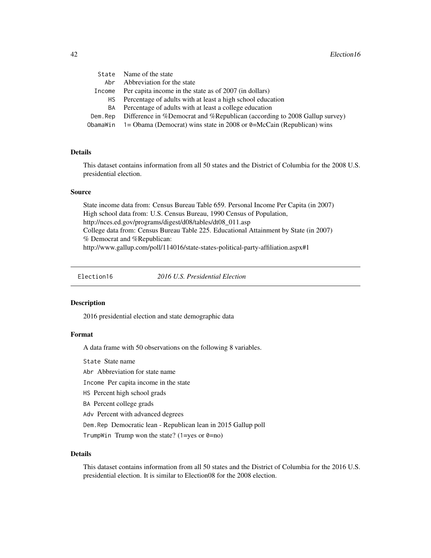|        | State Name of the state                                                                 |
|--------|-----------------------------------------------------------------------------------------|
| Abr    | Abbreviation for the state                                                              |
| Income | Per capita income in the state as of 2007 (in dollars)                                  |
| HS —   | Percentage of adults with at least a high school education                              |
| BA     | Percentage of adults with at least a college education                                  |
|        | Dem. Rep Difference in %Democrat and %Republican (according to 2008 Gallup survey)      |
|        | ObamaWin $1 = \text{Obama}$ (Democrat) wins state in 2008 or 0=McCain (Republican) wins |
|        |                                                                                         |

# Details

This dataset contains information from all 50 states and the District of Columbia for the 2008 U.S. presidential election.

### Source

State income data from: Census Bureau Table 659. Personal Income Per Capita (in 2007) High school data from: U.S. Census Bureau, 1990 Census of Population, http://nces.ed.gov/programs/digest/d08/tables/dt08\_011.asp College data from: Census Bureau Table 225. Educational Attainment by State (in 2007) % Democrat and %Republican: http://www.gallup.com/poll/114016/state-states-political-party-affiliation.aspx#1

Election16 *2016 U.S. Presidential Election*

### Description

2016 presidential election and state demographic data

### Format

A data frame with 50 observations on the following 8 variables.

State State name

Abr Abbreviation for state name

Income Per capita income in the state

HS Percent high school grads

BA Percent college grads

Adv Percent with advanced degrees

Dem.Rep Democratic lean - Republican lean in 2015 Gallup poll

TrumpWin Trump won the state? (1=yes or  $0=$ no)

# Details

This dataset contains information from all 50 states and the District of Columbia for the 2016 U.S. presidential election. It is similar to Election08 for the 2008 election.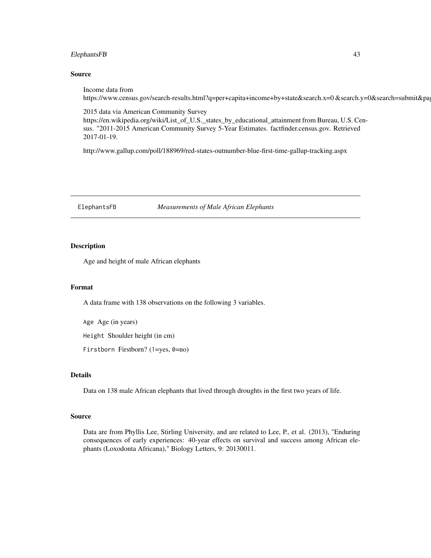# ElephantsFB 43

## Source

Income data from https://www.census.gov/search-results.html?q=per+capita+income+by+state&search.x=0 &search.y=0&search=submit&pa

2015 data via American Community Survey https://en.wikipedia.org/wiki/List\_of\_U.S.\_states\_by\_educational\_attainment from Bureau, U.S. Census. "2011-2015 American Community Survey 5-Year Estimates. factfinder.census.gov. Retrieved 2017-01-19.

http://www.gallup.com/poll/188969/red-states-outnumber-blue-first-time-gallup-tracking.aspx

ElephantsFB *Measurements of Male African Elephants*

## Description

Age and height of male African elephants

# Format

A data frame with 138 observations on the following 3 variables.

Age Age (in years)

Height Shoulder height (in cm)

Firstborn Firstborn? (1=yes, 0=no)

# Details

Data on 138 male African elephants that lived through droughts in the first two years of life.

### Source

Data are from Phyllis Lee, Stirling University, and are related to Lee, P., et al. (2013), "Enduring consequences of early experiences: 40-year effects on survival and success among African elephants (Loxodonta Africana)," Biology Letters, 9: 20130011.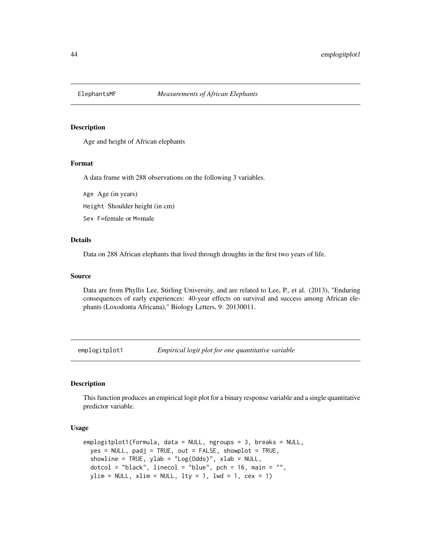Age and height of African elephants

### Format

A data frame with 288 observations on the following 3 variables.

Age Age (in years)

Height Shoulder height (in cm)

Sex F=female or M=male

# Details

Data on 288 African elephants that lived through droughts in the first two years of life.

### Source

Data are from Phyllis Lee, Stirling University, and are related to Lee, P., et al. (2013), "Enduring consequences of early experiences: 40-year effects on survival and success among African elephants (Loxodonta Africana)," Biology Letters, 9: 20130011.

emplogitplot1 *Empirical logit plot for one quantitative variable*

# Description

This function produces an empirical logit plot for a binary response variable and a single quantitative predictor variable.

## Usage

```
emplogitplot1(formula, data = NULL, ngroups = 3, breaks = NULL,
 yes = NULL, padj = TRUE, out = FALSE, showplot = TRUE,
  showline = TRUE, ylab = "Log(Odds)", xlab = NULL,
 dotcol = "black", linecol = "blue", pch = 16, main = "",
 ylim = NULL, xlim = NULL, lty = 1, lwd = 1, cex = 1)
```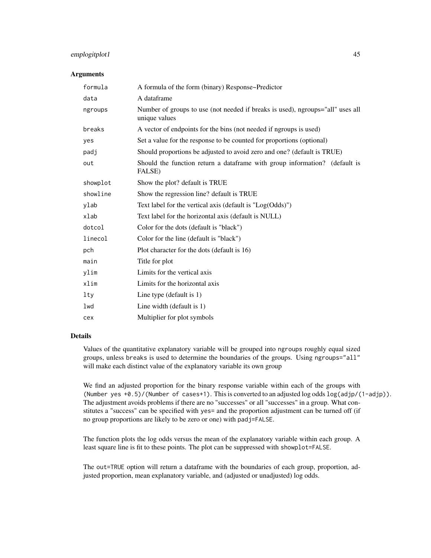# emplogitplot1 45

### Arguments

| formula  | A formula of the form (binary) Response~Predictor                                               |
|----------|-------------------------------------------------------------------------------------------------|
| data     | A dataframe                                                                                     |
| ngroups  | Number of groups to use (not needed if breaks is used), ngroups="all" uses all<br>unique values |
| breaks   | A vector of endpoints for the bins (not needed if ngroups is used)                              |
| yes      | Set a value for the response to be counted for proportions (optional)                           |
| padj     | Should proportions be adjusted to avoid zero and one? (default is TRUE)                         |
| out      | Should the function return a dataframe with group information? (default is<br>FALSE)            |
| showplot | Show the plot? default is TRUE                                                                  |
| showline | Show the regression line? default is TRUE                                                       |
| ylab     | Text label for the vertical axis (default is $"Log(Odds)"$ )                                    |
| xlab     | Text label for the horizontal axis (default is NULL)                                            |
| dotcol   | Color for the dots (default is "black")                                                         |
| linecol  | Color for the line (default is "black")                                                         |
| pch      | Plot character for the dots (default is 16)                                                     |
| main     | Title for plot                                                                                  |
| ylim     | Limits for the vertical axis                                                                    |
| xlim     | Limits for the horizontal axis                                                                  |
| lty      | Line type (default is $1$ )                                                                     |
| lwd      | Line width (default is 1)                                                                       |
| cex      | Multiplier for plot symbols                                                                     |

### Details

Values of the quantitative explanatory variable will be grouped into ngroups roughly equal sized groups, unless breaks is used to determine the boundaries of the groups. Using ngroups="all" will make each distinct value of the explanatory variable its own group

We find an adjusted proportion for the binary response variable within each of the groups with (Number yes +0.5)/(Number of cases+1). This is converted to an adjusted log odds log(adjp/(1-adjp)). The adjustment avoids problems if there are no "successes" or all "successes" in a group. What constitutes a "success" can be specified with yes= and the proportion adjustment can be turned off (if no group proportions are likely to be zero or one) with padj=FALSE.

The function plots the log odds versus the mean of the explanatory variable within each group. A least square line is fit to these points. The plot can be suppressed with showplot=FALSE.

The out=TRUE option will return a dataframe with the boundaries of each group, proportion, adjusted proportion, mean explanatory variable, and (adjusted or unadjusted) log odds.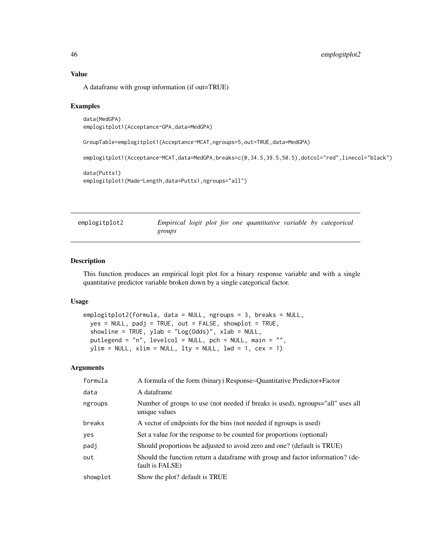## Value

A dataframe with group information (if out=TRUE)

## Examples

data(MedGPA) emplogitplot1(Acceptance~GPA,data=MedGPA)

GroupTable=emplogitplot1(Acceptance~MCAT,ngroups=5,out=TRUE,data=MedGPA)

emplogitplot1(Acceptance~MCAT,data=MedGPA,breaks=c(0,34.5,39.5,50.5),dotcol="red",linecol="black")

```
data(Putts1)
emplogitplot1(Made~Length,data=Putts1,ngroups="all")
```
emplogitplot2 *Empirical logit plot for one quantitative variable by categorical groups*

## Description

This function produces an empirical logit plot for a binary response variable and with a single quantitative predictor variable broken down by a single categorical factor.

# Usage

```
emplogitplot2(formula, data = NULL, ngroups = 3, breaks = NULL,
 yes = NULL, padj = TRUE, out = FALSE, showplot = TRUE,
 showline = TRUE, ylab = "Log(Odds)", xlab = NULL,putlegend = "n", levelcol = NULL, pch = NULL, main = "",
 ylim = NULL, xlim = NULL, lty = NULL, lwd = 1, cex = 1)
```
### Arguments

| formula  | A formula of the form (binary) Response~Quantitative Predictor+Factor                             |
|----------|---------------------------------------------------------------------------------------------------|
| data     | A dataframe                                                                                       |
| ngroups  | Number of groups to use (not needed if breaks is used), ngroups="all" uses all<br>unique values   |
| breaks   | A vector of endpoints for the bins (not needed if ngroups is used)                                |
| yes      | Set a value for the response to be counted for proportions (optional)                             |
| padj     | Should proportions be adjusted to avoid zero and one? (default is TRUE)                           |
| out      | Should the function return a dataframe with group and factor information? (de-<br>fault is FALSE) |
| showplot | Show the plot? default is TRUE                                                                    |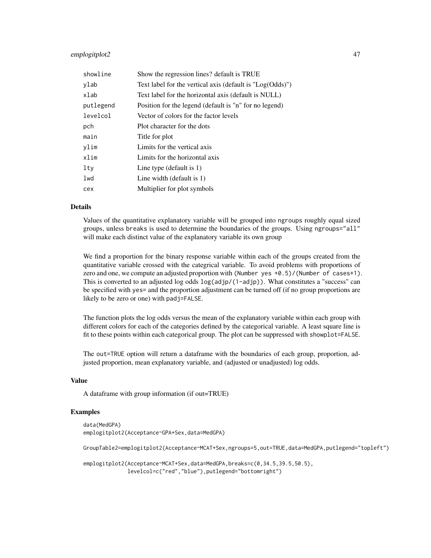# emplogitplot2 47

| showline  | Show the regression lines? default is TRUE                   |
|-----------|--------------------------------------------------------------|
| ylab      | Text label for the vertical axis (default is $"Log(Odds)"$ ) |
| xlab      | Text label for the horizontal axis (default is NULL)         |
| putlegend | Position for the legend (default is "n" for no legend)       |
| levelcol  | Vector of colors for the factor levels                       |
| pch       | Plot character for the dots                                  |
| main      | Title for plot                                               |
| vlim      | Limits for the vertical axis                                 |
| xlim      | Limits for the horizontal axis                               |
| lty       | Line type (default is $1$ )                                  |
| lwd       | Line width (default is 1)                                    |
| cex       | Multiplier for plot symbols                                  |

## Details

Values of the quantitative explanatory variable will be grouped into ngroups roughly equal sized groups, unless breaks is used to determine the boundaries of the groups. Using ngroups="all" will make each distinct value of the explanatory variable its own group

We find a proportion for the binary response variable within each of the groups created from the quantitative variable crossed with the categrical variable. To avoid problems with proportions of zero and one, we compute an adjusted proportion with (Number yes +0.5)/(Number of cases+1). This is converted to an adjusted log odds log(adjp/(1-adjp)). What constitutes a "success" can be specified with yes= and the proportion adjustment can be turned off (if no group proportions are likely to be zero or one) with padj=FALSE.

The function plots the log odds versus the mean of the explanatory variable within each group with different colors for each of the categories defined by the categorical variable. A least square line is fit to these points within each categorical group. The plot can be suppressed with showplot=FALSE.

The out=TRUE option will return a dataframe with the boundaries of each group, proportion, adjusted proportion, mean explanatory variable, and (adjusted or unadjusted) log odds.

### Value

A dataframe with group information (if out=TRUE)

## Examples

```
data(MedGPA)
emplogitplot2(Acceptance~GPA+Sex,data=MedGPA)
GroupTable2=emplogitplot2(Acceptance~MCAT+Sex,ngroups=5,out=TRUE,data=MedGPA,putlegend="topleft")
```
emplogitplot2(Acceptance~MCAT+Sex,data=MedGPA,breaks=c(0,34.5,39.5,50.5), levelcol=c("red","blue"),putlegend="bottomright")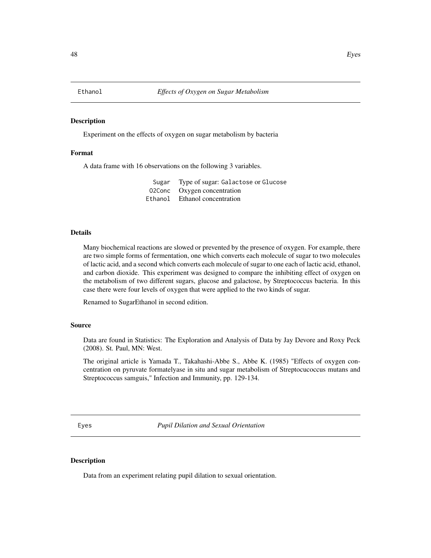Experiment on the effects of oxygen on sugar metabolism by bacteria

### Format

A data frame with 16 observations on the following 3 variables.

| Sugar Type of sugar: Galactose or Glucose |
|-------------------------------------------|
| 02Conc Oxygen concentration               |
| Ethanol Ethanol concentration             |

## Details

Many biochemical reactions are slowed or prevented by the presence of oxygen. For example, there are two simple forms of fermentation, one which converts each molecule of sugar to two molecules of lactic acid, and a second which converts each molecule of sugar to one each of lactic acid, ethanol, and carbon dioxide. This experiment was designed to compare the inhibiting effect of oxygen on the metabolism of two different sugars, glucose and galactose, by Streptococcus bacteria. In this case there were four levels of oxygen that were applied to the two kinds of sugar.

Renamed to SugarEthanol in second edition.

### Source

Data are found in Statistics: The Exploration and Analysis of Data by Jay Devore and Roxy Peck (2008). St. Paul, MN: West.

The original article is Yamada T., Takahashi-Abbe S., Abbe K. (1985) "Effects of oxygen concentration on pyruvate formatelyase in situ and sugar metabolism of Streptocucoccus mutans and Streptococcus samguis," Infection and Immunity, pp. 129-134.

Eyes *Pupil Dilation and Sexual Orientation*

## Description

Data from an experiment relating pupil dilation to sexual orientation.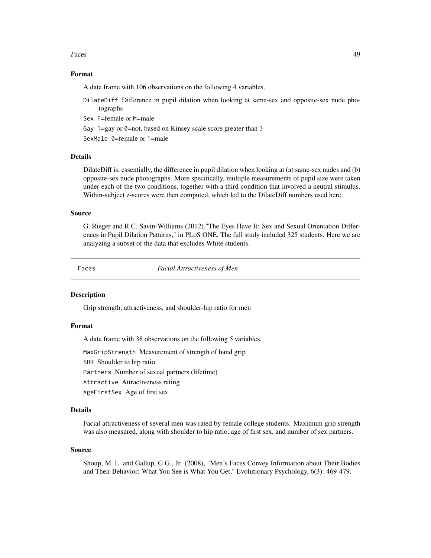### Faces **49**

## Format

A data frame with 106 observations on the following 4 variables.

- DilateDiff Difference in pupil dilation when looking at same-sex and opposite-sex nude photographs
- Sex F=female or M=male
- Gay 1=gay or 0=not, based on Kinsey scale score greater than 3

SexMale 0=female or 1=male

## Details

DilateDiff is, essentially, the difference in pupil dilation when looking at (a) same-sex nudes and (b) opposite-sex nude photographs. More specifically, multiple measurements of pupil size were taken under each of the two conditions, together with a third condition that involved a neutral stimulus. Within-subject z-scores were then computed, which led to the DilateDiff numbers used here.

## Source

G. Rieger and R.C. Savin-Williams (2012),"The Eyes Have It: Sex and Sexual Orientation Differences in Pupil Dilation Patterns," in PLoS ONE. The full study included 325 students. Here we are analyzing a subset of the data that excludes White students.

Faces *Facial Attractiveness of Men*

## Description

Grip strength, attractiveness, and shoulder-hip ratio for men

# Format

A data frame with 38 observations on the following 5 variables.

MaxGripStrength Measurement of strength of hand grip

SHR Shoulder to hip ratio

Partners Number of sexual partners (lifetime)

Attractive Attractiveness rating

AgeFirstSex Age of first sex

## Details

Facial attractiveness of several men was rated by female college students. Maximum grip strength was also measured, along with shoulder to hip ratio, age of first sex, and number of sex partners.

## Source

Shoup, M. L. and Gallup, G.G., Jr. (2008), "Men's Faces Convey Information about Their Bodies and Their Behavior: What You See is What You Get," Evolutionary Psychology, 6(3): 469-479.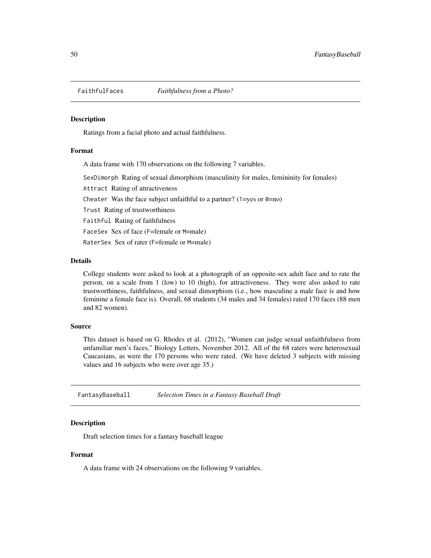Ratings from a facial photo and actual faithfulness.

# Format

A data frame with 170 observations on the following 7 variables.

SexDimorph Rating of sexual dimorphism (masculinity for males, femininity for females)

Attract Rating of attractiveness

Cheater Was the face subject unfaithful to a partner?  $(1 = yes \text{ or } 0 = no)$ 

Trust Rating of trustworthiness

Faithful Rating of faithfulness

FaceSex Sex of face (F=female or M=male)

RaterSex Sex of rater (F=female or M=male)

# Details

College students were asked to look at a photograph of an opposite-sex adult face and to rate the person, on a scale from 1 (low) to 10 (high), for attractiveness. They were also asked to rate trustworthiness, faithfulness, and sexual dimorphism (i.e., how masculine a male face is and how feminine a female face is). Overall, 68 students (34 males and 34 females) rated 170 faces (88 men and 82 women).

# Source

This dataset is based on G. Rhodes et al. (2012), "Women can judge sexual unfaithfulness from unfamiliar men's faces," Biology Letters, November 2012. All of the 68 raters were heterosexual Caucasians, as were the 170 persons who were rated. (We have deleted 3 subjects with missing values and 16 subjects who were over age 35.)

FantasyBaseball *Selection Times in a Fantasy Baseball Draft*

# **Description**

Draft selection times for a fantasy baseball league

## Format

A data frame with 24 observations on the following 9 variables.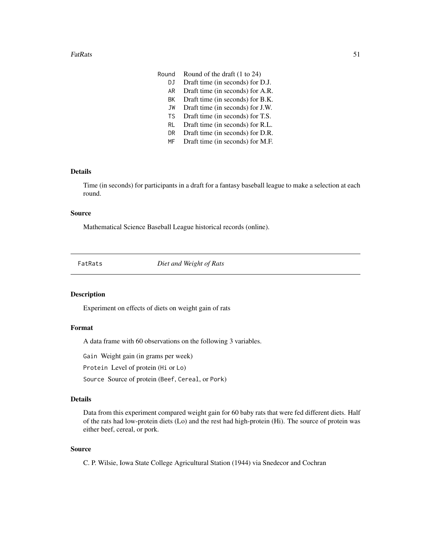- DJ Draft time (in seconds) for D.J.
- AR Draft time (in seconds) for A.R.
- BK Draft time (in seconds) for B.K.
- JW Draft time (in seconds) for J.W.
- TS Draft time (in seconds) for T.S.
- RL Draft time (in seconds) for R.L.
- DR Draft time (in seconds) for D.R.
- MF Draft time (in seconds) for M.F.

# Details

Time (in seconds) for participants in a draft for a fantasy baseball league to make a selection at each round.

# Source

Mathematical Science Baseball League historical records (online).

FatRats *Diet and Weight of Rats*

# Description

Experiment on effects of diets on weight gain of rats

# Format

A data frame with 60 observations on the following 3 variables.

Gain Weight gain (in grams per week)

Protein Level of protein (Hi or Lo)

Source Source of protein (Beef, Cereal, or Pork)

# Details

Data from this experiment compared weight gain for 60 baby rats that were fed different diets. Half of the rats had low-protein diets (Lo) and the rest had high-protein (Hi). The source of protein was either beef, cereal, or pork.

### Source

C. P. Wilsie, Iowa State College Agricultural Station (1944) via Snedecor and Cochran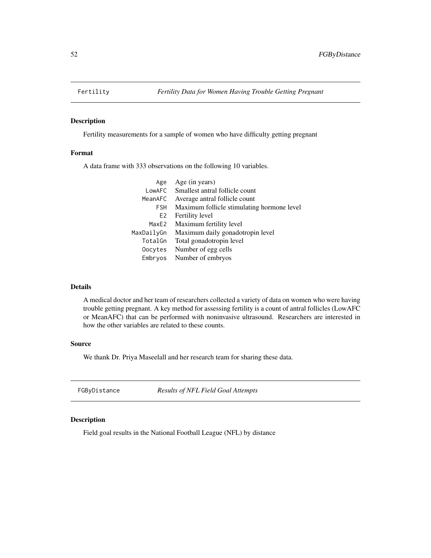Fertility measurements for a sample of women who have difficulty getting pregnant

## Format

A data frame with 333 observations on the following 10 variables.

| Age            | Age (in years)                             |
|----------------|--------------------------------------------|
| LowAFC         | Smallest antral follicle count             |
| MeanAFC        | Average antral follicle count              |
| <b>FSH</b>     | Maximum follicle stimulating hormone level |
| E <sub>2</sub> | Fertility level                            |
| MaxE2          | Maximum fertility level                    |
| MaxDailyGn     | Maximum daily gonadotropin level           |
| TotalGn        | Total gonadotropin level                   |
| Oocytes        | Number of egg cells                        |
| Embryos        | Number of embryos                          |
|                |                                            |

# Details

A medical doctor and her team of researchers collected a variety of data on women who were having trouble getting pregnant. A key method for assessing fertility is a count of antral follicles (LowAFC or MeanAFC) that can be performed with noninvasive ultrasound. Researchers are interested in how the other variables are related to these counts.

## Source

We thank Dr. Priya Maseelall and her research team for sharing these data.

FGByDistance *Results of NFL Field Goal Attempts*

## Description

Field goal results in the National Football League (NFL) by distance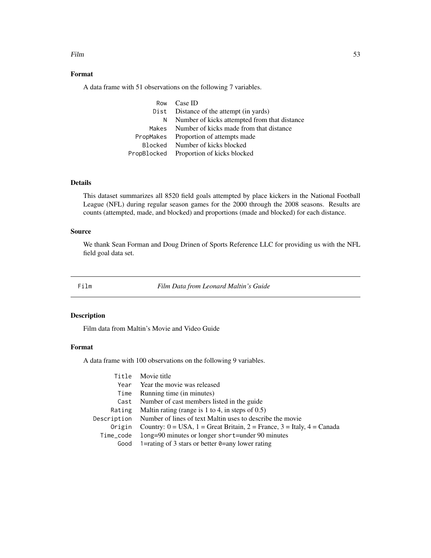## Film 53

# Format

A data frame with 51 observations on the following 7 variables.

|    | Row Case ID                                   |
|----|-----------------------------------------------|
|    | Dist Distance of the attempt (in yards)       |
| N. | Number of kicks attempted from that distance  |
|    | Makes Number of kicks made from that distance |
|    | PropMakes Proportion of attempts made         |
|    | Blocked Number of kicks blocked               |
|    | PropBlocked Proportion of kicks blocked       |
|    |                                               |

# Details

This dataset summarizes all 8520 field goals attempted by place kickers in the National Football League (NFL) during regular season games for the 2000 through the 2008 seasons. Results are counts (attempted, made, and blocked) and proportions (made and blocked) for each distance.

## Source

We thank Sean Forman and Doug Drinen of Sports Reference LLC for providing us with the NFL field goal data set.

Film *Film Data from Leonard Maltin's Guide*

## Description

Film data from Maltin's Movie and Video Guide

# Format

A data frame with 100 observations on the following 9 variables.

| Title Movie title                                                                           |
|---------------------------------------------------------------------------------------------|
| Year Year the movie was released                                                            |
| Running time (in minutes)                                                                   |
| Number of cast members listed in the guide                                                  |
| Maltin rating (range is 1 to 4, in steps of $0.5$ )                                         |
| Description Number of lines of text Maltin uses to describe the movie                       |
| Origin Country: $0 = USA$ , $1 = Great Britain$ , $2 = France$ , $3 = Italy$ , $4 = Canada$ |
| long=90 minutes or longer short=under 90 minutes                                            |
| 1=rating of 3 stars or better $\theta$ =any lower rating                                    |
|                                                                                             |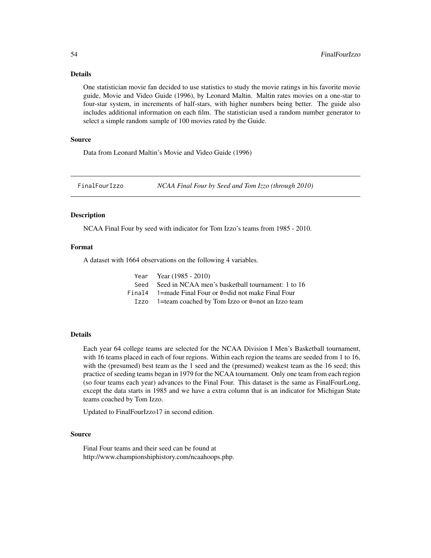# Details

One statistician movie fan decided to use statistics to study the movie ratings in his favorite movie guide, Movie and Video Guide (1996), by Leonard Maltin. Maltin rates movies on a one-star to four-star system, in increments of half-stars, with higher numbers being better. The guide also includes additional information on each film. The statistician used a random number generator to select a simple random sample of 100 movies rated by the Guide.

## Source

Data from Leonard Maltin's Movie and Video Guide (1996)

FinalFourIzzo *NCAA Final Four by Seed and Tom Izzo (through 2010)*

## **Description**

NCAA Final Four by seed with indicator for Tom Izzo's teams from 1985 - 2010.

## Format

A dataset with 1664 observations on the following 4 variables.

| Year Year $(1985 - 2010)$                                       |
|-----------------------------------------------------------------|
| Seed Seed in NCAA men's basketball tournament: 1 to 16          |
| Final 4 $\alpha$ 1=made Final Four or 0=did not make Final Four |
| Izzo 1=team coached by Tom Izzo or 0=not an Izzo team           |

## Details

Each year 64 college teams are selected for the NCAA Division I Men's Basketball tournament, with 16 teams placed in each of four regions. Within each region the teams are seeded from 1 to 16, with the (presumed) best team as the 1 seed and the (presumed) weakest team as the 16 seed; this practice of seeding teams began in 1979 for the NCAA tournament. Only one team from each region (so four teams each year) advances to the Final Four. This dataset is the same as FinalFourLong, except the data starts in 1985 and we have a extra column that is an indicator for Michigan State teams coached by Tom Izzo.

Updated to FinalFourIzzo17 in second edition.

# Source

Final Four teams and their seed can be found at http://www.championshiphistory.com/ncaahoops.php.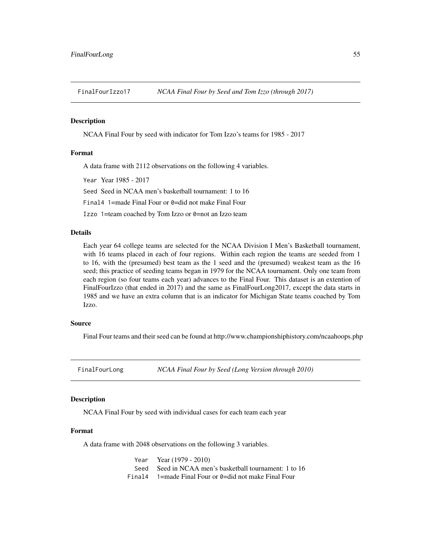NCAA Final Four by seed with indicator for Tom Izzo's teams for 1985 - 2017

### Format

A data frame with 2112 observations on the following 4 variables.

Year Year 1985 - 2017

Seed Seed in NCAA men's basketball tournament: 1 to 16

Final4 1=made Final Four or 0=did not make Final Four

Izzo 1=team coached by Tom Izzo or 0=not an Izzo team

## Details

Each year 64 college teams are selected for the NCAA Division I Men's Basketball tournament, with 16 teams placed in each of four regions. Within each region the teams are seeded from 1 to 16, with the (presumed) best team as the 1 seed and the (presumed) weakest team as the 16 seed; this practice of seeding teams began in 1979 for the NCAA tournament. Only one team from each region (so four teams each year) advances to the Final Four. This dataset is an extention of FinalFourIzzo (that ended in 2017) and the same as FinalFourLong2017, except the data starts in 1985 and we have an extra column that is an indicator for Michigan State teams coached by Tom Izzo.

### Source

Final Four teams and their seed can be found at http://www.championshiphistory.com/ncaahoops.php

FinalFourLong *NCAA Final Four by Seed (Long Version through 2010)*

## Description

NCAA Final Four by seed with individual cases for each team each year

## Format

A data frame with 2048 observations on the following 3 variables.

| Year Year $(1979 - 2010)$                                 |
|-----------------------------------------------------------|
| Seed Seed in NCAA men's basketball tournament: 1 to 16    |
| Final 4 $1$ =made Final Four or 0=did not make Final Four |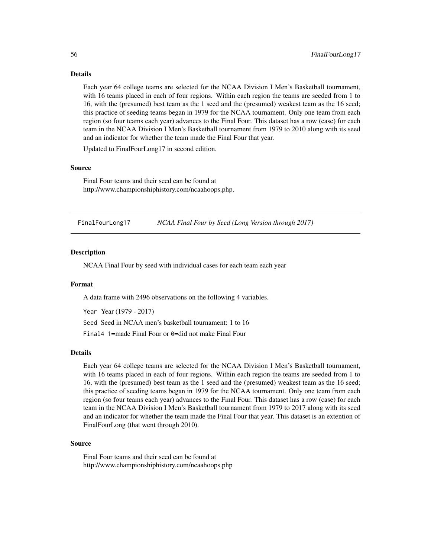# Details

Each year 64 college teams are selected for the NCAA Division I Men's Basketball tournament, with 16 teams placed in each of four regions. Within each region the teams are seeded from 1 to 16, with the (presumed) best team as the 1 seed and the (presumed) weakest team as the 16 seed; this practice of seeding teams began in 1979 for the NCAA tournament. Only one team from each region (so four teams each year) advances to the Final Four. This dataset has a row (case) for each team in the NCAA Division I Men's Basketball tournament from 1979 to 2010 along with its seed and an indicator for whether the team made the Final Four that year.

Updated to FinalFourLong17 in second edition.

### Source

Final Four teams and their seed can be found at http://www.championshiphistory.com/ncaahoops.php.

FinalFourLong17 *NCAA Final Four by Seed (Long Version through 2017)*

### Description

NCAA Final Four by seed with individual cases for each team each year

### Format

A data frame with 2496 observations on the following 4 variables.

Year Year (1979 - 2017) Seed Seed in NCAA men's basketball tournament: 1 to 16 Final4 1=made Final Four or 0=did not make Final Four

### Details

Each year 64 college teams are selected for the NCAA Division I Men's Basketball tournament, with 16 teams placed in each of four regions. Within each region the teams are seeded from 1 to 16, with the (presumed) best team as the 1 seed and the (presumed) weakest team as the 16 seed; this practice of seeding teams began in 1979 for the NCAA tournament. Only one team from each region (so four teams each year) advances to the Final Four. This dataset has a row (case) for each team in the NCAA Division I Men's Basketball tournament from 1979 to 2017 along with its seed and an indicator for whether the team made the Final Four that year. This dataset is an extention of FinalFourLong (that went through 2010).

## Source

Final Four teams and their seed can be found at http://www.championshiphistory.com/ncaahoops.php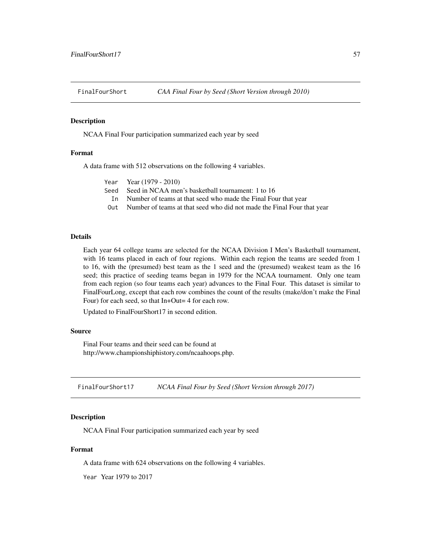NCAA Final Four participation summarized each year by seed

# Format

A data frame with 512 observations on the following 4 variables.

| Number of teams at that seed who made the Final Four that year         |
|------------------------------------------------------------------------|
| Number of teams at that seed who did not made the Final Four that year |
|                                                                        |
|                                                                        |

# Details

Each year 64 college teams are selected for the NCAA Division I Men's Basketball tournament, with 16 teams placed in each of four regions. Within each region the teams are seeded from 1 to 16, with the (presumed) best team as the 1 seed and the (presumed) weakest team as the 16 seed; this practice of seeding teams began in 1979 for the NCAA tournament. Only one team from each region (so four teams each year) advances to the Final Four. This dataset is similar to FinalFourLong, except that each row combines the count of the results (make/don't make the Final Four) for each seed, so that In+Out= 4 for each row.

Updated to FinalFourShort17 in second edition.

### Source

Final Four teams and their seed can be found at http://www.championshiphistory.com/ncaahoops.php.

FinalFourShort17 *NCAA Final Four by Seed (Short Version through 2017)*

## Description

NCAA Final Four participation summarized each year by seed

## Format

A data frame with 624 observations on the following 4 variables.

Year Year 1979 to 2017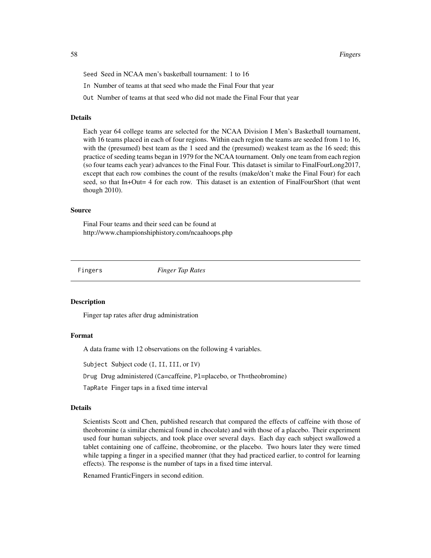58 Fingers and the contract of the contract of the contract of the contract of the contract of the contract of the contract of the contract of the contract of the contract of the contract of the contract of the contract of

Seed Seed in NCAA men's basketball tournament: 1 to 16

In Number of teams at that seed who made the Final Four that year

Out Number of teams at that seed who did not made the Final Four that year

# Details

Each year 64 college teams are selected for the NCAA Division I Men's Basketball tournament, with 16 teams placed in each of four regions. Within each region the teams are seeded from 1 to 16, with the (presumed) best team as the 1 seed and the (presumed) weakest team as the 16 seed; this practice of seeding teams began in 1979 for the NCAA tournament. Only one team from each region (so four teams each year) advances to the Final Four. This dataset is similar to FinalFourLong2017, except that each row combines the count of the results (make/don't make the Final Four) for each seed, so that In+Out= 4 for each row. This dataset is an extention of FinalFourShort (that went though 2010).

### Source

Final Four teams and their seed can be found at http://www.championshiphistory.com/ncaahoops.php

Fingers *Finger Tap Rates*

## Description

Finger tap rates after drug administration

# Format

A data frame with 12 observations on the following 4 variables.

Subject Subject code (I, II, III, or IV)

Drug Drug administered (Ca=caffeine, Pl=placebo, or Th=theobromine)

TapRate Finger taps in a fixed time interval

## Details

Scientists Scott and Chen, published research that compared the effects of caffeine with those of theobromine (a similar chemical found in chocolate) and with those of a placebo. Their experiment used four human subjects, and took place over several days. Each day each subject swallowed a tablet containing one of caffeine, theobromine, or the placebo. Two hours later they were timed while tapping a finger in a specified manner (that they had practiced earlier, to control for learning effects). The response is the number of taps in a fixed time interval.

Renamed FranticFingers in second edition.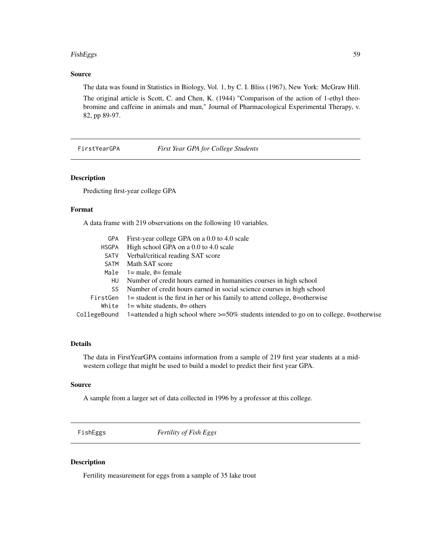### FishEggs 59

# Source

The data was found in Statistics in Biology, Vol. 1, by C. I. Bliss (1967), New York: McGraw Hill.

The original article is Scott, C. and Chen, K. (1944) "Comparison of the action of 1-ethyl theobromine and caffeine in animals and man," Journal of Pharmacological Experimental Therapy, v. 82, pp 89-97.

FirstYearGPA *First Year GPA for College Students*

# Description

Predicting first-year college GPA

## Format

A data frame with 219 observations on the following 10 variables.

| GPA          | First-year college GPA on a 0.0 to 4.0 scale                                                 |
|--------------|----------------------------------------------------------------------------------------------|
| <b>HSGPA</b> | High school GPA on a 0.0 to 4.0 scale                                                        |
| <b>SATV</b>  | Verbal/critical reading SAT score                                                            |
| SATM         | Math SAT score                                                                               |
| Male         | $1 = male$ , $0 = female$                                                                    |
| HU           | Number of credit hours earned in humanities courses in high school                           |
| SS.          | Number of credit hours earned in social science courses in high school                       |
| FirstGen     | 1= student is the first in her or his family to attend college, $\theta$ =otherwise          |
| White        | 1= white students, $\theta$ = others                                                         |
| CollegeBound | 1=attended a high school where $\ge$ =50% students intended to go on to college, 0=otherwise |
|              |                                                                                              |

# Details

The data in FirstYearGPA contains information from a sample of 219 first year students at a midwestern college that might be used to build a model to predict their first year GPA.

## Source

A sample from a larger set of data collected in 1996 by a professor at this college.

FishEggs *Fertility of Fish Eggs*

# Description

Fertility measurement for eggs from a sample of 35 lake trout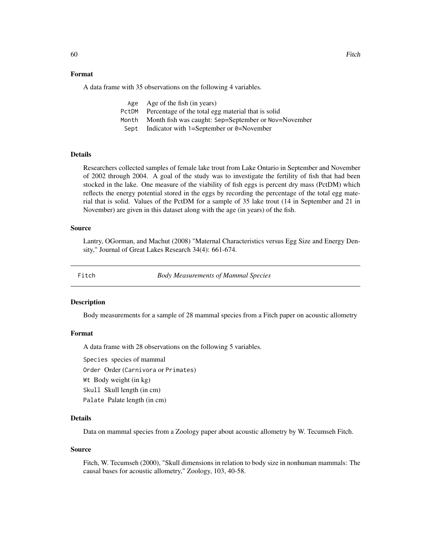# Format

A data frame with 35 observations on the following 4 variables.

| Age Age of the fish (in years)                             |
|------------------------------------------------------------|
| PctDM Percentage of the total egg material that is solid   |
| Month Month fish was caught: Sep=September or Nov=November |
| Sept Indicator with 1=September or $\theta$ =November      |

# Details

Researchers collected samples of female lake trout from Lake Ontario in September and November of 2002 through 2004. A goal of the study was to investigate the fertility of fish that had been stocked in the lake. One measure of the viability of fish eggs is percent dry mass (PctDM) which reflects the energy potential stored in the eggs by recording the percentage of the total egg material that is solid. Values of the PctDM for a sample of 35 lake trout (14 in September and 21 in November) are given in this dataset along with the age (in years) of the fish.

### Source

Lantry, OGorman, and Machut (2008) "Maternal Characteristics versus Egg Size and Energy Density," Journal of Great Lakes Research 34(4): 661-674.

Fitch *Body Measurements of Mammal Species*

## **Description**

Body measurements for a sample of 28 mammal species from a Fitch paper on acoustic allometry

# Format

A data frame with 28 observations on the following 5 variables.

Species species of mammal

Order Order (Carnivora or Primates)

Wt Body weight (in kg)

Skull Skull length (in cm)

Palate Palate length (in cm)

## Details

Data on mammal species from a Zoology paper about acoustic allometry by W. Tecumseh Fitch.

### Source

Fitch, W. Tecumseh (2000), "Skull dimensions in relation to body size in nonhuman mammals: The causal bases for acoustic allometry," Zoology, 103, 40-58.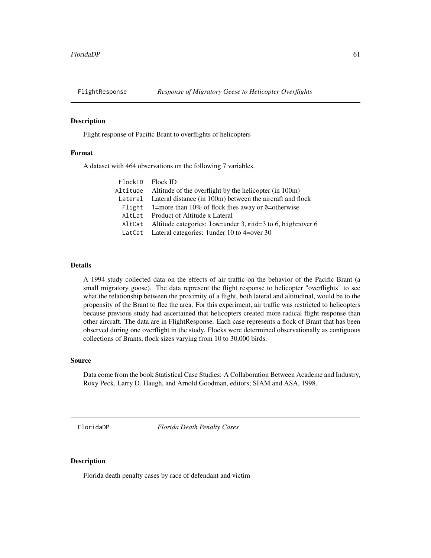Flight response of Pacific Brant to overflights of helicopters

# Format

A dataset with 464 observations on the following 7 variables.

| FlockID Flock ID |                                                                   |
|------------------|-------------------------------------------------------------------|
|                  | Altitude Altitude of the overflight by the helicopter (in 100m)   |
|                  | Lateral Lateral distance (in 100m) between the aircraft and flock |
|                  | Flight $1=$ more than 10% of flock flies away or 0=otherwise      |
| Altlat           | Product of Altitude x Lateral                                     |
|                  | AltCat Altitude categories: low=under 3, mid=3 to 6, high=over 6  |
|                  | LatCat Lateral categories: 1 under 10 to 4=over 30                |

## Details

A 1994 study collected data on the effects of air traffic on the behavior of the Pacific Brant (a small migratory goose). The data represent the flight response to helicopter "overflights" to see what the relationship between the proximity of a flight, both lateral and altitudinal, would be to the propensity of the Brant to flee the area. For this experiment, air traffic was restricted to helicopters because previous study had ascertained that helicopters created more radical flight response than other aircraft. The data are in FlightResponse. Each case represents a flock of Brant that has been observed during one overflight in the study. Flocks were determined observationally as contiguous collections of Brants, flock sizes varying from 10 to 30,000 birds.

### Source

Data come from the book Statistical Case Studies: A Collaboration Between Academe and Industry, Roxy Peck, Larry D. Haugh, and Arnold Goodman, editors; SIAM and ASA, 1998.

FloridaDP *Florida Death Penalty Cases*

## **Description**

Florida death penalty cases by race of defendant and victim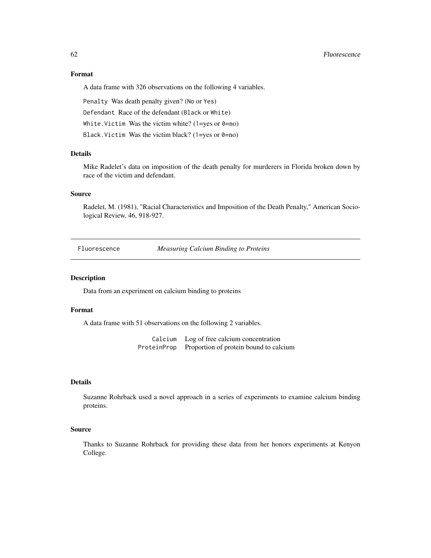### 62 Fluorescence **Fluorescence Fluorescence**

# Format

A data frame with 326 observations on the following 4 variables.

Penalty Was death penalty given? (No or Yes)

Defendant Race of the defendant (Black or White)

White. Victim Was the victim white?  $(1 = yes \text{ or } 0 = no)$ 

Black. Victim Was the victim black? (1=yes or 0=no)

# Details

Mike Radelet's data on imposition of the death penalty for murderers in Florida broken down by race of the victim and defendant.

# Source

Radelet, M. (1981), "Racial Characteristics and Imposition of the Death Penalty," American Sociological Review, 46, 918-927.

Fluorescence *Measuring Calcium Binding to Proteins*

## Description

Data from an experiment on calcium binding to proteins

### Format

A data frame with 51 observations on the following 2 variables.

Calcium Log of free calcium concentration ProteinProp Proportion of protein bound to calcium

### Details

Suzanne Rohrback used a novel approach in a series of experiments to examine calcium binding proteins.

## Source

Thanks to Suzanne Rohrback for providing these data from her honors experiments at Kenyon College.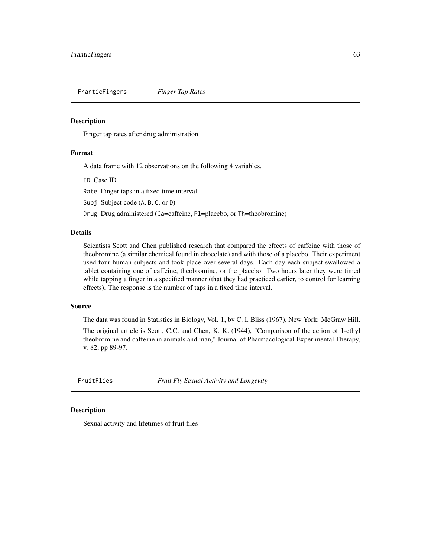FranticFingers *Finger Tap Rates*

## Description

Finger tap rates after drug administration

# Format

A data frame with 12 observations on the following 4 variables.

ID Case ID

Rate Finger taps in a fixed time interval

Subj Subject code (A, B, C, or D)

Drug Drug administered (Ca=caffeine, Pl=placebo, or Th=theobromine)

### Details

Scientists Scott and Chen published research that compared the effects of caffeine with those of theobromine (a similar chemical found in chocolate) and with those of a placebo. Their experiment used four human subjects and took place over several days. Each day each subject swallowed a tablet containing one of caffeine, theobromine, or the placebo. Two hours later they were timed while tapping a finger in a specified manner (that they had practiced earlier, to control for learning effects). The response is the number of taps in a fixed time interval.

## Source

The data was found in Statistics in Biology, Vol. 1, by C. I. Bliss (1967), New York: McGraw Hill.

The original article is Scott, C.C. and Chen, K. K. (1944), "Comparison of the action of 1-ethyl theobromine and caffeine in animals and man," Journal of Pharmacological Experimental Therapy, v. 82, pp 89-97.

FruitFlies *Fruit Fly Sexual Activity and Longevity*

## Description

Sexual activity and lifetimes of fruit flies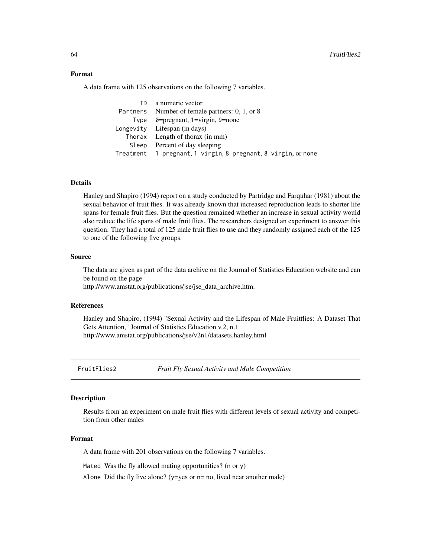## Format

A data frame with 125 observations on the following 7 variables.

| ID a numeric vector                                                 |
|---------------------------------------------------------------------|
| Partners Number of female partners: 0, 1, or 8                      |
| Type $\theta = \text{pregnant}, 1 = \text{virgin}, 9 = \text{none}$ |
| Longevity Lifespan (in days)                                        |
| Thorax Length of thorax (in mm)                                     |
| Sleep Percent of day sleeping                                       |
| Treatment 1 pregnant, 1 virgin, 8 pregnant, 8 virgin, or none       |

# Details

Hanley and Shapiro (1994) report on a study conducted by Partridge and Farquhar (1981) about the sexual behavior of fruit flies. It was already known that increased reproduction leads to shorter life spans for female fruit flies. But the question remained whether an increase in sexual activity would also reduce the life spans of male fruit flies. The researchers designed an experiment to answer this question. They had a total of 125 male fruit flies to use and they randomly assigned each of the 125 to one of the following five groups.

## Source

The data are given as part of the data archive on the Journal of Statistics Education website and can be found on the page

http://www.amstat.org/publications/jse/jse\_data\_archive.htm.

## References

Hanley and Shapiro, (1994) "Sexual Activity and the Lifespan of Male Fruitflies: A Dataset That Gets Attention," Journal of Statistics Education v.2, n.1 http://www.amstat.org/publications/jse/v2n1/datasets.hanley.html

FruitFlies2 *Fruit Fly Sexual Activity and Male Competition*

### Description

Results from an experiment on male fruit flies with different levels of sexual activity and competition from other males

## Format

A data frame with 201 observations on the following 7 variables.

Mated Was the fly allowed mating opportunities? (n or y)

Alone Did the fly live alone? ( $y = yes$  or  $n = no$ , lived near another male)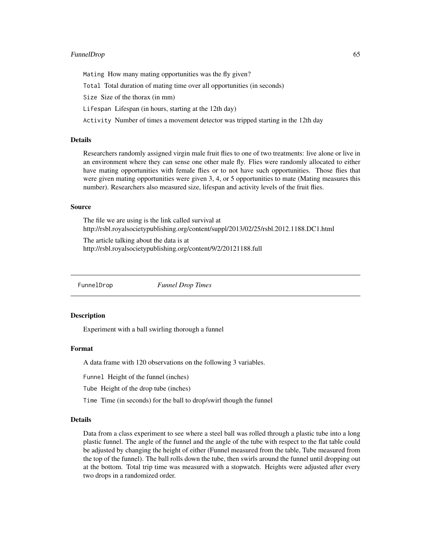## FunnelDrop 65

Mating How many mating opportunities was the fly given?

Total Total duration of mating time over all opportunities (in seconds)

Size Size of the thorax (in mm)

Lifespan Lifespan (in hours, starting at the 12th day)

Activity Number of times a movement detector was tripped starting in the 12th day

# Details

Researchers randomly assigned virgin male fruit flies to one of two treatments: live alone or live in an environment where they can sense one other male fly. Flies were randomly allocated to either have mating opportunities with female flies or to not have such opportunities. Those flies that were given mating opportunities were given 3, 4, or 5 opportunities to mate (Mating measures this number). Researchers also measured size, lifespan and activity levels of the fruit flies.

## Source

The file we are using is the link called survival at http://rsbl.royalsocietypublishing.org/content/suppl/2013/02/25/rsbl.2012.1188.DC1.html

The article talking about the data is at http://rsbl.royalsocietypublishing.org/content/9/2/20121188.full

FunnelDrop *Funnel Drop Times*

## **Description**

Experiment with a ball swirling thorough a funnel

### Format

A data frame with 120 observations on the following 3 variables.

Funnel Height of the funnel (inches)

Tube Height of the drop tube (inches)

Time Time (in seconds) for the ball to drop/swirl though the funnel

### Details

Data from a class experiment to see where a steel ball was rolled through a plastic tube into a long plastic funnel. The angle of the funnel and the angle of the tube with respect to the flat table could be adjusted by changing the height of either (Funnel measured from the table, Tube measured from the top of the funnel). The ball rolls down the tube, then swirls around the funnel until dropping out at the bottom. Total trip time was measured with a stopwatch. Heights were adjusted after every two drops in a randomized order.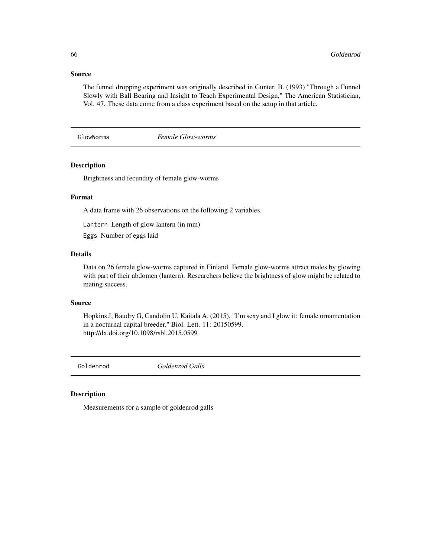## Source

The funnel dropping experiment was originally described in Gunter, B. (1993) "Through a Funnel Slowly with Ball Bearing and Insight to Teach Experimental Design," The American Statistician, Vol. 47. These data come from a class experiment based on the setup in that article.

## GlowWorms *Female Glow-worms*

# Description

Brightness and fecundity of female glow-worms

# Format

A data frame with 26 observations on the following 2 variables.

Lantern Length of glow lantern (in mm)

Eggs Number of eggs laid

# Details

Data on 26 female glow-worms captured in Finland. Female glow-worms attract males by glowing with part of their abdomen (lantern). Researchers believe the brightness of glow might be related to mating success.

### Source

Hopkins J, Baudry G, Candolin U, Kaitala A. (2015), "I'm sexy and I glow it: female ornamentation in a nocturnal capital breeder," Biol. Lett. 11: 20150599. http://dx.doi.org/10.1098/rsbl.2015.0599

Goldenrod *Goldenrod Galls*

## Description

Measurements for a sample of goldenrod galls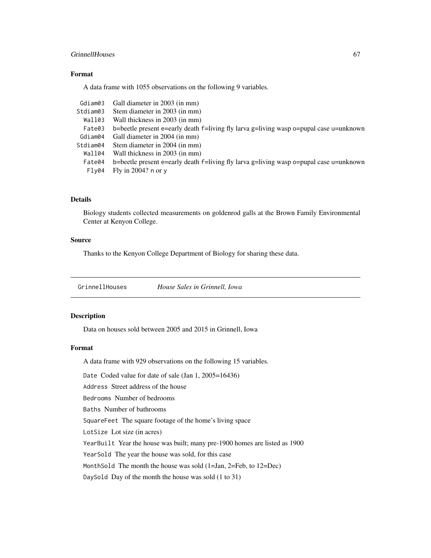## GrinnellHouses 67

# Format

A data frame with 1055 observations on the following 9 variables.

| Gdiam03  | Gall diameter in 2003 (in mm)                                                          |
|----------|----------------------------------------------------------------------------------------|
| Stdiam03 | Stem diameter in 2003 (in mm)                                                          |
| Wall03   | Wall thickness in 2003 (in mm)                                                         |
| Fate03   | b=beetle present e=early death f=living fly larva g=living wasp o=pupal case u=unknown |
| Gdiam04  | Gall diameter in 2004 (in mm)                                                          |
| Stdiam04 | Stem diameter in 2004 (in mm)                                                          |
| Wall04   | Wall thickness in 2003 (in mm)                                                         |
| Fate04   | b=beetle present e=early death f=living fly larva g=living wasp o=pupal case u=unknown |
| Flv04    | Fly in $2004$ ? n or y                                                                 |
|          |                                                                                        |

# Details

Biology students collected measurements on goldenrod galls at the Brown Family Environmental Center at Kenyon College.

# Source

Thanks to the Kenyon College Department of Biology for sharing these data.

GrinnellHouses *House Sales in Grinnell, Iowa*

## Description

Data on houses sold between 2005 and 2015 in Grinnell, Iowa

## Format

A data frame with 929 observations on the following 15 variables.

Date Coded value for date of sale (Jan 1, 2005=16436)

Address Street address of the house

Bedrooms Number of bedrooms

Baths Number of bathrooms

SquareFeet The square footage of the home's living space

LotSize Lot size (in acres)

YearBuilt Year the house was built; many pre-1900 homes are listed as 1900

YearSold The year the house was sold, for this case

MonthSold The month the house was sold (1=Jan, 2=Feb, to 12=Dec)

DaySold Day of the month the house was sold (1 to 31)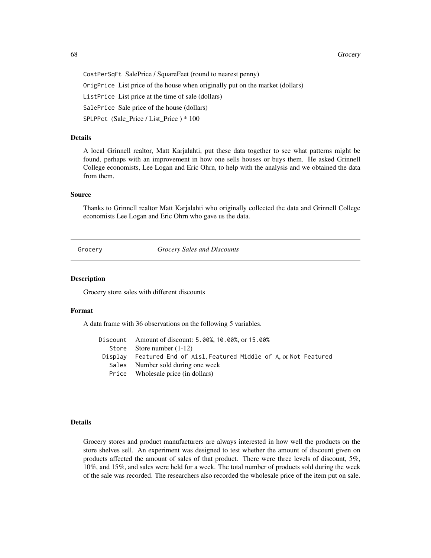68 Grocery Services and the contract of the contract of the contract of the contract of the contract of the contract of the contract of the contract of the contract of the contract of the contract of the contract of the co

CostPerSqFt SalePrice / SquareFeet (round to nearest penny) OrigPrice List price of the house when originally put on the market (dollars) ListPrice List price at the time of sale (dollars) SalePrice Sale price of the house (dollars) SPLPPct (Sale Price / List Price ) \* 100

## Details

A local Grinnell realtor, Matt Karjalahti, put these data together to see what patterns might be found, perhaps with an improvement in how one sells houses or buys them. He asked Grinnell College economists, Lee Logan and Eric Ohrn, to help with the analysis and we obtained the data from them.

### Source

Thanks to Grinnell realtor Matt Karjalahti who originally collected the data and Grinnell College economists Lee Logan and Eric Ohrn who gave us the data.

Grocery *Grocery Sales and Discounts*

## Description

Grocery store sales with different discounts

### Format

A data frame with 36 observations on the following 5 variables.

| Discount Amount of discount: 5.00%, 10.00%, or 15.00%               |
|---------------------------------------------------------------------|
| Store Store number $(1-12)$                                         |
| Display Featured End of Aisl, Featured Middle of A, or Not Featured |
| Sales Number sold during one week                                   |
| Price Wholesale price (in dollars)                                  |

# Details

Grocery stores and product manufacturers are always interested in how well the products on the store shelves sell. An experiment was designed to test whether the amount of discount given on products affected the amount of sales of that product. There were three levels of discount, 5%, 10%, and 15%, and sales were held for a week. The total number of products sold during the week of the sale was recorded. The researchers also recorded the wholesale price of the item put on sale.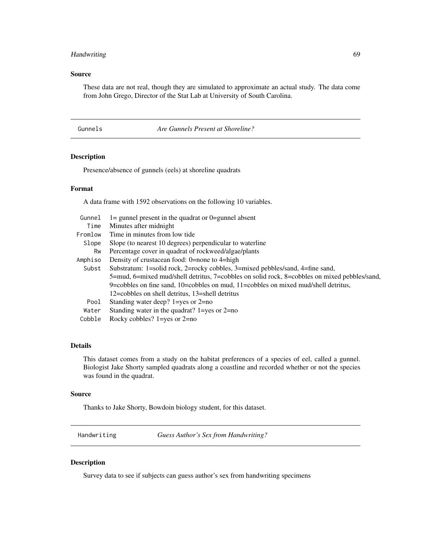# Handwriting 69

# Source

These data are not real, though they are simulated to approximate an actual study. The data come from John Grego, Director of the Stat Lab at University of South Carolina.

Gunnels *Are Gunnels Present at Shoreline?*

# Description

Presence/absence of gunnels (eels) at shoreline quadrats

### Format

A data frame with 1592 observations on the following 10 variables.

| Gunnel  | $l =$ gunnel present in the quadrat or $0 =$ gunnel absent                                   |
|---------|----------------------------------------------------------------------------------------------|
| Time    | Minutes after midnight                                                                       |
| Fromlow | Time in minutes from low tide                                                                |
| Slope   | Slope (to nearest 10 degrees) perpendicular to waterline                                     |
| Rw      | Percentage cover in quadrat of rockweed/algae/plants                                         |
| Amphiso | Density of crustacean food: 0=none to 4=high                                                 |
| Subst   | Substratum: 1=solid rock, 2=rocky cobbles, 3=mixed pebbles/sand, 4=fine sand,                |
|         | 5=mud, 6=mixed mud/shell detritus, 7=cobbles on solid rock, 8=cobbles on mixed pebbles/sand, |
|         | 9=cobbles on fine sand, 10=cobbles on mud, 11=cobbles on mixed mud/shell detritus,           |
|         | 12=cobbles on shell detritus, 13=shell detritus                                              |
| Pool    | Standing water deep? $1 = yes$ or $2 = no$                                                   |
| Water   | Standing water in the quadrat? $1 = yes$ or $2 = no$                                         |
| Cobble  | Rocky cobbles? $1 = yes$ or $2 = no$                                                         |

# Details

This dataset comes from a study on the habitat preferences of a species of eel, called a gunnel. Biologist Jake Shorty sampled quadrats along a coastline and recorded whether or not the species was found in the quadrat.

### Source

Thanks to Jake Shorty, Bowdoin biology student, for this dataset.

Handwriting *Guess Author's Sex from Handwriting?*

## Description

Survey data to see if subjects can guess author's sex from handwriting specimens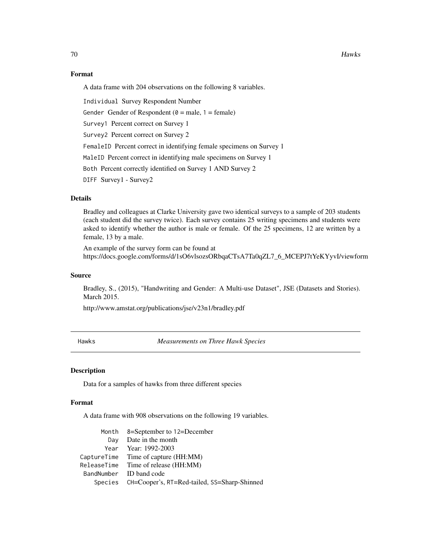# Format

A data frame with 204 observations on the following 8 variables.

Individual Survey Respondent Number

Gender Gender of Respondent ( $\theta$  = male, 1 = female)

Survey1 Percent correct on Survey 1

Survey2 Percent correct on Survey 2

FemaleID Percent correct in identifying female specimens on Survey 1

MaleID Percent correct in identifying male specimens on Survey 1

Both Percent correctly identified on Survey 1 AND Survey 2

DIFF Survey1 - Survey2

# Details

Bradley and colleagues at Clarke University gave two identical surveys to a sample of 203 students (each student did the survey twice). Each survey contains 25 writing specimens and students were asked to identify whether the author is male or female. Of the 25 specimens, 12 are written by a female, 13 by a male.

An example of the survey form can be found at https://docs.google.com/forms/d/1sO6vlsozsORbqaCTsA7Ta0qZL7\_6\_MCEPJ7tYeKYyvI/viewform

### Source

Bradley, S., (2015), "Handwriting and Gender: A Multi-use Dataset", JSE (Datasets and Stories). March 2015.

http://www.amstat.org/publications/jse/v23n1/bradley.pdf

Hawks *Measurements on Three Hawk Species*

### Description

Data for a samples of hawks from three different species

## Format

A data frame with 908 observations on the following 19 variables.

|     | Month 8=September to 12=December                     |
|-----|------------------------------------------------------|
| Dav | Date in the month                                    |
|     | Year Year: 1992-2003                                 |
|     | CaptureTime Time of capture (HH:MM)                  |
|     | ReleaseTime Time of release (HH:MM)                  |
|     | BandNumber ID band code                              |
|     | Species CH=Cooper's, RT=Red-tailed, SS=Sharp-Shinned |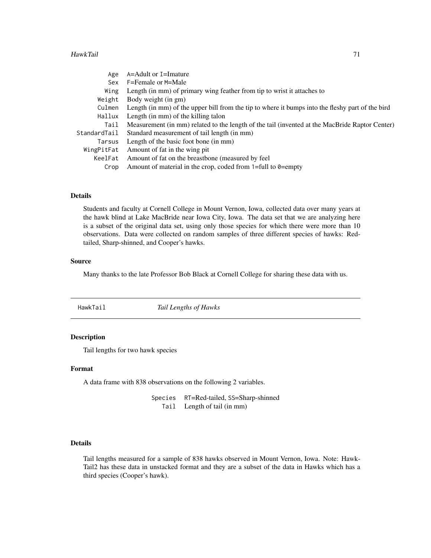### HawkTail 71

| Age          | A=Adult or I=Imature                                                                             |
|--------------|--------------------------------------------------------------------------------------------------|
| Sex          | F=Female or M=Male                                                                               |
| Wing         | Length (in mm) of primary wing feather from tip to wrist it attaches to                          |
| Weight       | Body weight (in gm)                                                                              |
| Culmen       | Length (in mm) of the upper bill from the tip to where it bumps into the fleshy part of the bird |
| Hallux       | Length (in mm) of the killing talon                                                              |
| Tail         | Measurement (in mm) related to the length of the tail (invented at the MacBride Raptor Center)   |
| StandardTail | Standard measurement of tail length (in mm)                                                      |
| Tarsus       | Length of the basic foot bone (in mm)                                                            |
| WingPitFat   | Amount of fat in the wing pit                                                                    |
| KeelFat      | Amount of fat on the breastbone (measured by feel)                                               |
| Crop         | Amount of material in the crop, coded from $1 = full$ to $0 = empty$                             |
|              |                                                                                                  |

# Details

Students and faculty at Cornell College in Mount Vernon, Iowa, collected data over many years at the hawk blind at Lake MacBride near Iowa City, Iowa. The data set that we are analyzing here is a subset of the original data set, using only those species for which there were more than 10 observations. Data were collected on random samples of three different species of hawks: Redtailed, Sharp-shinned, and Cooper's hawks.

### Source

Many thanks to the late Professor Bob Black at Cornell College for sharing these data with us.

| HawkTail | Tail Lengths of Hawks |  |
|----------|-----------------------|--|
|          |                       |  |

# Description

Tail lengths for two hawk species

## Format

A data frame with 838 observations on the following 2 variables.

Species RT=Red-tailed, SS=Sharp-shinned Tail Length of tail (in mm)

# Details

Tail lengths measured for a sample of 838 hawks observed in Mount Vernon, Iowa. Note: Hawk-Tail2 has these data in unstacked format and they are a subset of the data in Hawks which has a third species (Cooper's hawk).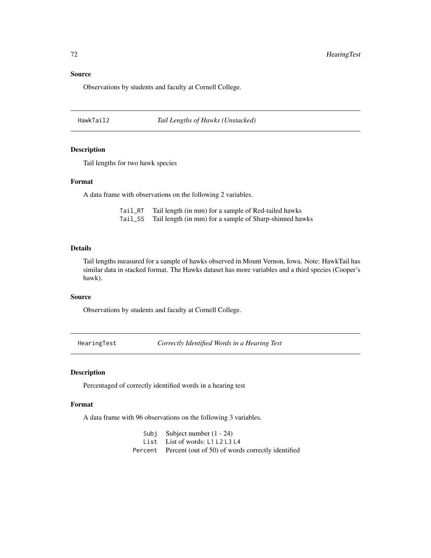## Source

Observations by students and faculty at Cornell College.

HawkTail2 *Tail Lengths of Hawks (Unstacked)*

## Description

Tail lengths for two hawk species

# Format

A data frame with observations on the following 2 variables.

Tail\_RT Tail length (in mm) for a sample of Red-tailed hawks Tail\_SS Tail length (in mm) for a sample of Sharp-shinned hawks

## Details

Tail lengths measured for a sample of hawks observed in Mount Vernon, Iowa. Note: HawkTail has similar data in stacked format. The Hawks dataset has more variables and a third species (Cooper's hawk).

## Source

Observations by students and faculty at Cornell College.

HearingTest *Correctly Identified Words in a Hearing Test*

# Description

Percentaged of correctly identified words in a hearing test

# Format

A data frame with 96 observations on the following 3 variables.

Subj Subject number (1 - 24) List List of words: L1 L2 L3 L4 Percent Percent (out of 50) of words correctly identified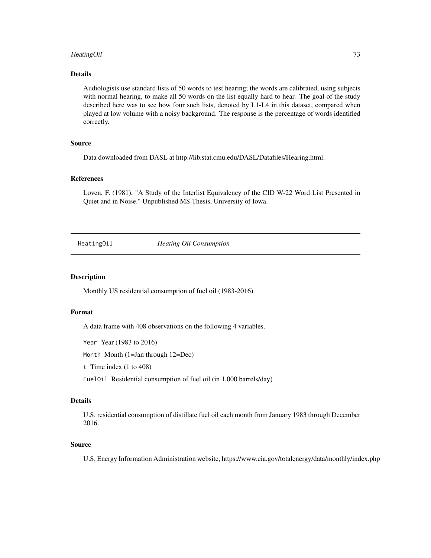# HeatingOil 73

# Details

Audiologists use standard lists of 50 words to test hearing; the words are calibrated, using subjects with normal hearing, to make all 50 words on the list equally hard to hear. The goal of the study described here was to see how four such lists, denoted by L1-L4 in this dataset, compared when played at low volume with a noisy background. The response is the percentage of words identified correctly.

# Source

Data downloaded from DASL at http://lib.stat.cmu.edu/DASL/Datafiles/Hearing.html.

# References

Loven, F. (1981), "A Study of the Interlist Equivalency of the CID W-22 Word List Presented in Quiet and in Noise." Unpublished MS Thesis, University of Iowa.

HeatingOil *Heating Oil Consumption*

#### **Description**

Monthly US residential consumption of fuel oil (1983-2016)

## Format

A data frame with 408 observations on the following 4 variables.

Year Year (1983 to 2016)

Month Month (1=Jan through 12=Dec)

t Time index (1 to 408)

FuelOil Residential consumption of fuel oil (in 1,000 barrels/day)

## Details

U.S. residential consumption of distillate fuel oil each month from January 1983 through December 2016.

## Source

U.S. Energy Information Administration website, https://www.eia.gov/totalenergy/data/monthly/index.php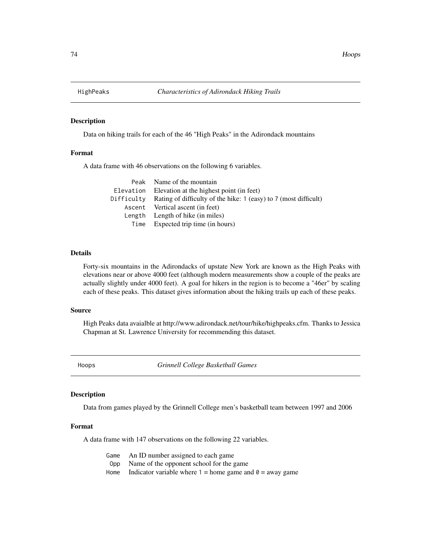Data on hiking trails for each of the 46 "High Peaks" in the Adirondack mountains

# Format

A data frame with 46 observations on the following 6 variables.

| Peak Name of the mountain                                                   |
|-----------------------------------------------------------------------------|
| Elevation Elevation at the highest point (in feet)                          |
| Difficulty Rating of difficulty of the hike: 1 (easy) to 7 (most difficult) |
| Ascent Vertical ascent (in feet)                                            |
| Length Length of hike (in miles)                                            |
| Time Expected trip time (in hours)                                          |

## Details

Forty-six mountains in the Adirondacks of upstate New York are known as the High Peaks with elevations near or above 4000 feet (although modern measurements show a couple of the peaks are actually slightly under 4000 feet). A goal for hikers in the region is to become a "46er" by scaling each of these peaks. This dataset gives information about the hiking trails up each of these peaks.

#### Source

High Peaks data avaialble at http://www.adirondack.net/tour/hike/highpeaks.cfm. Thanks to Jessica Chapman at St. Lawrence University for recommending this dataset.

Hoops *Grinnell College Basketball Games*

# Description

Data from games played by the Grinnell College men's basketball team between 1997 and 2006

## Format

A data frame with 147 observations on the following 22 variables.

| Game An ID number assigned to each game                           |
|-------------------------------------------------------------------|
| Opp Name of the opponent school for the game                      |
| Home Indicator variable where $1 =$ home game and $0 =$ away game |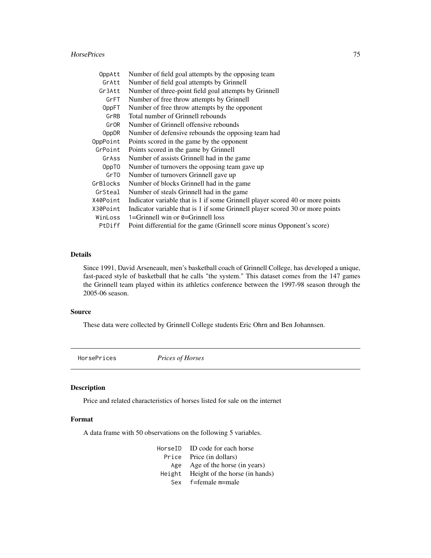#### HorsePrices 75

| OppAtt   | Number of field goal attempts by the opposing team                            |
|----------|-------------------------------------------------------------------------------|
| GrAtt    | Number of field goal attempts by Grinnell                                     |
| Gr3Att   | Number of three-point field goal attempts by Grinnell                         |
| GrFT     | Number of free throw attempts by Grinnell                                     |
| OppFT    | Number of free throw attempts by the opponent                                 |
| GrRB     | Total number of Grinnell rebounds                                             |
| GrOR     | Number of Grinnell offensive rebounds                                         |
| OppDR    | Number of defensive rebounds the opposing team had                            |
| OppPoint | Points scored in the game by the opponent                                     |
| GrPoint  | Points scored in the game by Grinnell                                         |
| GrAss    | Number of assists Grinnell had in the game                                    |
| OppT0    | Number of turnovers the opposing team gave up                                 |
| GrTO     | Number of turnovers Grinnell gave up                                          |
| GrBlocks | Number of blocks Grinnell had in the game                                     |
| GrSteal  | Number of steals Grinnell had in the game                                     |
| X40Point | Indicator variable that is 1 if some Grinnell player scored 40 or more points |
| X30Point | Indicator variable that is 1 if some Grinnell player scored 30 or more points |
| WinLoss  | 1=Grinnell win or $\theta$ =Grinnell loss                                     |
| PtDiff   | Point differential for the game (Grinnell score minus Opponent's score)       |

## Details

Since 1991, David Arseneault, men's basketball coach of Grinnell College, has developed a unique, fast-paced style of basketball that he calls "the system." This dataset comes from the 147 games the Grinnell team played within its athletics conference between the 1997-98 season through the 2005-06 season.

# Source

These data were collected by Grinnell College students Eric Ohrn and Ben Johannsen.

HorsePrices *Prices of Horses*

# Description

Price and related characteristics of horses listed for sale on the internet

# Format

A data frame with 50 observations on the following 5 variables.

| HorseID ID code for each horse        |
|---------------------------------------|
| Price Price (in dollars)              |
| Age Age of the horse (in years)       |
| Height Height of the horse (in hands) |
| Sex f=female m=male                   |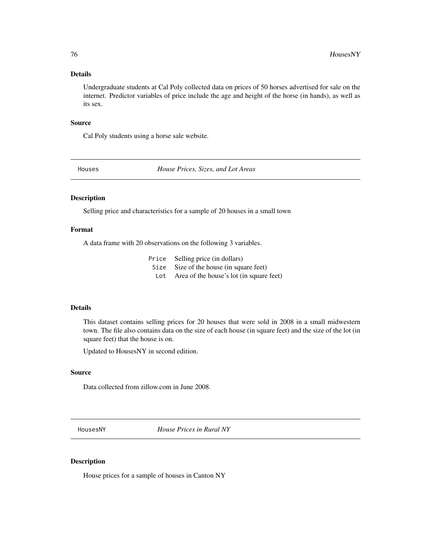# Details

Undergraduate students at Cal Poly collected data on prices of 50 horses advertised for sale on the internet. Predictor variables of price include the age and height of the horse (in hands), as well as its sex.

## Source

Cal Poly students using a horse sale website.

Houses *House Prices, Sizes, and Lot Areas*

# Description

Selling price and characteristics for a sample of 20 houses in a small town

# Format

A data frame with 20 observations on the following 3 variables.

|     | Price Selling price (in dollars)         |
|-----|------------------------------------------|
|     | Size Size of the house (in square feet)  |
| Lot | Area of the house's lot (in square feet) |

# Details

This dataset contains selling prices for 20 houses that were sold in 2008 in a small midwestern town. The file also contains data on the size of each house (in square feet) and the size of the lot (in square feet) that the house is on.

Updated to HousesNY in second edition.

# Source

Data collected from zillow.com in June 2008.

HousesNY *House Prices in Rural NY*

# Description

House prices for a sample of houses in Canton NY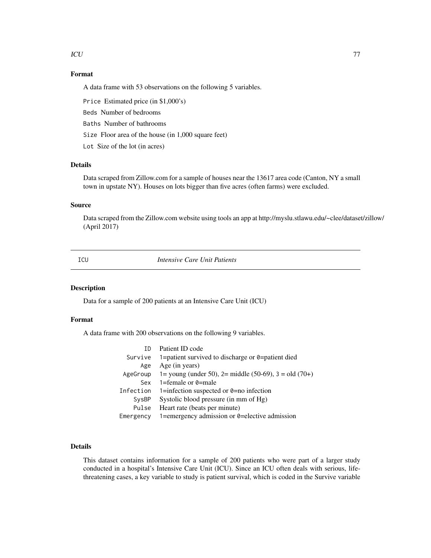$\mathbf{ICU}$  77

# Format

A data frame with 53 observations on the following 5 variables.

Price Estimated price (in \$1,000's)

Beds Number of bedrooms

Baths Number of bathrooms

Size Floor area of the house (in 1,000 square feet)

Lot Size of the lot (in acres)

# Details

Data scraped from Zillow.com for a sample of houses near the 13617 area code (Canton, NY a small town in upstate NY). Houses on lots bigger than five acres (often farms) were excluded.

# Source

Data scraped from the Zillow.com website using tools an app at http://myslu.stlawu.edu/~clee/dataset/zillow/ (April 2017)

| I             |                 |
|---------------|-----------------|
| . .<br>$\sim$ | ۰.<br>۰.<br>n a |

**Intensive Care Unit Patients** 

# Description

Data for a sample of 200 patients at an Intensive Care Unit (ICU)

## Format

A data frame with 200 observations on the following 9 variables.

| TD        | Patient ID code                                           |
|-----------|-----------------------------------------------------------|
| Survive   | 1=patient survived to discharge or $\theta$ =patient died |
| Age       | Age (in years)                                            |
| AgeGroup  | 1= young (under 50), 2= middle (50-69), 3 = old (70+)     |
| Sex       | 1=female or $\theta$ =male                                |
| Infection | 1=infection suspected or $\theta$ =no infection           |
| SysBP     | Systolic blood pressure (in mm of Hg)                     |
| Pulse     | Heart rate (beats per minute)                             |
| Emergency | 1=emergency admission or 0=elective admission             |

# Details

This dataset contains information for a sample of 200 patients who were part of a larger study conducted in a hospital's Intensive Care Unit (ICU). Since an ICU often deals with serious, lifethreatening cases, a key variable to study is patient survival, which is coded in the Survive variable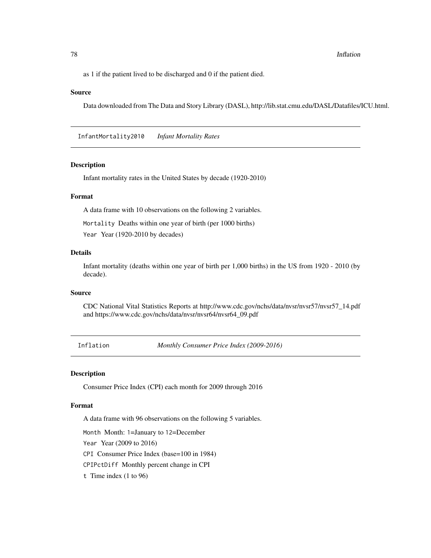78 Inflation

as 1 if the patient lived to be discharged and 0 if the patient died.

## Source

Data downloaded from The Data and Story Library (DASL), http://lib.stat.cmu.edu/DASL/Datafiles/ICU.html.

InfantMortality2010 *Infant Mortality Rates*

#### **Description**

Infant mortality rates in the United States by decade (1920-2010)

## Format

A data frame with 10 observations on the following 2 variables.

Mortality Deaths within one year of birth (per 1000 births)

Year Year (1920-2010 by decades)

## Details

Infant mortality (deaths within one year of birth per 1,000 births) in the US from 1920 - 2010 (by decade).

#### Source

CDC National Vital Statistics Reports at http://www.cdc.gov/nchs/data/nvsr/nvsr57/nvsr57\_14.pdf and https://www.cdc.gov/nchs/data/nvsr/nvsr64/nvsr64\_09.pdf

Inflation *Monthly Consumer Price Index (2009-2016)*

## Description

Consumer Price Index (CPI) each month for 2009 through 2016

#### Format

A data frame with 96 observations on the following 5 variables.

Month Month: 1=January to 12=December

Year Year (2009 to 2016)

CPI Consumer Price Index (base=100 in 1984)

CPIPctDiff Monthly percent change in CPI

t Time index (1 to 96)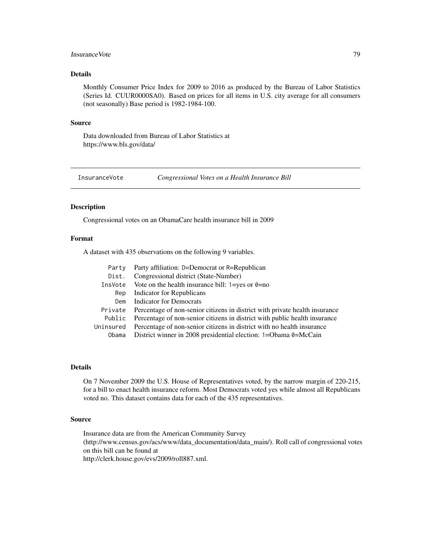# Insurance Vote 79

# Details

Monthly Consumer Price Index for 2009 to 2016 as produced by the Bureau of Labor Statistics (Series Id. CUUR0000SA0). Based on prices for all items in U.S. city average for all consumers (not seasonally) Base period is 1982-1984-100.

## Source

Data downloaded from Bureau of Labor Statistics at https://www.bls.gov/data/

InsuranceVote *Congressional Votes on a Health Insurance Bill*

#### Description

Congressional votes on an ObamaCare health insurance bill in 2009

#### Format

A dataset with 435 observations on the following 9 variables.

| Party     | Party affiliation: D=Democrat or R=Republican                               |
|-----------|-----------------------------------------------------------------------------|
| Dist.     | Congressional district (State-Number)                                       |
| InsVote   | Vote on the health insurance bill: $1 = yes$ or $0 = no$                    |
| Rep       | <b>Indicator for Republicans</b>                                            |
| Dem       | Indicator for Democrats                                                     |
| Private   | Percentage of non-senior citizens in district with private health insurance |
| Public    | Percentage of non-senior citizens in district with public health insurance  |
| Uninsured | Percentage of non-senior citizens in district with no health insurance      |
|           | Obama District winner in 2008 presidential election: 1=Obama 0=McCain       |

#### Details

On 7 November 2009 the U.S. House of Representatives voted, by the narrow margin of 220-215, for a bill to enact health insurance reform. Most Democrats voted yes while almost all Republicans voted no. This dataset contains data for each of the 435 representatives.

# Source

Insurance data are from the American Community Survey (http://www.census.gov/acs/www/data\_documentation/data\_main/). Roll call of congressional votes on this bill can be found at http://clerk.house.gov/evs/2009/roll887.xml.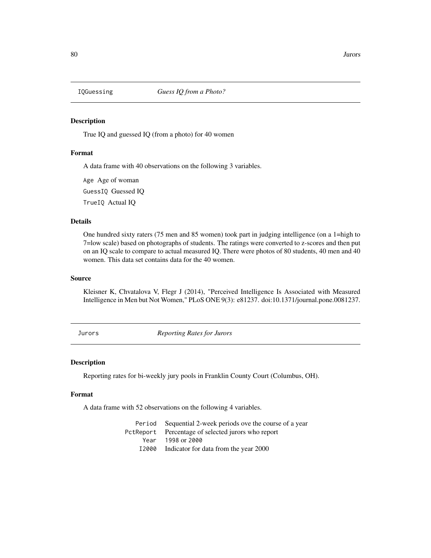True IQ and guessed IQ (from a photo) for 40 women

# Format

A data frame with 40 observations on the following 3 variables.

Age Age of woman

GuessIQ Guessed IQ

TrueIQ Actual IQ

# Details

One hundred sixty raters (75 men and 85 women) took part in judging intelligence (on a 1=high to 7=low scale) based on photographs of students. The ratings were converted to z-scores and then put on an IQ scale to compare to actual measured IQ. There were photos of 80 students, 40 men and 40 women. This data set contains data for the 40 women.

## Source

Kleisner K, Chvatalova V, Flegr J (2014), "Perceived Intelligence Is Associated with Measured Intelligence in Men but Not Women," PLoS ONE 9(3): e81237. doi:10.1371/journal.pone.0081237.

Jurors *Reporting Rates for Jurors*

#### Description

Reporting rates for bi-weekly jury pools in Franklin County Court (Columbus, OH).

## Format

A data frame with 52 observations on the following 4 variables.

Period Sequential 2-week periods ove the course of a year PctReport Percentage of selected jurors who report Year 1998 or 2000 I2000 Indicator for data from the year 2000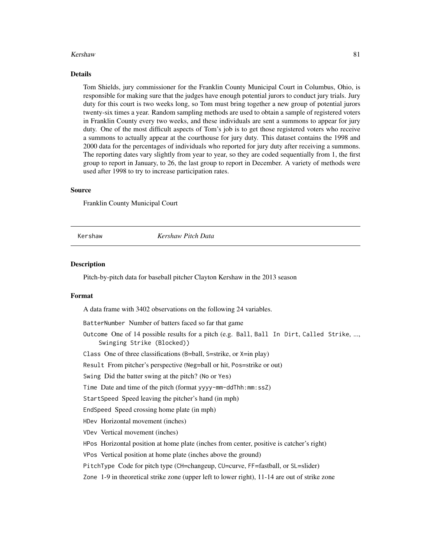#### Kershaw 81

#### Details

Tom Shields, jury commissioner for the Franklin County Municipal Court in Columbus, Ohio, is responsible for making sure that the judges have enough potential jurors to conduct jury trials. Jury duty for this court is two weeks long, so Tom must bring together a new group of potential jurors twenty-six times a year. Random sampling methods are used to obtain a sample of registered voters in Franklin County every two weeks, and these individuals are sent a summons to appear for jury duty. One of the most difficult aspects of Tom's job is to get those registered voters who receive a summons to actually appear at the courthouse for jury duty. This dataset contains the 1998 and 2000 data for the percentages of individuals who reported for jury duty after receiving a summons. The reporting dates vary slightly from year to year, so they are coded sequentially from 1, the first group to report in January, to 26, the last group to report in December. A variety of methods were used after 1998 to try to increase participation rates.

## Source

Franklin County Municipal Court

Kershaw *Kershaw Pitch Data*

#### **Description**

Pitch-by-pitch data for baseball pitcher Clayton Kershaw in the 2013 season

#### Format

A data frame with 3402 observations on the following 24 variables.

BatterNumber Number of batters faced so far that game

Outcome One of 14 possible results for a pitch (e.g. Ball, Ball In Dirt, Called Strike, ..., Swinging Strike (Blocked))

Class One of three classifications (B=ball, S=strike, or X=in play)

Result From pitcher's perspective (Neg=ball or hit, Pos=strike or out)

Swing Did the batter swing at the pitch? (No or Yes)

Time Date and time of the pitch (format yyyy-mm-ddThh:mm:ssZ)

StartSpeed Speed leaving the pitcher's hand (in mph)

EndSpeed Speed crossing home plate (in mph)

HDev Horizontal movement (inches)

VDev Vertical movement (inches)

HPos Horizontal position at home plate (inches from center, positive is catcher's right)

VPos Vertical position at home plate (inches above the ground)

PitchType Code for pitch type (CH=changeup, CU=curve, FF=fastball, or SL=slider)

Zone 1-9 in theoretical strike zone (upper left to lower right), 11-14 are out of strike zone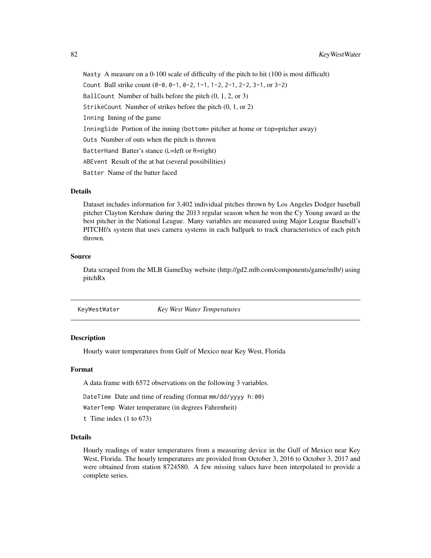Nasty A measure on a 0-100 scale of difficulty of the pitch to hit (100 is most difficult) Count Ball strike count (0-0, 0-1, 0-2, 1-1, 1-2, 2-1, 2-2, 3-1, or 3-2) BallCount Number of balls before the pitch (0, 1, 2, or 3) StrikeCount Number of strikes before the pitch (0, 1, or 2) Inning Inning of the game InningSide Portion of the inning (bottom= pitcher at home or top=pitcher away) Outs Number of outs when the pitch is thrown BatterHand Batter's stance (L=left or R=right) ABEvent Result of the at bat (several possibilities) Batter Name of the batter faced

# Details

Dataset includes information for 3,402 individual pitches thrown by Los Angeles Dodger baseball pitcher Clayton Kershaw during the 2013 regular season when he won the Cy Young award as the best pitcher in the National League. Many variables are measured using Major League Baseball's PITCHf/x system that uses camera systems in each ballpark to track characteristics of each pitch thrown.

#### Source

Data scraped from the MLB GameDay website (http://gd2.mlb.com/components/game/mlb/) using pitchRx

KeyWestWater *Key West Water Temperatures*

## **Description**

Hourly water temperatures from Gulf of Mexico near Key West, Florida

#### Format

A data frame with 6572 observations on the following 3 variables.

DateTime Date and time of reading (format mm/dd/yyyy h:00)

WaterTemp Water temperature (in degrees Fahrenheit)

t Time index (1 to 673)

#### Details

Hourly readings of water temperatures from a measuring device in the Gulf of Mexico near Key West, Florida. The hourly temperatures are provided from October 3, 2016 to October 3, 2017 and were obtained from station 8724580. A few missing values have been interpolated to provide a complete series.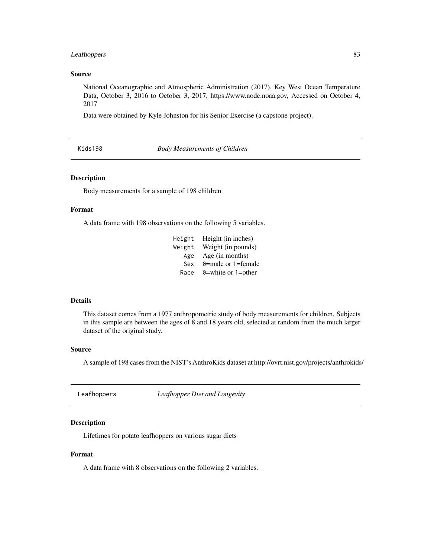# Leafhoppers 83

## Source

National Oceanographic and Atmospheric Administration (2017), Key West Ocean Temperature Data, October 3, 2016 to October 3, 2017, https://www.nodc.noaa.gov, Accessed on October 4, 2017

Data were obtained by Kyle Johnston for his Senior Exercise (a capstone project).

Kids198 *Body Measurements of Children*

#### Description

Body measurements for a sample of 198 children

#### Format

A data frame with 198 observations on the following 5 variables.

| Height | Height (in inches)         |
|--------|----------------------------|
| Weight | Weight (in pounds)         |
| Age    | Age (in months)            |
| Sex    | 0=male or 1=female         |
| Race   | $\theta$ =white or 1=other |

#### Details

This dataset comes from a 1977 anthropometric study of body measurements for children. Subjects in this sample are between the ages of 8 and 18 years old, selected at random from the much larger dataset of the original study.

#### Source

A sample of 198 cases from the NIST's AnthroKids dataset at http://ovrt.nist.gov/projects/anthrokids/

Leafhoppers *Leafhopper Diet and Longevity*

# Description

Lifetimes for potato leafhoppers on various sugar diets

# Format

A data frame with 8 observations on the following 2 variables.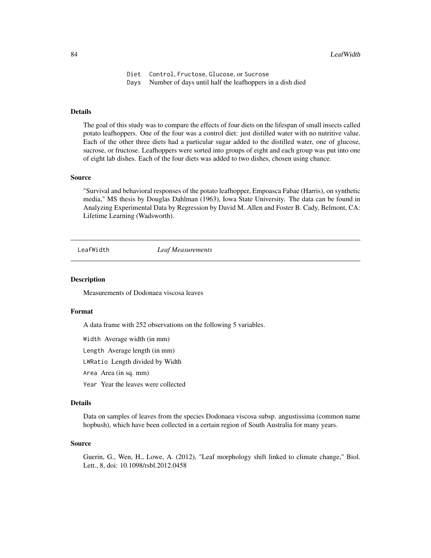Diet Control, Fructose, Glucose, or Sucrose Days Number of days until half the leafhoppers in a dish died

# Details

The goal of this study was to compare the effects of four diets on the lifespan of small insects called potato leafhoppers. One of the four was a control diet: just distilled water with no nutritive value. Each of the other three diets had a particular sugar added to the distilled water, one of glucose, sucrose, or fructose. Leafhoppers were sorted into groups of eight and each group was put into one of eight lab dishes. Each of the four diets was added to two dishes, chosen using chance.

## Source

"Survival and behavioral responses of the potato leafhopper, Empoasca Fabae (Harris), on synthetic media," MS thesis by Douglas Dahlman (1963), Iowa State University. The data can be found in Analyzing Experimental Data by Regression by David M. Allen and Foster B. Cady, Belmont, CA: Lifetime Learning (Wadsworth).

LeafWidth *Leaf Measurements*

# **Description**

Measurements of Dodonaea viscosa leaves

## Format

A data frame with 252 observations on the following 5 variables.

Width Average width (in mm)

Length Average length (in mm)

LWRatio Length divided by Width

Area Area (in sq. mm)

Year Year the leaves were collected

## Details

Data on samples of leaves from the species Dodonaea viscosa subsp. angustissima (common name hopbush), which have been collected in a certain region of South Australia for many years.

#### Source

Guerin, G., Wen, H., Lowe, A. (2012), "Leaf morphology shift linked to climate change," Biol. Lett., 8, doi: 10.1098/rsbl.2012.0458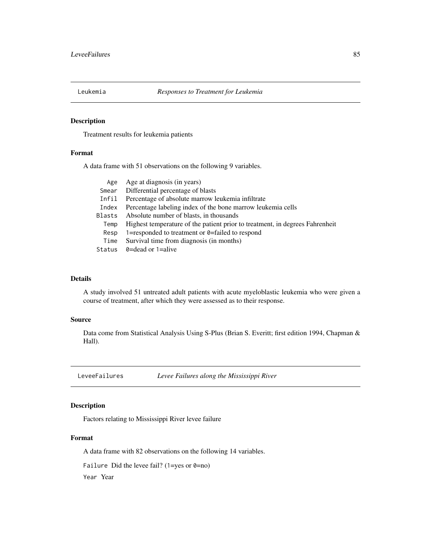Treatment results for leukemia patients

## Format

A data frame with 51 observations on the following 9 variables.

| Age    | Age at diagnosis (in years)                                                  |
|--------|------------------------------------------------------------------------------|
| Smear  | Differential percentage of blasts                                            |
| Infil  | Percentage of absolute marrow leukemia infiltrate                            |
| Index  | Percentage labeling index of the bone marrow leukemia cells                  |
| Blasts | Absolute number of blasts, in thousands                                      |
| Temp   | Highest temperature of the patient prior to treatment, in degrees Fahrenheit |
| Resp   | 1=responded to treatment or $\theta$ =failed to respond                      |
| Time   | Survival time from diagnosis (in months)                                     |
| Status | $\theta$ =dead or 1=alive                                                    |

# Details

A study involved 51 untreated adult patients with acute myeloblastic leukemia who were given a course of treatment, after which they were assessed as to their response.

#### Source

Data come from Statistical Analysis Using S-Plus (Brian S. Everitt; first edition 1994, Chapman & Hall).

LeveeFailures *Levee Failures along the Mississippi River*

# Description

Factors relating to Mississippi River levee failure

# Format

A data frame with 82 observations on the following 14 variables.

Failure Did the levee fail? (1=yes or  $0=$ no)

Year Year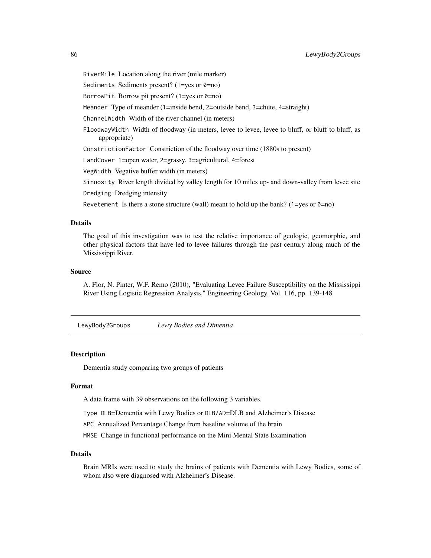RiverMile Location along the river (mile marker) Sediments Sediments present? (1=yes or  $0=$ no) BorrowPit Borrow pit present? (1=yes or  $\theta$ =no) Meander Type of meander (1=inside bend, 2=outside bend, 3=chute, 4=straight) ChannelWidth Width of the river channel (in meters) FloodwayWidth Width of floodway (in meters, levee to levee, levee to bluff, or bluff to bluff, as appropriate) ConstrictionFactor Constriction of the floodway over time (1880s to present) LandCover 1=open water, 2=grassy, 3=agricultural, 4=forest VegWidth Vegative buffer width (in meters) Sinuosity River length divided by valley length for 10 miles up- and down-valley from levee site Dredging Dredging intensity Revetement Is there a stone structure (wall) meant to hold up the bank? (1=yes or  $\theta$ =no)

#### Details

The goal of this investigation was to test the relative importance of geologic, geomorphic, and other physical factors that have led to levee failures through the past century along much of the Mississippi River.

## Source

A. Flor, N. Pinter, W.F. Remo (2010), "Evaluating Levee Failure Susceptibility on the Mississippi River Using Logistic Regression Analysis," Engineering Geology, Vol. 116, pp. 139-148

LewyBody2Groups *Lewy Bodies and Dimentia*

## **Description**

Dementia study comparing two groups of patients

#### Format

A data frame with 39 observations on the following 3 variables.

Type DLB=Dementia with Lewy Bodies or DLB/AD=DLB and Alzheimer's Disease

APC Annualized Percentage Change from baseline volume of the brain

MMSE Change in functional performance on the Mini Mental State Examination

#### Details

Brain MRIs were used to study the brains of patients with Dementia with Lewy Bodies, some of whom also were diagnosed with Alzheimer's Disease.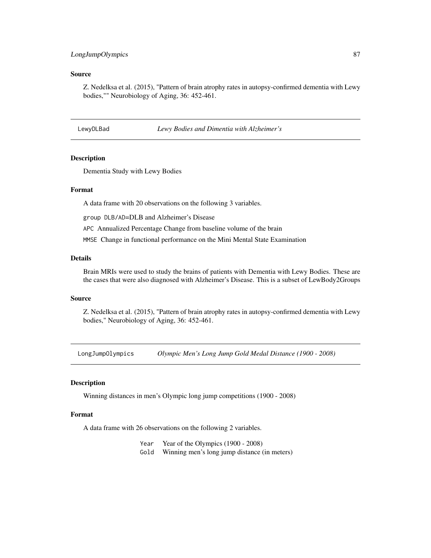# LongJumpOlympics 87

# Source

Z. Nedelksa et al. (2015), "Pattern of brain atrophy rates in autopsy-confirmed dementia with Lewy bodies,"" Neurobiology of Aging, 36: 452-461.

LewyDLBad *Lewy Bodies and Dimentia with Alzheimer's*

# Description

Dementia Study with Lewy Bodies

# Format

A data frame with 20 observations on the following 3 variables.

group DLB/AD=DLB and Alzheimer's Disease

APC Annualized Percentage Change from baseline volume of the brain

MMSE Change in functional performance on the Mini Mental State Examination

# Details

Brain MRIs were used to study the brains of patients with Dementia with Lewy Bodies. These are the cases that were also diagnosed with Alzheimer's Disease. This is a subset of LewBody2Groups

## Source

Z. Nedelksa et al. (2015), "Pattern of brain atrophy rates in autopsy-confirmed dementia with Lewy bodies," Neurobiology of Aging, 36: 452-461.

LongJumpOlympics *Olympic Men's Long Jump Gold Medal Distance (1900 - 2008)*

# Description

Winning distances in men's Olympic long jump competitions (1900 - 2008)

## Format

A data frame with 26 observations on the following 2 variables.

Year Year of the Olympics (1900 - 2008)

Gold Winning men's long jump distance (in meters)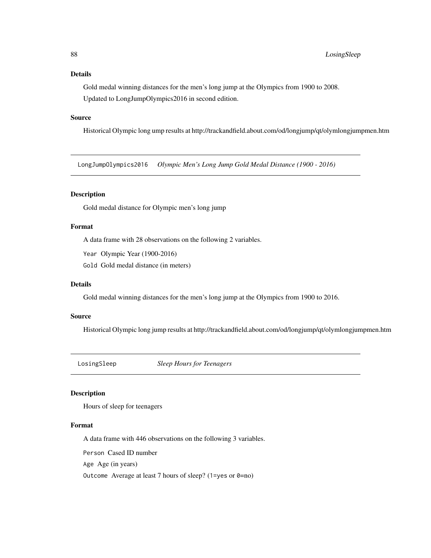# Details

Gold medal winning distances for the men's long jump at the Olympics from 1900 to 2008. Updated to LongJumpOlympics2016 in second edition.

# Source

Historical Olympic long ump results at http://trackandfield.about.com/od/longjump/qt/olymlongjumpmen.htm

LongJumpOlympics2016 *Olympic Men's Long Jump Gold Medal Distance (1900 - 2016)*

# Description

Gold medal distance for Olympic men's long jump

## Format

A data frame with 28 observations on the following 2 variables.

Year Olympic Year (1900-2016)

Gold Gold medal distance (in meters)

#### Details

Gold medal winning distances for the men's long jump at the Olympics from 1900 to 2016.

#### Source

Historical Olympic long jump results at http://trackandfield.about.com/od/longjump/qt/olymlongjumpmen.htm

LosingSleep *Sleep Hours for Teenagers*

#### Description

Hours of sleep for teenagers

#### Format

A data frame with 446 observations on the following 3 variables.

Person Cased ID number

Age Age (in years)

Outcome Average at least 7 hours of sleep? (1=yes or  $\theta$ =no)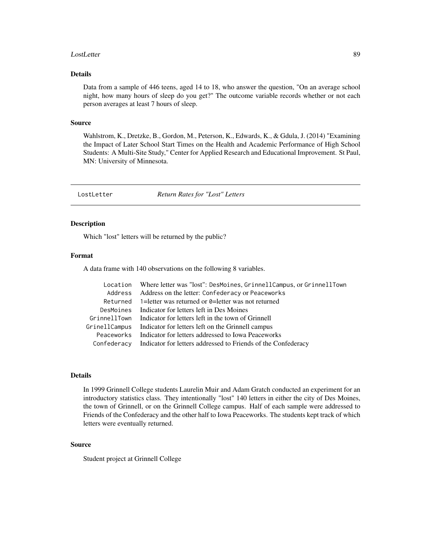#### LostLetter 89

# Details

Data from a sample of 446 teens, aged 14 to 18, who answer the question, "On an average school night, how many hours of sleep do you get?" The outcome variable records whether or not each person averages at least 7 hours of sleep.

## Source

Wahlstrom, K., Dretzke, B., Gordon, M., Peterson, K., Edwards, K., & Gdula, J. (2014) "Examining the Impact of Later School Start Times on the Health and Academic Performance of High School Students: A Multi-Site Study," Center for Applied Research and Educational Improvement. St Paul, MN: University of Minnesota.

LostLetter *Return Rates for "Lost" Letters*

## Description

Which "lost" letters will be returned by the public?

# Format

A data frame with 140 observations on the following 8 variables.

|            | Location Where letter was "lost": DesMoines, GrinnellCampus, or GrinnellTown |
|------------|------------------------------------------------------------------------------|
|            | Address Address on the letter: Confederacy or Peaceworks                     |
|            | Returned 1= letter was returned or $\theta$ = letter was not returned        |
|            | DesMoines Indicator for letters left in Des Moines                           |
|            | Grinnell Town Indicator for letters left in the town of Grinnell             |
|            | GrinellCampus Indicator for letters left on the Grinnell campus              |
| Peaceworks | Indicator for letters addressed to Iowa Peaceworks                           |
|            | Confederacy Indicator for letters addressed to Friends of the Confederacy    |

# Details

In 1999 Grinnell College students Laurelin Muir and Adam Gratch conducted an experiment for an introductory statistics class. They intentionally "lost" 140 letters in either the city of Des Moines, the town of Grinnell, or on the Grinnell College campus. Half of each sample were addressed to Friends of the Confederacy and the other half to Iowa Peaceworks. The students kept track of which letters were eventually returned.

## Source

Student project at Grinnell College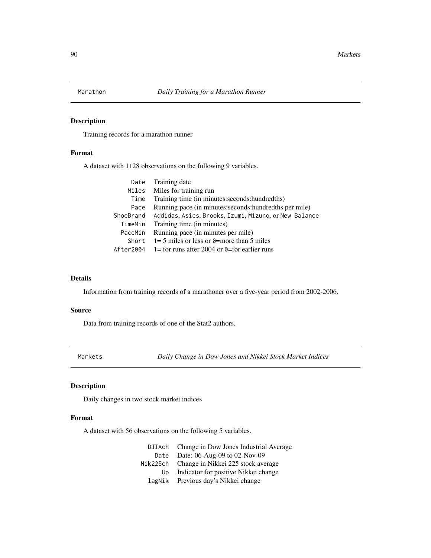Training records for a marathon runner

# Format

A dataset with 1128 observations on the following 9 variables.

|           | Date Training date                                       |
|-----------|----------------------------------------------------------|
|           | Miles Miles for training run                             |
| Time      | Training time (in minutes: seconds: hundredths)          |
| Pace      | Running pace (in minutes: seconds: hundred ths per mile) |
| ShoeBrand | Addidas, Asics, Brooks, Izumi, Mizuno, or New Balance    |
| TimeMin   | Training time (in minutes)                               |
| PaceMin   | Running pace (in minutes per mile)                       |
| Short     | $1=5$ miles or less or 0=more than 5 miles               |
| After2004 | 1= for runs after 2004 or $\theta$ =for earlier runs     |
|           |                                                          |

# Details

Information from training records of a marathoner over a five-year period from 2002-2006.

#### Source

Data from training records of one of the Stat2 authors.

Markets *Daily Change in Dow Jones and Nikkei Stock Market Indices*

# Description

Daily changes in two stock market indices

# Format

A dataset with 56 observations on the following 5 variables.

|      | DJIAch Change in Dow Jones Industrial Average |
|------|-----------------------------------------------|
| Date | Date: 06-Aug-09 to 02-Nov-09                  |
|      | Nik225ch Change in Nikkei 225 stock average   |
| Up.  | Indicator for positive Nikkei change          |
|      | lagNik Previous day's Nikkei change           |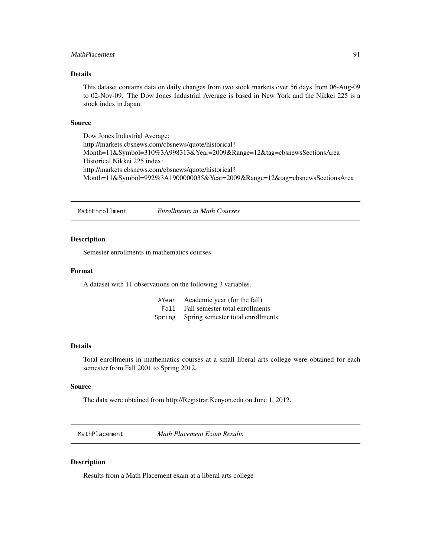# MathPlacement 91

# Details

This dataset contains data on daily changes from two stock markets over 56 days from 06-Aug-09 to 02-Nov-09. The Dow Jones Industrial Average is based in New York and the Nikkei 225 is a stock index in Japan.

#### Source

Dow Jones Industrial Average: http://markets.cbsnews.com/cbsnews/quote/historical? Month=11&Symbol=310%3A998313&Year=2009&Range=12&tag=cbsnewsSectionsArea Historical Nikkei 225 index: http://markets.cbsnews.com/cbsnews/quote/historical? Month=11&Symbol=992%3A1900000035&Year=2009&Range=12&tag=cbsnewsSectionsArea

MathEnrollment *Enrollments in Math Courses*

## Description

Semester enrollments in mathematics courses

# Format

A dataset with 11 observations on the following 3 variables.

| AYear Academic year (for the fall)       |
|------------------------------------------|
| Fall Fall semester total enrollments     |
| Spring Spring semester total enrollments |

## Details

Total enrollments in mathematics courses at a small liberal arts college were obtained for each semester from Fall 2001 to Spring 2012.

# Source

The data were obtained from http://Registrar.Kenyon.edu on June 1, 2012.

MathPlacement *Math Placement Exam Results*

# Description

Results from a Math Placement exam at a liberal arts college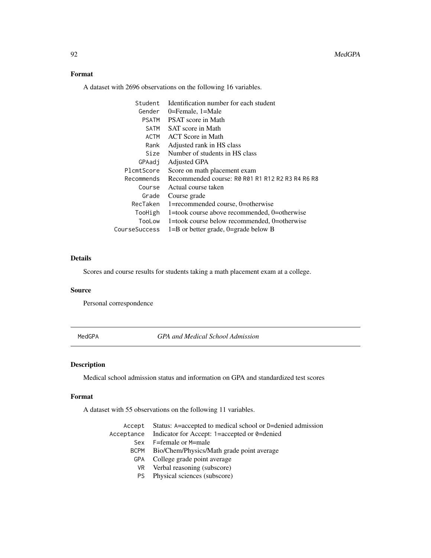# Format

A dataset with 2696 observations on the following 16 variables.

| Student       | Identification number for each student           |
|---------------|--------------------------------------------------|
| Gender        | 0=Female, $1=$ Male                              |
| <b>PSATM</b>  | <b>PSAT</b> score in Math                        |
| SATM          | SAT score in Math                                |
| ACTM          | ACT Score in Math                                |
| Rank          | Adjusted rank in HS class                        |
| Size          | Number of students in HS class                   |
| GPAadi        | Adjusted GPA                                     |
| PlcmtScore    | Score on math placement exam                     |
| Recommends    | Recommended course: R0 R01 R1 R12 R2 R3 R4 R6 R8 |
| Course        | Actual course taken                              |
| Grade         | Course grade                                     |
| RecTaken      | 1=recommended course, 0=otherwise                |
| TooHigh       | 1=took course above recommended, 0=otherwise     |
| TooLow        | 1=took course below recommended, 0=otherwise     |
| CourseSuccess | $1 = B$ or better grade, 0=grade below B         |

# Details

Scores and course results for students taking a math placement exam at a college.

## Source

Personal correspondence

MedGPA *GPA and Medical School Admission*

# Description

Medical school admission status and information on GPA and standardized test scores

## Format

A dataset with 55 observations on the following 11 variables.

| Accept      | Status: A=accepted to medical school or D=denied admission |
|-------------|------------------------------------------------------------|
| Acceptance  | Indicator for Accept: 1=accepted or 0=denied               |
| Sex.        | F=female or M=male                                         |
| <b>BCPM</b> | Bio/Chem/Physics/Math grade point average                  |
| <b>GPA</b>  | College grade point average                                |
|             | VR Verbal reasoning (subscore)                             |
|             | PS Physical sciences (subscore)                            |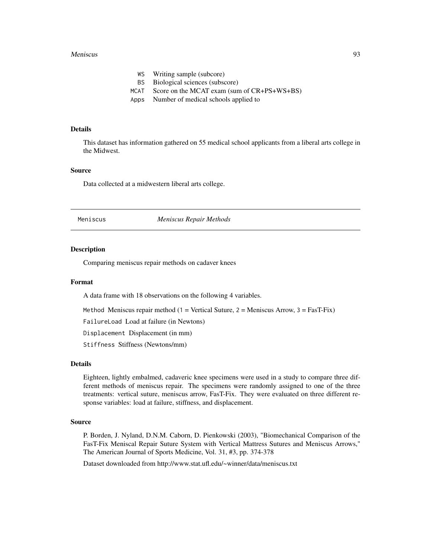#### Meniscus 93

- WS Writing sample (subcore)
- BS Biological sciences (subscore)
- MCAT Score on the MCAT exam (sum of CR+PS+WS+BS)
- Apps Number of medical schools applied to

## Details

This dataset has information gathered on 55 medical school applicants from a liberal arts college in the Midwest.

#### Source

Data collected at a midwestern liberal arts college.

Meniscus *Meniscus Repair Methods*

#### **Description**

Comparing meniscus repair methods on cadaver knees

#### Format

A data frame with 18 observations on the following 4 variables.

Method Meniscus repair method  $(1 = \text{Vertical Sature}, 2 = \text{Meniscus Arrow}, 3 = \text{Fast-Fix})$ 

FailureLoad Load at failure (in Newtons)

Displacement Displacement (in mm)

Stiffness Stiffness (Newtons/mm)

## Details

Eighteen, lightly embalmed, cadaveric knee specimens were used in a study to compare three different methods of meniscus repair. The specimens were randomly assigned to one of the three treatments: vertical suture, meniscus arrow, FasT-Fix. They were evaluated on three different response variables: load at failure, stiffness, and displacement.

#### Source

P. Borden, J. Nyland, D.N.M. Caborn, D. Pienkowski (2003), "Biomechanical Comparison of the FasT-Fix Meniscal Repair Suture System with Vertical Mattress Sutures and Meniscus Arrows," The American Journal of Sports Medicine, Vol. 31, #3, pp. 374-378

Dataset downloaded from http://www.stat.ufl.edu/~winner/data/meniscus.txt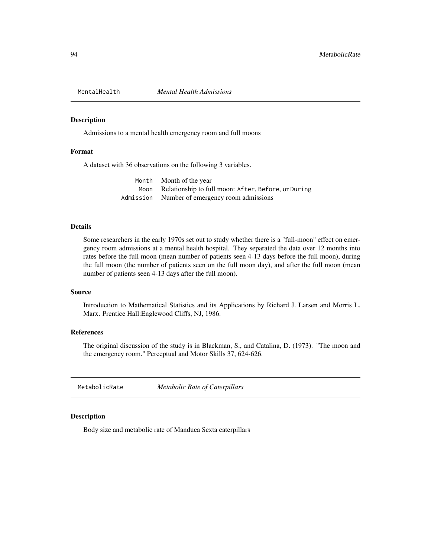Admissions to a mental health emergency room and full moons

# Format

A dataset with 36 observations on the following 3 variables.

| Month Month of the year                                  |
|----------------------------------------------------------|
| Moon Relationship to full moon: After, Before, or During |
| Admission Number of emergency room admissions            |

#### Details

Some researchers in the early 1970s set out to study whether there is a "full-moon" effect on emergency room admissions at a mental health hospital. They separated the data over 12 months into rates before the full moon (mean number of patients seen 4-13 days before the full moon), during the full moon (the number of patients seen on the full moon day), and after the full moon (mean number of patients seen 4-13 days after the full moon).

#### Source

Introduction to Mathematical Statistics and its Applications by Richard J. Larsen and Morris L. Marx. Prentice Hall:Englewood Cliffs, NJ, 1986.

# References

The original discussion of the study is in Blackman, S., and Catalina, D. (1973). "The moon and the emergency room." Perceptual and Motor Skills 37, 624-626.

MetabolicRate *Metabolic Rate of Caterpillars*

## Description

Body size and metabolic rate of Manduca Sexta caterpillars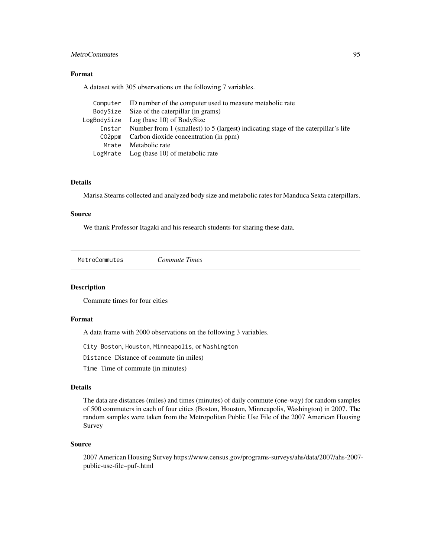# MetroCommutes 95

# Format

A dataset with 305 observations on the following 7 variables.

| Computer ID number of the computer used to measure metabolic rate                         |
|-------------------------------------------------------------------------------------------|
| BodySize Size of the caterpillar (in grams)                                               |
| $LogBodySize$ $Log (base 10)$ of $BodySize$                                               |
| Instar Number from 1 (smallest) to 5 (largest) indicating stage of the caterpillar's life |
| CO2ppm Carbon dioxide concentration (in ppm)                                              |
| Mrate Metabolic rate                                                                      |
| LogMrate $Log (base 10)$ of metabolic rate                                                |

# Details

Marisa Stearns collected and analyzed body size and metabolic rates for Manduca Sexta caterpillars.

# Source

We thank Professor Itagaki and his research students for sharing these data.

MetroCommutes *Commute Times*

# Description

Commute times for four cities

## Format

A data frame with 2000 observations on the following 3 variables.

City Boston, Houston, Minneapolis, or Washington

Distance Distance of commute (in miles)

Time Time of commute (in minutes)

# Details

The data are distances (miles) and times (minutes) of daily commute (one-way) for random samples of 500 commuters in each of four cities (Boston, Houston, Minneapolis, Washington) in 2007. The random samples were taken from the Metropolitan Public Use File of the 2007 American Housing Survey

## Source

2007 American Housing Survey https://www.census.gov/programs-surveys/ahs/data/2007/ahs-2007 public-use-file–puf-.html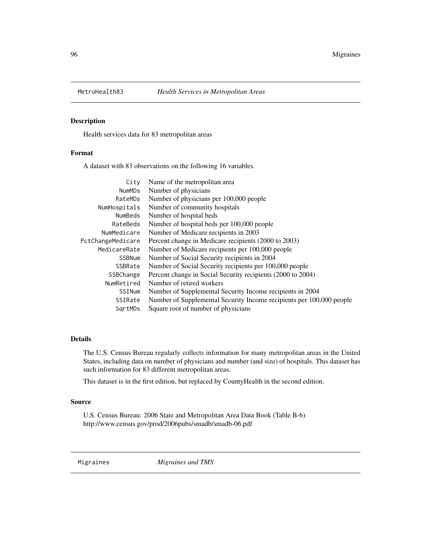Health services data for 83 metropolitan areas

# Format

A dataset with 83 observations on the following 16 variables.

| City              | Name of the metropolitan area                                        |
|-------------------|----------------------------------------------------------------------|
| <b>NumMDs</b>     | Number of physicians                                                 |
| RateMDs           | Number of physicians per 100,000 people                              |
| NumHospitals      | Number of community hospitals                                        |
| NumBeds           | Number of hospital beds                                              |
| RateBeds          | Number of hospital beds per 100,000 people                           |
| NumMedicare       | Number of Medicare recipients in 2003                                |
| PctChangeMedicare | Percent change in Medicare recipients (2000 to 2003)                 |
| MedicareRate      | Number of Medicare recipients per 100,000 people                     |
| <b>SSBNum</b>     | Number of Social Security recipients in 2004                         |
| SSBRate           | Number of Social Security recipients per 100,000 people              |
| SSBChange         | Percent change in Social Security recipients (2000 to 2004)          |
| NumRetired        | Number of retired workers                                            |
| SSINum            | Number of Supplemental Security Income recipients in 2004            |
| SSIRate           | Number of Supplemental Security Income recipients per 100,000 people |
| SartMDs           | Square root of number of physicians                                  |
|                   |                                                                      |

# Details

The U.S. Census Bureau regularly collects information for many metropolitan areas in the United States, including data on number of physicians and number (and size) of hospitals. This dataset has such information for 83 different metropolitan areas.

This dataset is in the first edition, but replaced by CountyHealth in the second edition.

#### Source

U.S. Census Bureau: 2006 State and Metropolitan Area Data Book (Table B-6) http://www.census.gov/prod/2006pubs/smadb/smadb-06.pdf

Migraines *Migraines and TMS*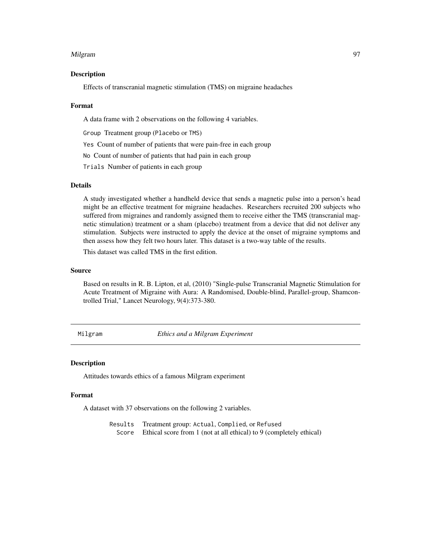#### Milgram 97

## Description

Effects of transcranial magnetic stimulation (TMS) on migraine headaches

#### Format

A data frame with 2 observations on the following 4 variables.

Group Treatment group (Placebo or TMS)

Yes Count of number of patients that were pain-free in each group

No Count of number of patients that had pain in each group

Trials Number of patients in each group

# Details

A study investigated whether a handheld device that sends a magnetic pulse into a person's head might be an effective treatment for migraine headaches. Researchers recruited 200 subjects who suffered from migraines and randomly assigned them to receive either the TMS (transcranial magnetic stimulation) treatment or a sham (placebo) treatment from a device that did not deliver any stimulation. Subjects were instructed to apply the device at the onset of migraine symptoms and then assess how they felt two hours later. This dataset is a two-way table of the results.

This dataset was called TMS in the first edition.

## Source

Based on results in R. B. Lipton, et al, (2010) "Single-pulse Transcranial Magnetic Stimulation for Acute Treatment of Migraine with Aura: A Randomised, Double-blind, Parallel-group, Shamcontrolled Trial," Lancet Neurology, 9(4):373-380.

Milgram *Ethics and a Milgram Experiment*

#### Description

Attitudes towards ethics of a famous Milgram experiment

## Format

A dataset with 37 observations on the following 2 variables.

Results Treatment group: Actual, Complied, or Refused Score Ethical score from 1 (not at all ethical) to 9 (completely ethical)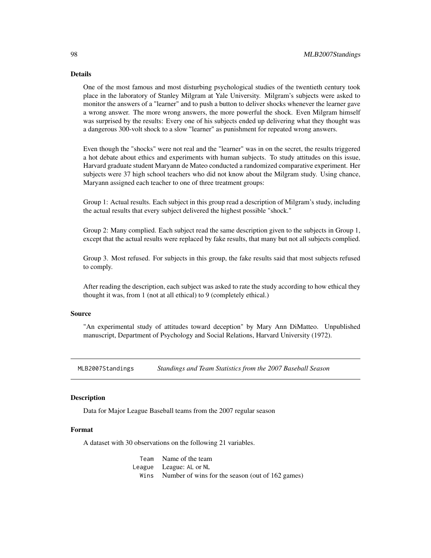#### Details

One of the most famous and most disturbing psychological studies of the twentieth century took place in the laboratory of Stanley Milgram at Yale University. Milgram's subjects were asked to monitor the answers of a "learner" and to push a button to deliver shocks whenever the learner gave a wrong answer. The more wrong answers, the more powerful the shock. Even Milgram himself was surprised by the results: Every one of his subjects ended up delivering what they thought was a dangerous 300-volt shock to a slow "learner" as punishment for repeated wrong answers.

Even though the "shocks" were not real and the "learner" was in on the secret, the results triggered a hot debate about ethics and experiments with human subjects. To study attitudes on this issue, Harvard graduate student Maryann de Mateo conducted a randomized comparative experiment. Her subjects were 37 high school teachers who did not know about the Milgram study. Using chance, Maryann assigned each teacher to one of three treatment groups:

Group 1: Actual results. Each subject in this group read a description of Milgram's study, including the actual results that every subject delivered the highest possible "shock."

Group 2: Many complied. Each subject read the same description given to the subjects in Group 1, except that the actual results were replaced by fake results, that many but not all subjects complied.

Group 3. Most refused. For subjects in this group, the fake results said that most subjects refused to comply.

After reading the description, each subject was asked to rate the study according to how ethical they thought it was, from 1 (not at all ethical) to 9 (completely ethical.)

## Source

"An experimental study of attitudes toward deception" by Mary Ann DiMatteo. Unpublished manuscript, Department of Psychology and Social Relations, Harvard University (1972).

MLB2007Standings *Standings and Team Statistics from the 2007 Baseball Season*

#### **Description**

Data for Major League Baseball teams from the 2007 regular season

## Format

A dataset with 30 observations on the following 21 variables.

Team Name of the team League League: AL or NL Wins Number of wins for the season (out of 162 games)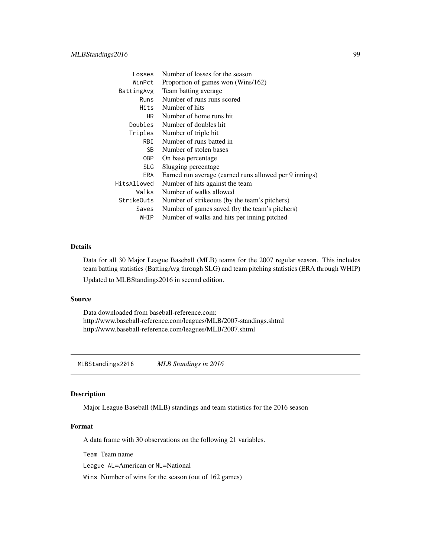| Losses      | Number of losses for the season                        |  |
|-------------|--------------------------------------------------------|--|
| WinPct      | Proportion of games won (Wins/162)                     |  |
| BattingAvg  | Team batting average                                   |  |
| Runs        | Number of runs runs scored                             |  |
| Hits        | Number of hits                                         |  |
| HR.         | Number of home runs hit                                |  |
| Doubles     | Number of doubles hit.                                 |  |
| Triples     | Number of triple hit                                   |  |
| RBI         | Number of runs batted in                               |  |
| SB.         | Number of stolen bases                                 |  |
| 0BP         | On base percentage                                     |  |
| <b>SLG</b>  | Slugging percentage                                    |  |
| ERA         | Earned run average (earned runs allowed per 9 innings) |  |
| HitsAllowed | Number of hits against the team                        |  |
| Walks       | Number of walks allowed                                |  |
| StrikeOuts  | Number of strikeouts (by the team's pitchers)          |  |
| Saves       | Number of games saved (by the team's pitchers)         |  |
| WHIP        | Number of walks and hits per inning pitched            |  |

# Details

Data for all 30 Major League Baseball (MLB) teams for the 2007 regular season. This includes team batting statistics (BattingAvg through SLG) and team pitching statistics (ERA through WHIP) Updated to MLBStandings2016 in second edition.

#### Source

Data downloaded from baseball-reference.com: http://www.baseball-reference.com/leagues/MLB/2007-standings.shtml http://www.baseball-reference.com/leagues/MLB/2007.shtml

MLBStandings2016 *MLB Standings in 2016*

#### Description

Major League Baseball (MLB) standings and team statistics for the 2016 season

## Format

A data frame with 30 observations on the following 21 variables.

Team Team name

League AL=American or NL=National

Wins Number of wins for the season (out of 162 games)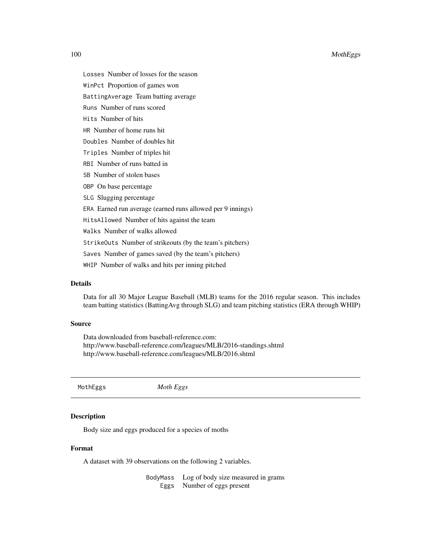Losses Number of losses for the season

WinPct Proportion of games won

BattingAverage Team batting average

Runs Number of runs scored

Hits Number of hits

HR Number of home runs hit

Doubles Number of doubles hit

Triples Number of triples hit

- RBI Number of runs batted in
- SB Number of stolen bases

OBP On base percentage

SLG Slugging percentage

ERA Earned run average (earned runs allowed per 9 innings)

HitsAllowed Number of hits against the team

Walks Number of walks allowed

StrikeOuts Number of strikeouts (by the team's pitchers)

Saves Number of games saved (by the team's pitchers)

WHIP Number of walks and hits per inning pitched

# Details

Data for all 30 Major League Baseball (MLB) teams for the 2016 regular season. This includes team batting statistics (BattingAvg through SLG) and team pitching statistics (ERA through WHIP)

# Source

Data downloaded from baseball-reference.com: http://www.baseball-reference.com/leagues/MLB/2016-standings.shtml http://www.baseball-reference.com/leagues/MLB/2016.shtml

MothEggs *Moth Eggs*

## Description

Body size and eggs produced for a species of moths

#### Format

A dataset with 39 observations on the following 2 variables.

BodyMass Log of body size measured in grams Eggs Number of eggs present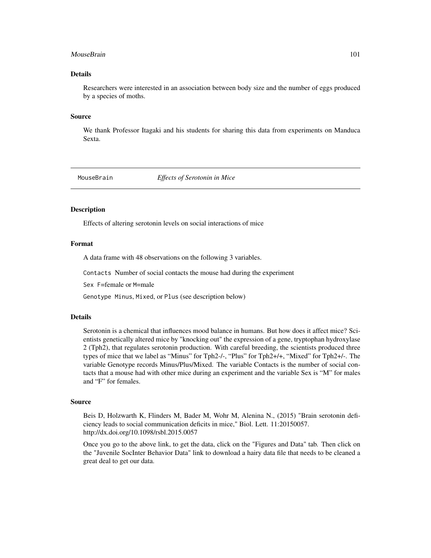#### MouseBrain 2012 101

# Details

Researchers were interested in an association between body size and the number of eggs produced by a species of moths.

#### Source

We thank Professor Itagaki and his students for sharing this data from experiments on Manduca Sexta.

MouseBrain *Effects of Serotonin in Mice*

## Description

Effects of altering serotonin levels on social interactions of mice

# Format

A data frame with 48 observations on the following 3 variables.

Contacts Number of social contacts the mouse had during the experiment

Sex F=female or M=male

Genotype Minus, Mixed, or Plus (see description below)

## **Details**

Serotonin is a chemical that influences mood balance in humans. But how does it affect mice? Scientists genetically altered mice by "knocking out" the expression of a gene, tryptophan hydroxylase 2 (Tph2), that regulates serotonin production. With careful breeding, the scientists produced three types of mice that we label as "Minus" for Tph2-/-, "Plus" for Tph2+/+, "Mixed" for Tph2+/-. The variable Genotype records Minus/Plus/Mixed. The variable Contacts is the number of social contacts that a mouse had with other mice during an experiment and the variable Sex is "M" for males and "F" for females.

#### Source

Beis D, Holzwarth K, Flinders M, Bader M, Wohr M, Alenina N., (2015) "Brain serotonin deficiency leads to social communication deficits in mice," Biol. Lett. 11:20150057. http://dx.doi.org/10.1098/rsbl.2015.0057

Once you go to the above link, to get the data, click on the "Figures and Data" tab. Then click on the "Juvenile SocInter Behavior Data" link to download a hairy data file that needs to be cleaned a great deal to get our data.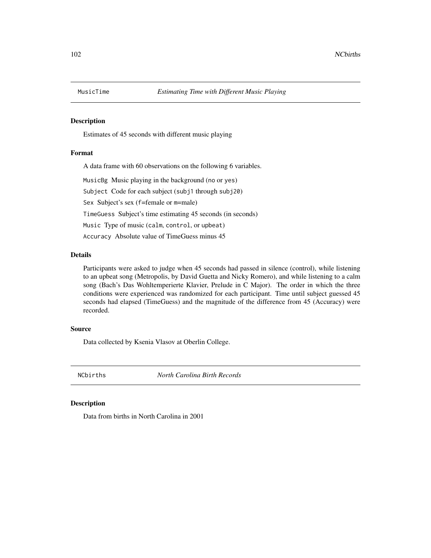Estimates of 45 seconds with different music playing

# Format

A data frame with 60 observations on the following 6 variables.

MusicBg Music playing in the background (no or yes)

Subject Code for each subject (subj1 through subj20)

Sex Subject's sex (f=female or m=male)

TimeGuess Subject's time estimating 45 seconds (in seconds)

Music Type of music (calm, control, or upbeat)

Accuracy Absolute value of TimeGuess minus 45

# Details

Participants were asked to judge when 45 seconds had passed in silence (control), while listening to an upbeat song (Metropolis, by David Guetta and Nicky Romero), and while listening to a calm song (Bach's Das Wohltemperierte Klavier, Prelude in C Major). The order in which the three conditions were experienced was randomized for each participant. Time until subject guessed 45 seconds had elapsed (TimeGuess) and the magnitude of the difference from 45 (Accuracy) were recorded.

## Source

Data collected by Ksenia Vlasov at Oberlin College.

NCbirths *North Carolina Birth Records*

#### Description

Data from births in North Carolina in 2001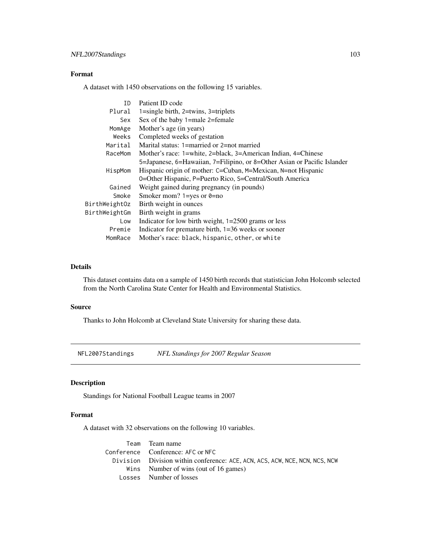# Format

A dataset with 1450 observations on the following 15 variables.

| ID            | Patient ID code                                                                                     |  |
|---------------|-----------------------------------------------------------------------------------------------------|--|
| Plural        | $1 = \frac{\sin \theta}{\sinh}$ , $2 = \frac{\sin \theta}{\sinh}$ , $3 = \frac{\sin \theta}{\sinh}$ |  |
| Sex           | Sex of the baby 1=male 2=female                                                                     |  |
| MomAge        | Mother's age (in years)                                                                             |  |
| Weeks         | Completed weeks of gestation                                                                        |  |
| Marital       | Marital status: 1=married or 2=not married                                                          |  |
| RaceMom       | Mother's race: 1=white, 2=black, 3=American Indian, 4=Chinese                                       |  |
|               | 5=Japanese, 6=Hawaiian, 7=Filipino, or 8=Other Asian or Pacific Islander                            |  |
| HispMom       | Hispanic origin of mother: C=Cuban, M=Mexican, N=not Hispanic                                       |  |
|               | 0=Other Hispanic, P=Puerto Rico, S=Central/South America                                            |  |
| Gained        | Weight gained during pregnancy (in pounds)                                                          |  |
| Smoke         | Smoker mom? $1 = yes$ or $0 = no$                                                                   |  |
| BirthWeightOz | Birth weight in ounces                                                                              |  |
| BirthWeightGm | Birth weight in grams                                                                               |  |
| Low           | Indicator for low birth weight, $1=2500$ grams or less                                              |  |
| Premie        | Indicator for premature birth, $1=36$ weeks or sooner                                               |  |
| MomRace       | Mother's race: black, hispanic, other, or white                                                     |  |

# Details

This dataset contains data on a sample of 1450 birth records that statistician John Holcomb selected from the North Carolina State Center for Health and Environmental Statistics.

# Source

Thanks to John Holcomb at Cleveland State University for sharing these data.

NFL2007Standings *NFL Standings for 2007 Regular Season*

# Description

Standings for National Football League teams in 2007

# Format

A dataset with 32 observations on the following 10 variables.

| Team Team name                                                              |
|-----------------------------------------------------------------------------|
| Conference Conference: AFC or NFC                                           |
| Division Division within conference: ACE, ACN, ACS, ACW, NCE, NCN, NCS, NCW |
| Wins Number of wins (out of 16 games)                                       |
| Losses Number of losses                                                     |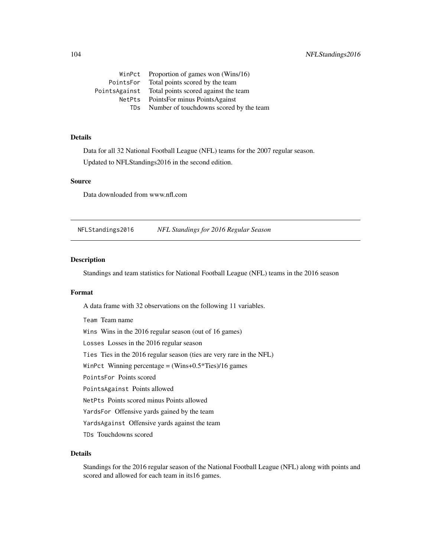WinPct Proportion of games won (Wins/16) PointsFor Total points scored by the team PointsAgainst Total points scored against the team NetPts PointsFor minus PointsAgainst TDs Number of touchdowns scored by the team

# Details

Data for all 32 National Football League (NFL) teams for the 2007 regular season. Updated to NFLStandings2016 in the second edition.

## Source

Data downloaded from www.nfl.com

NFLStandings2016 *NFL Standings for 2016 Regular Season*

# Description

Standings and team statistics for National Football League (NFL) teams in the 2016 season

#### Format

A data frame with 32 observations on the following 11 variables.

Team Team name Wins Wins in the 2016 regular season (out of 16 games) Losses Losses in the 2016 regular season Ties Ties in the 2016 regular season (ties are very rare in the NFL) WinPct Winning percentage = (Wins+0.5\*Ties)/16 games PointsFor Points scored PointsAgainst Points allowed NetPts Points scored minus Points allowed YardsFor Offensive yards gained by the team YardsAgainst Offensive yards against the team TDs Touchdowns scored

# Details

Standings for the 2016 regular season of the National Football League (NFL) along with points and scored and allowed for each team in its16 games.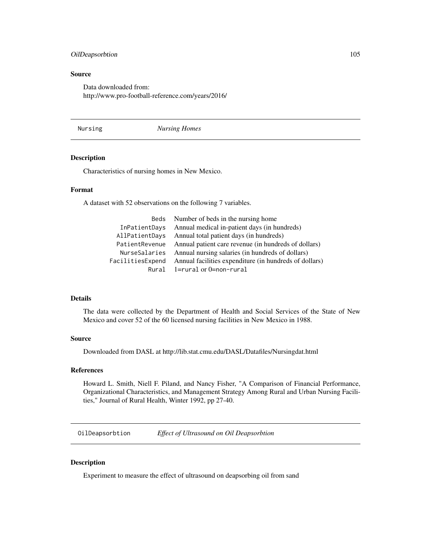# OilDeapsorbtion 105

# Source

Data downloaded from: http://www.pro-football-reference.com/years/2016/

Nursing *Nursing Homes*

## Description

Characteristics of nursing homes in New Mexico.

# Format

A dataset with 52 observations on the following 7 variables.

|                | Beds Number of beds in the nursing home                                 |
|----------------|-------------------------------------------------------------------------|
| InPatientDays  | Annual medical in-patient days (in hundreds)                            |
| AllPatientDays | Annual total patient days (in hundreds)                                 |
|                | Patient Revenue Annual patient care revenue (in hundreds of dollars)    |
|                | NurseSalaries Annual nursing salaries (in hundreds of dollars)          |
|                | FacilitiesExpend Annual facilities expenditure (in hundreds of dollars) |
|                | Rural 1=rural or 0=non-rural                                            |

# Details

The data were collected by the Department of Health and Social Services of the State of New Mexico and cover 52 of the 60 licensed nursing facilities in New Mexico in 1988.

## Source

Downloaded from DASL at http://lib.stat.cmu.edu/DASL/Datafiles/Nursingdat.html

#### References

Howard L. Smith, Niell F. Piland, and Nancy Fisher, "A Comparison of Financial Performance, Organizational Characteristics, and Management Strategy Among Rural and Urban Nursing Facilities," Journal of Rural Health, Winter 1992, pp 27-40.

OilDeapsorbtion *Effect of Ultrasound on Oil Deapsorbtion*

# Description

Experiment to measure the effect of ultrasound on deapsorbing oil from sand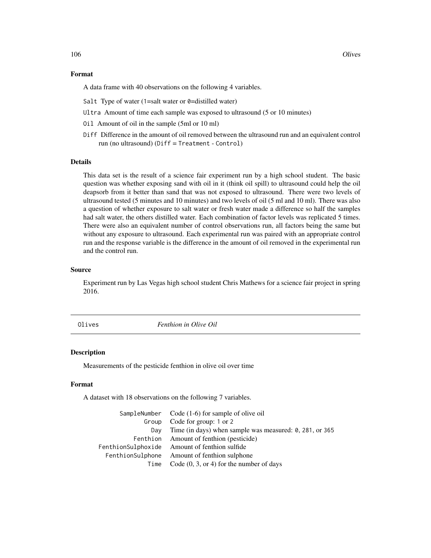## Format

A data frame with 40 observations on the following 4 variables.

- Salt Type of water (1=salt water or 0=distilled water)
- Ultra Amount of time each sample was exposed to ultrasound (5 or 10 minutes)
- Oil Amount of oil in the sample (5ml or 10 ml)
- Diff Difference in the amount of oil removed between the ultrasound run and an equivalent control run (no ultrasound) (Diff = Treatment - Control)

# Details

This data set is the result of a science fair experiment run by a high school student. The basic question was whether exposing sand with oil in it (think oil spill) to ultrasound could help the oil deapsorb from it better than sand that was not exposed to ultrasound. There were two levels of ultrasound tested (5 minutes and 10 minutes) and two levels of oil (5 ml and 10 ml). There was also a question of whether exposure to salt water or fresh water made a difference so half the samples had salt water, the others distilled water. Each combination of factor levels was replicated 5 times. There were also an equivalent number of control observations run, all factors being the same but without any exposure to ultrasound. Each experimental run was paired with an appropriate control run and the response variable is the difference in the amount of oil removed in the experimental run and the control run.

## Source

Experiment run by Las Vegas high school student Chris Mathews for a science fair project in spring 2016.

Olives *Fenthion in Olive Oil*

#### Description

Measurements of the pesticide fenthion in olive oil over time

#### Format

A dataset with 18 observations on the following 7 variables.

|      | SampleNumber Code (1-6) for sample of olive oil         |
|------|---------------------------------------------------------|
|      | Group Code for group: 1 or 2                            |
| Dav  | Time (in days) when sample was measured: 0, 281, or 365 |
|      | Fenthion Amount of fenthion (pesticide)                 |
|      | FenthionSulphoxide Amount of fenthion sulfide           |
|      | FenthionSulphone Amount of fenthion sulphone            |
| Time | Code $(0, 3, or 4)$ for the number of days              |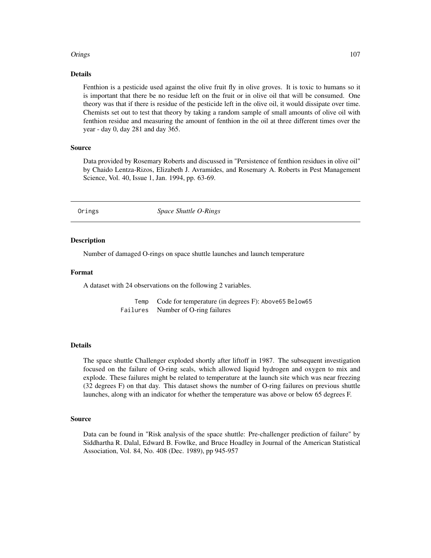## Orings 2012 107

#### Details

Fenthion is a pesticide used against the olive fruit fly in olive groves. It is toxic to humans so it is important that there be no residue left on the fruit or in olive oil that will be consumed. One theory was that if there is residue of the pesticide left in the olive oil, it would dissipate over time. Chemists set out to test that theory by taking a random sample of small amounts of olive oil with fenthion residue and measuring the amount of fenthion in the oil at three different times over the year - day 0, day 281 and day 365.

# Source

Data provided by Rosemary Roberts and discussed in "Persistence of fenthion residues in olive oil" by Chaido Lentza-Rizos, Elizabeth J. Avramides, and Rosemary A. Roberts in Pest Management Science, Vol. 40, Issue 1, Jan. 1994, pp. 63-69.

Orings *Space Shuttle O-Rings*

## Description

Number of damaged O-rings on space shuttle launches and launch temperature

# Format

A dataset with 24 observations on the following 2 variables.

Temp Code for temperature (in degrees F): Above65 Below65 Failures Number of O-ring failures

# Details

The space shuttle Challenger exploded shortly after liftoff in 1987. The subsequent investigation focused on the failure of O-ring seals, which allowed liquid hydrogen and oxygen to mix and explode. These failures might be related to temperature at the launch site which was near freezing (32 degrees F) on that day. This dataset shows the number of O-ring failures on previous shuttle launches, along with an indicator for whether the temperature was above or below 65 degrees F.

## Source

Data can be found in "Risk analysis of the space shuttle: Pre-challenger prediction of failure" by Siddhartha R. Dalal, Edward B. Fowlke, and Bruce Hoadley in Journal of the American Statistical Association, Vol. 84, No. 408 (Dec. 1989), pp 945-957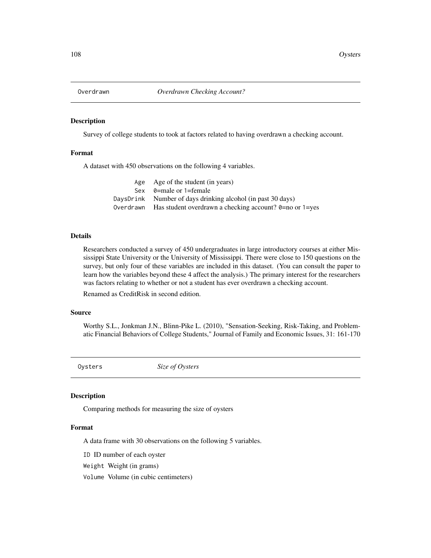Survey of college students to took at factors related to having overdrawn a checking account.

# Format

A dataset with 450 observations on the following 4 variables.

| Age Age of the student (in years)                                       |
|-------------------------------------------------------------------------|
| Sex $\theta$ =male or 1=female                                          |
| DaysDrink Number of days drinking alcohol (in past 30 days)             |
| Overdrawn Has student overdrawn a checking account? $0=$ no or $1=$ yes |

## Details

Researchers conducted a survey of 450 undergraduates in large introductory courses at either Mississippi State University or the University of Mississippi. There were close to 150 questions on the survey, but only four of these variables are included in this dataset. (You can consult the paper to learn how the variables beyond these 4 affect the analysis.) The primary interest for the researchers was factors relating to whether or not a student has ever overdrawn a checking account.

Renamed as CreditRisk in second edition.

## Source

Worthy S.L., Jonkman J.N., Blinn-Pike L. (2010), "Sensation-Seeking, Risk-Taking, and Problematic Financial Behaviors of College Students," Journal of Family and Economic Issues, 31: 161-170

Oysters *Size of Oysters*

#### Description

Comparing methods for measuring the size of oysters

#### Format

A data frame with 30 observations on the following 5 variables.

ID ID number of each oyster

Weight Weight (in grams)

Volume Volume (in cubic centimeters)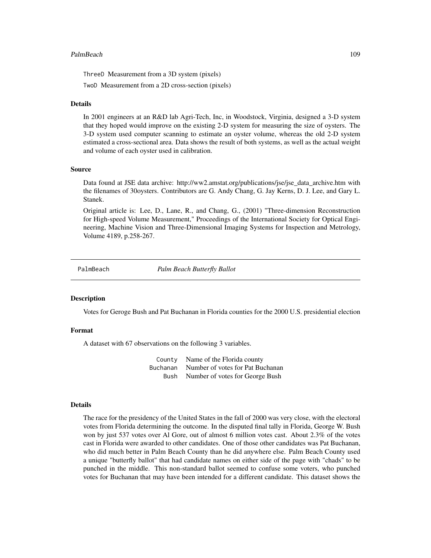#### PalmBeach 109

ThreeD Measurement from a 3D system (pixels)

TwoD Measurement from a 2D cross-section (pixels)

### Details

In 2001 engineers at an R&D lab Agri-Tech, Inc, in Woodstock, Virginia, designed a 3-D system that they hoped would improve on the existing 2-D system for measuring the size of oysters. The 3-D system used computer scanning to estimate an oyster volume, whereas the old 2-D system estimated a cross-sectional area. Data shows the result of both systems, as well as the actual weight and volume of each oyster used in calibration.

### Source

Data found at JSE data archive: http://ww2.amstat.org/publications/jse/jse\_data\_archive.htm with the filenames of 30oysters. Contributors are G. Andy Chang, G. Jay Kerns, D. J. Lee, and Gary L. Stanek.

Original article is: Lee, D., Lane, R., and Chang, G., (2001) "Three-dimension Reconstruction for High-speed Volume Measurement," Proceedings of the International Society for Optical Engineering, Machine Vision and Three-Dimensional Imaging Systems for Inspection and Metrology, Volume 4189, p.258-267.

PalmBeach *Palm Beach Butterfly Ballot*

## Description

Votes for Geroge Bush and Pat Buchanan in Florida counties for the 2000 U.S. presidential election

## Format

A dataset with 67 observations on the following 3 variables.

County Name of the Florida county Buchanan Number of votes for Pat Buchanan Bush Number of votes for George Bush

#### Details

The race for the presidency of the United States in the fall of 2000 was very close, with the electoral votes from Florida determining the outcome. In the disputed final tally in Florida, George W. Bush won by just 537 votes over Al Gore, out of almost 6 million votes cast. About 2.3% of the votes cast in Florida were awarded to other candidates. One of those other candidates was Pat Buchanan, who did much better in Palm Beach County than he did anywhere else. Palm Beach County used a unique "butterfly ballot" that had candidate names on either side of the page with "chads" to be punched in the middle. This non-standard ballot seemed to confuse some voters, who punched votes for Buchanan that may have been intended for a different candidate. This dataset shows the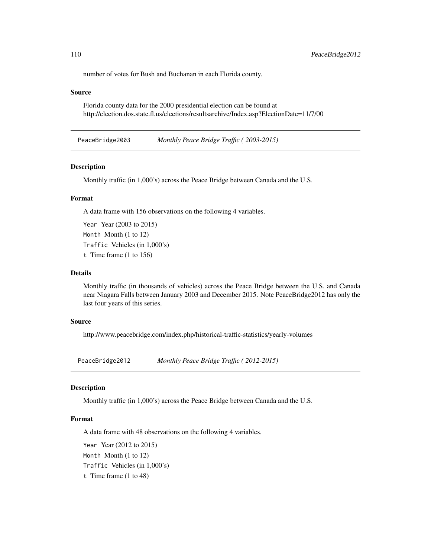number of votes for Bush and Buchanan in each Florida county.

## Source

Florida county data for the 2000 presidential election can be found at http://election.dos.state.fl.us/elections/resultsarchive/Index.asp?ElectionDate=11/7/00

PeaceBridge2003 *Monthly Peace Bridge Traffic ( 2003-2015)*

## Description

Monthly traffic (in 1,000's) across the Peace Bridge between Canada and the U.S.

# Format

A data frame with 156 observations on the following 4 variables.

Year Year (2003 to 2015) Month Month (1 to 12) Traffic Vehicles (in 1,000's) t Time frame (1 to 156)

#### Details

Monthly traffic (in thousands of vehicles) across the Peace Bridge between the U.S. and Canada near Niagara Falls between January 2003 and December 2015. Note PeaceBridge2012 has only the last four years of this series.

#### Source

http://www.peacebridge.com/index.php/historical-traffic-statistics/yearly-volumes

PeaceBridge2012 *Monthly Peace Bridge Traffic ( 2012-2015)*

# **Description**

Monthly traffic (in 1,000's) across the Peace Bridge between Canada and the U.S.

# Format

A data frame with 48 observations on the following 4 variables.

Year Year (2012 to 2015) Month Month (1 to 12) Traffic Vehicles (in 1,000's) t Time frame (1 to 48)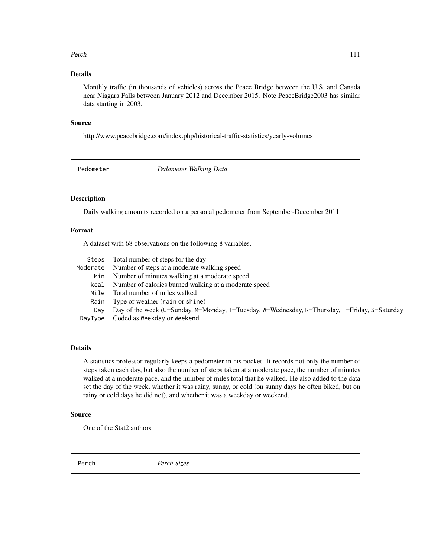#### Perch 111

# Details

Monthly traffic (in thousands of vehicles) across the Peace Bridge between the U.S. and Canada near Niagara Falls between January 2012 and December 2015. Note PeaceBridge2003 has similar data starting in 2003.

#### Source

http://www.peacebridge.com/index.php/historical-traffic-statistics/yearly-volumes

Pedometer *Pedometer Walking Data*

## Description

Daily walking amounts recorded on a personal pedometer from September-December 2011

# Format

A dataset with 68 observations on the following 8 variables.

| Steps    | Total number of steps for the day                                                             |
|----------|-----------------------------------------------------------------------------------------------|
| Moderate | Number of steps at a moderate walking speed                                                   |
| Min      | Number of minutes walking at a moderate speed                                                 |
| kcal     | Number of calories burned walking at a moderate speed                                         |
| Mile     | Total number of miles walked                                                                  |
| Rain     | Type of weather (rain or shine)                                                               |
| Dav      | Day of the week (U=Sunday, M=Monday, T=Tuesday, W=Wednesday, R=Thursday, F=Friday, S=Saturday |
| DayType  | Coded as Weekday or Weekend                                                                   |

## Details

A statistics professor regularly keeps a pedometer in his pocket. It records not only the number of steps taken each day, but also the number of steps taken at a moderate pace, the number of minutes walked at a moderate pace, and the number of miles total that he walked. He also added to the data set the day of the week, whether it was rainy, sunny, or cold (on sunny days he often biked, but on rainy or cold days he did not), and whether it was a weekday or weekend.

## Source

One of the Stat2 authors

Perch *Perch Sizes*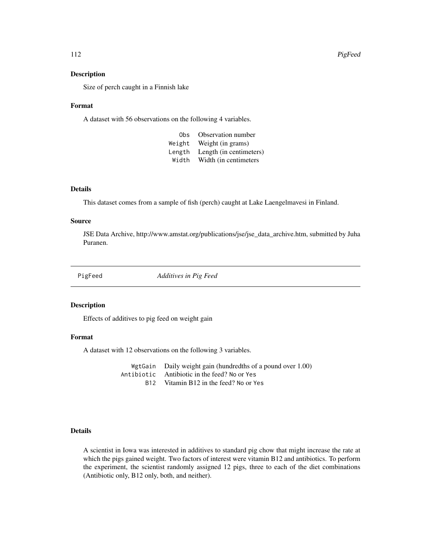Size of perch caught in a Finnish lake

#### Format

A dataset with 56 observations on the following 4 variables.

| 0bs    | Observation number      |
|--------|-------------------------|
| Weight | Weight (in grams)       |
| Length | Length (in centimeters) |
| Width  | Width (in centimeters   |

## Details

This dataset comes from a sample of fish (perch) caught at Lake Laengelmavesi in Finland.

## Source

JSE Data Archive, http://www.amstat.org/publications/jse/jse\_data\_archive.htm, submitted by Juha Puranen.

PigFeed *Additives in Pig Feed*

### Description

Effects of additives to pig feed on weight gain

# Format

A dataset with 12 observations on the following 3 variables.

WgtGain Daily weight gain (hundredths of a pound over 1.00) Antibiotic Antibiotic in the feed? No or Yes B12 Vitamin B12 in the feed? No or Yes

# Details

A scientist in Iowa was interested in additives to standard pig chow that might increase the rate at which the pigs gained weight. Two factors of interest were vitamin B12 and antibiotics. To perform the experiment, the scientist randomly assigned 12 pigs, three to each of the diet combinations (Antibiotic only, B12 only, both, and neither).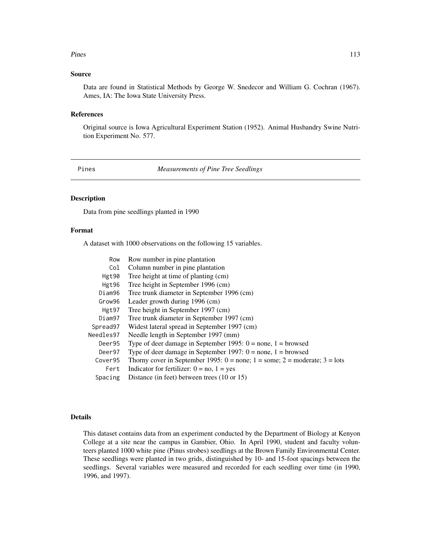#### Pines 2013 and 2014 and 2014 and 2014 and 2014 and 2014 and 2014 and 2014 and 2014 and 2014 and 2014 and 2014 and 2014 and 2014 and 2014 and 2014 and 2014 and 2014 and 2014 and 2014 and 2014 and 2014 and 2014 and 2014 and

## Source

Data are found in Statistical Methods by George W. Snedecor and William G. Cochran (1967). Ames, IA: The Iowa State University Press.

## References

Original source is Iowa Agricultural Experiment Station (1952). Animal Husbandry Swine Nutrition Experiment No. 577.

Pines *Measurements of Pine Tree Seedlings*

# Description

Data from pine seedlings planted in 1990

#### Format

A dataset with 1000 observations on the following 15 variables.

| Row       | Row number in pine plantation                                                         |
|-----------|---------------------------------------------------------------------------------------|
| Col       | Column number in pine plantation                                                      |
| Hgt90     | Tree height at time of planting (cm)                                                  |
| Hgt96     | Tree height in September 1996 (cm)                                                    |
| Diam96    | Tree trunk diameter in September 1996 (cm)                                            |
| Grow96    | Leader growth during 1996 (cm)                                                        |
| Hgt97     | Tree height in September 1997 (cm)                                                    |
| Diam97    | Tree trunk diameter in September 1997 (cm)                                            |
| Spread97  | Widest lateral spread in September 1997 (cm)                                          |
| Needles97 | Needle length in September 1997 (mm)                                                  |
| Deer95    | Type of deer damage in September 1995: $0 = none$ , $1 = b$ rowsed                    |
| Deer97    | Type of deer damage in September 1997: $0 = none$ , $1 = b$ rowsed                    |
| Cover95   | Thorny cover in September 1995: $0 = none$ ; $1 = some$ ; $2 = moderate$ ; $3 = lots$ |
| Fert      | Indicator for fertilizer: $0 = no$ , $1 = yes$                                        |
| Spacing   | Distance (in feet) between trees (10 or 15)                                           |
|           |                                                                                       |

# Details

This dataset contains data from an experiment conducted by the Department of Biology at Kenyon College at a site near the campus in Gambier, Ohio. In April 1990, student and faculty volunteers planted 1000 white pine (Pinus strobes) seedlings at the Brown Family Environmental Center. These seedlings were planted in two grids, distinguished by 10- and 15-foot spacings between the seedlings. Several variables were measured and recorded for each seedling over time (in 1990, 1996, and 1997).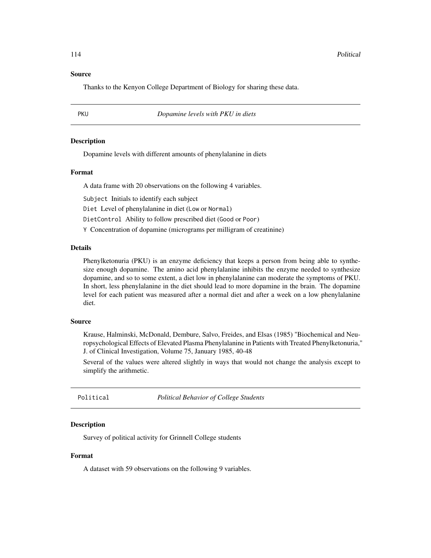## Source

Thanks to the Kenyon College Department of Biology for sharing these data.

PKU *Dopamine levels with PKU in diets*

## **Description**

Dopamine levels with different amounts of phenylalanine in diets

#### Format

A data frame with 20 observations on the following 4 variables.

Subject Initials to identify each subject

Diet Level of phenylalanine in diet (Low or Normal)

DietControl Ability to follow prescribed diet (Good or Poor)

Y Concentration of dopamine (micrograms per milligram of creatinine)

# Details

Phenylketonuria (PKU) is an enzyme deficiency that keeps a person from being able to synthesize enough dopamine. The amino acid phenylalanine inhibits the enzyme needed to synthesize dopamine, and so to some extent, a diet low in phenylalanine can moderate the symptoms of PKU. In short, less phenylalanine in the diet should lead to more dopamine in the brain. The dopamine level for each patient was measured after a normal diet and after a week on a low phenylalanine diet.

#### Source

Krause, Halminski, McDonald, Dembure, Salvo, Freides, and Elsas (1985) "Biochemical and Neuropsychological Effects of Elevated Plasma Phenylalanine in Patients with Treated Phenylketonuria," J. of Clinical Investigation, Volume 75, January 1985, 40-48

Several of the values were altered slightly in ways that would not change the analysis except to simplify the arithmetic.

Political *Political Behavior of College Students*

## **Description**

Survey of political activity for Grinnell College students

# Format

A dataset with 59 observations on the following 9 variables.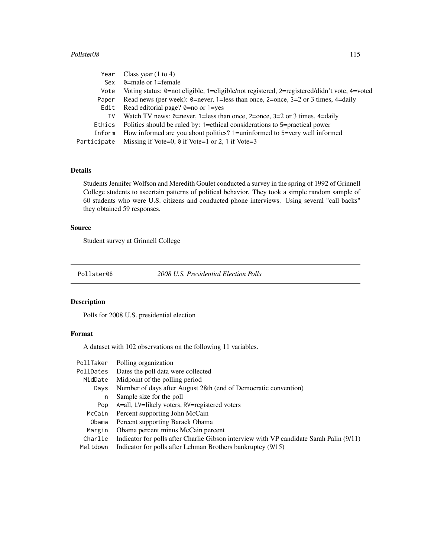## Pollster08 115

| Year        | Class year $(1 \text{ to } 4)$                                                              |
|-------------|---------------------------------------------------------------------------------------------|
| Sex         | $\theta$ =male or 1=female                                                                  |
| Vote        | Voting status: 0=not eligible, 1=eligible/not registered, 2=registered/didn't vote, 4=voted |
| Paper       | Read news (per week): $\theta$ =never, 1=less than once, 2=once, 3=2 or 3 times, 4=daily    |
| Edit        | Read editorial page? $0=$ no or 1=yes                                                       |
| TV          | Watch TV news: 0=never, 1=less than once, 2=once, $3=2$ or 3 times, 4=daily                 |
| Ethics      | Politics should be ruled by: 1=ethical considerations to 5=practical power                  |
| Inform      | How informed are you about politics? 1=uninformed to 5=very well informed                   |
| Participate | Missing if Vote=0, $\theta$ if Vote=1 or 2, 1 if Vote=3                                     |

# Details

Students Jennifer Wolfson and Meredith Goulet conducted a survey in the spring of 1992 of Grinnell College students to ascertain patterns of political behavior. They took a simple random sample of 60 students who were U.S. citizens and conducted phone interviews. Using several "call backs" they obtained 59 responses.

# Source

Student survey at Grinnell College

Pollster08 *2008 U.S. Presidential Election Polls*

# Description

Polls for 2008 U.S. presidential election

# Format

A dataset with 102 observations on the following 11 variables.

| PollTaker | Polling organization                                                                    |
|-----------|-----------------------------------------------------------------------------------------|
| PollDates | Dates the poll data were collected                                                      |
| MidDate   | Midpoint of the polling period                                                          |
| Days      | Number of days after August 28th (end of Democratic convention)                         |
| n         | Sample size for the poll                                                                |
| Pop       | A=all, LV=likely voters, RV=registered voters                                           |
| McCain    | Percent supporting John McCain                                                          |
| Obama     | Percent supporting Barack Obama                                                         |
| Margin    | Obama percent minus McCain percent                                                      |
| Charlie   | Indicator for polls after Charlie Gibson interview with VP candidate Sarah Palin (9/11) |
| Meltdown  | Indicator for polls after Lehman Brothers bankruptcy (9/15)                             |
|           |                                                                                         |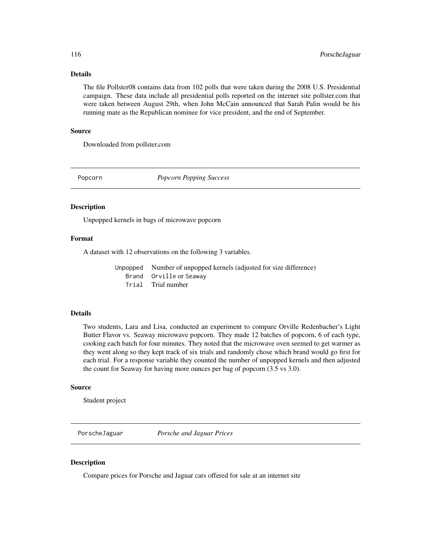# Details

The file Pollster08 contains data from 102 polls that were taken during the 2008 U.S. Presidential campaign. These data include all presidential polls reported on the internet site pollster.com that were taken between August 29th, when John McCain announced that Sarah Palin would be his running mate as the Republican nominee for vice president, and the end of September.

## Source

Downloaded from pollster.com

Popcorn *Popcorn Popping Success*

#### **Description**

Unpopped kernels in bags of microwave popcorn

#### Format

A dataset with 12 observations on the following 3 variables.

Unpopped Number of unpopped kernels (adjusted for size difference) Brand Orville or Seaway Trial Trial number

# Details

Two students, Lara and Lisa, conducted an experiment to compare Orville Redenbacher's Light Butter Flavor vs. Seaway microwave popcorn. They made 12 batches of popcorn, 6 of each type, cooking each batch for four minutes. They noted that the microwave oven seemed to get warmer as they went along so they kept track of six trials and randomly chose which brand would go first for each trial. For a response variable they counted the number of unpopped kernels and then adjusted the count for Seaway for having more ounces per bag of popcorn (3.5 vs 3.0).

## Source

Student project

PorscheJaguar *Porsche and Jaguar Prices*

### Description

Compare prices for Porsche and Jaguar cars offered for sale at an internet site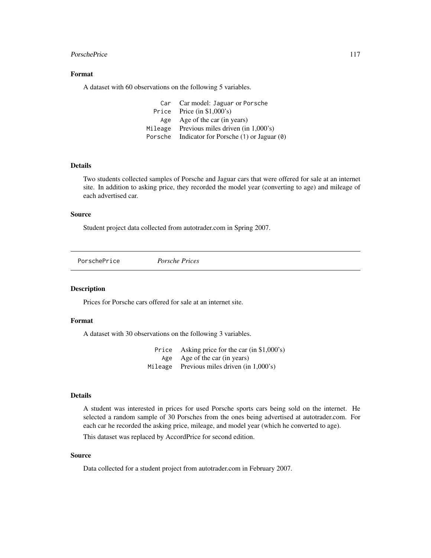#### PorschePrice 2012 117

# Format

A dataset with 60 observations on the following 5 variables.

| Car Car model: Jaguar or Porsche                |
|-------------------------------------------------|
| Price Price $(in $1,000's)$                     |
| Age Age of the car (in years)                   |
| Mileage Previous miles driven $(in 1,000's)$    |
| Porsche Indicator for Porsche (1) or Jaguar (0) |

#### Details

Two students collected samples of Porsche and Jaguar cars that were offered for sale at an internet site. In addition to asking price, they recorded the model year (converting to age) and mileage of each advertised car.

# Source

Student project data collected from autotrader.com in Spring 2007.

PorschePrice *Porsche Prices*

# Description

Prices for Porsche cars offered for sale at an internet site.

# Format

A dataset with 30 observations on the following 3 variables.

Price Asking price for the car (in \$1,000's) Age Age of the car (in years) Mileage Previous miles driven (in 1,000's)

## Details

A student was interested in prices for used Porsche sports cars being sold on the internet. He selected a random sample of 30 Porsches from the ones being advertised at autotrader.com. For each car he recorded the asking price, mileage, and model year (which he converted to age).

This dataset was replaced by AccordPrice for second edition.

#### Source

Data collected for a student project from autotrader.com in February 2007.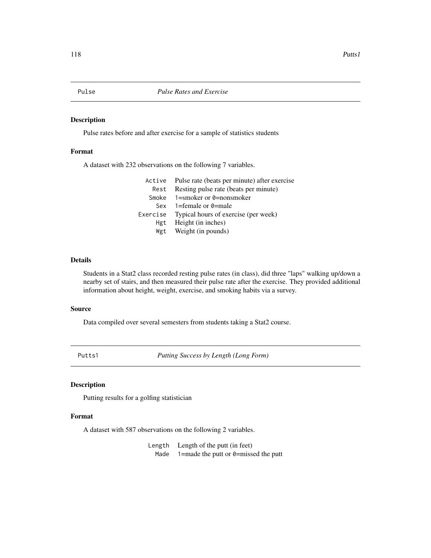Pulse rates before and after exercise for a sample of statistics students

# Format

A dataset with 232 observations on the following 7 variables.

|      | Active Pulse rate (beats per minute) after exercise |
|------|-----------------------------------------------------|
| Rest | Resting pulse rate (beats per minute)               |
|      | Smoke $1 =$ smoker or 0 = nonsmoker                 |
| Sex  | 1=female or 0=male                                  |
|      | Exercise Typical hours of exercise (per week)       |
| Hgt  | Height (in inches)                                  |
| Wgt  | Weight (in pounds)                                  |
|      |                                                     |

# Details

Students in a Stat2 class recorded resting pulse rates (in class), did three "laps" walking up/down a nearby set of stairs, and then measured their pulse rate after the exercise. They provided additional information about height, weight, exercise, and smoking habits via a survey.

#### Source

Data compiled over several semesters from students taking a Stat2 course.

Putts1 *Putting Success by Length (Long Form)*

# Description

Putting results for a golfing statistician

#### Format

A dataset with 587 observations on the following 2 variables.

Length Length of the putt (in feet) Made  $1=$ made the putt or 0=missed the putt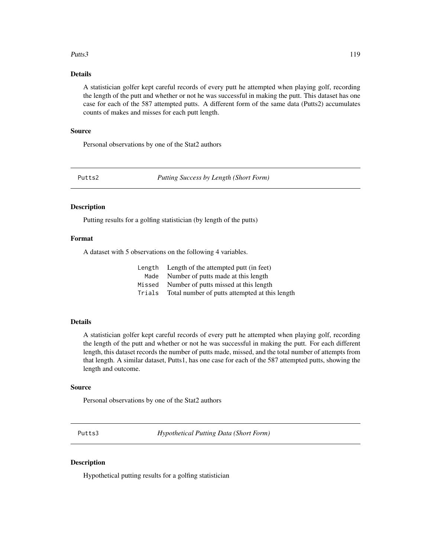## Putts3 and the contract of the contract of the contract of the contract of the contract of the contract of the contract of the contract of the contract of the contract of the contract of the contract of the contract of the

# Details

A statistician golfer kept careful records of every putt he attempted when playing golf, recording the length of the putt and whether or not he was successful in making the putt. This dataset has one case for each of the 587 attempted putts. A different form of the same data (Putts2) accumulates counts of makes and misses for each putt length.

## Source

Personal observations by one of the Stat2 authors

Putts2 *Putting Success by Length (Short Form)*

#### Description

Putting results for a golfing statistician (by length of the putts)

## Format

A dataset with 5 observations on the following 4 variables.

|        | Length Length of the attempted putt (in feet)  |
|--------|------------------------------------------------|
|        | Made Number of putts made at this length       |
| Missed | Number of putts missed at this length          |
| Trials | Total number of putts attempted at this length |

#### Details

A statistician golfer kept careful records of every putt he attempted when playing golf, recording the length of the putt and whether or not he was successful in making the putt. For each different length, this dataset records the number of putts made, missed, and the total number of attempts from that length. A similar dataset, Putts1, has one case for each of the 587 attempted putts, showing the length and outcome.

# Source

Personal observations by one of the Stat2 authors

Putts3 *Hypothetical Putting Data (Short Form)*

### Description

Hypothetical putting results for a golfing statistician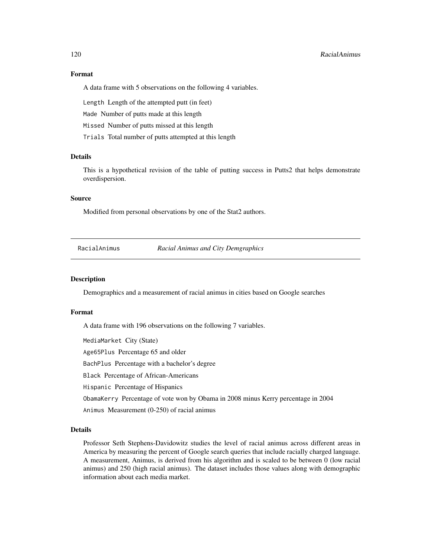# 120 RacialAnimus

# Format

A data frame with 5 observations on the following 4 variables.

Length Length of the attempted putt (in feet)

Made Number of putts made at this length

Missed Number of putts missed at this length

Trials Total number of putts attempted at this length

# **Details**

This is a hypothetical revision of the table of putting success in Putts2 that helps demonstrate overdispersion.

## Source

Modified from personal observations by one of the Stat2 authors.

### **Description**

Demographics and a measurement of racial animus in cities based on Google searches

## Format

A data frame with 196 observations on the following 7 variables.

MediaMarket City (State)

Age65Plus Percentage 65 and older

BachPlus Percentage with a bachelor's degree

Black Percentage of African-Americans

Hispanic Percentage of Hispanics

ObamaKerry Percentage of vote won by Obama in 2008 minus Kerry percentage in 2004

Animus Measurement (0-250) of racial animus

# Details

Professor Seth Stephens-Davidowitz studies the level of racial animus across different areas in America by measuring the percent of Google search queries that include racially charged language. A measurement, Animus, is derived from his algorithm and is scaled to be between 0 (low racial animus) and 250 (high racial animus). The dataset includes those values along with demographic information about each media market.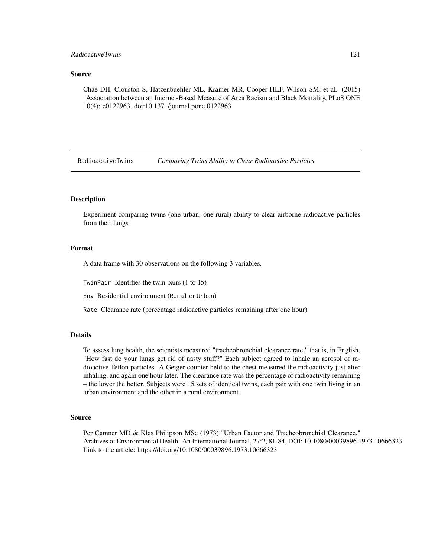# RadioactiveTwins 121

#### Source

Chae DH, Clouston S, Hatzenbuehler ML, Kramer MR, Cooper HLF, Wilson SM, et al. (2015) "Association between an Internet-Based Measure of Area Racism and Black Mortality, PLoS ONE 10(4): e0122963. doi:10.1371/journal.pone.0122963

RadioactiveTwins *Comparing Twins Ability to Clear Radioactive Particles*

## **Description**

Experiment comparing twins (one urban, one rural) ability to clear airborne radioactive particles from their lungs

# Format

A data frame with 30 observations on the following 3 variables.

TwinPair Identifies the twin pairs (1 to 15)

Env Residential environment (Rural or Urban)

Rate Clearance rate (percentage radioactive particles remaining after one hour)

## Details

To assess lung health, the scientists measured "tracheobronchial clearance rate," that is, in English, "How fast do your lungs get rid of nasty stuff?" Each subject agreed to inhale an aerosol of radioactive Teflon particles. A Geiger counter held to the chest measured the radioactivity just after inhaling, and again one hour later. The clearance rate was the percentage of radioactivity remaining – the lower the better. Subjects were 15 sets of identical twins, each pair with one twin living in an urban environment and the other in a rural environment.

### Source

Per Camner MD & Klas Philipson MSc (1973) "Urban Factor and Tracheobronchial Clearance," Archives of Environmental Health: An International Journal, 27:2, 81-84, DOI: 10.1080/00039896.1973.10666323 Link to the article: https://doi.org/10.1080/00039896.1973.10666323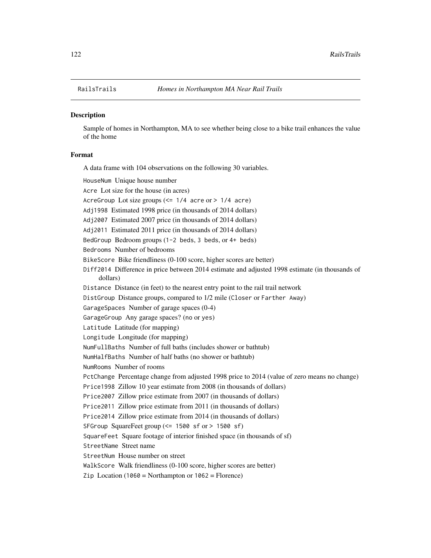Sample of homes in Northampton, MA to see whether being close to a bike trail enhances the value of the home

# Format

A data frame with 104 observations on the following 30 variables.

HouseNum Unique house number Acre Lot size for the house (in acres) AcreGroup Lot size groups (<= 1/4 acre or > 1/4 acre) Adj1998 Estimated 1998 price (in thousands of 2014 dollars) Adj2007 Estimated 2007 price (in thousands of 2014 dollars) Adj2011 Estimated 2011 price (in thousands of 2014 dollars) BedGroup Bedroom groups (1-2 beds, 3 beds, or 4+ beds) Bedrooms Number of bedrooms BikeScore Bike friendliness (0-100 score, higher scores are better) Diff2014 Difference in price between 2014 estimate and adjusted 1998 estimate (in thousands of dollars) Distance Distance (in feet) to the nearest entry point to the rail trail network DistGroup Distance groups, compared to 1/2 mile (Closer or Farther Away) GarageSpaces Number of garage spaces (0-4) GarageGroup Any garage spaces? (no or yes) Latitude Latitude (for mapping) Longitude Longitude (for mapping) NumFullBaths Number of full baths (includes shower or bathtub) NumHalfBaths Number of half baths (no shower or bathtub) NumRooms Number of rooms PctChange Percentage change from adjusted 1998 price to 2014 (value of zero means no change) Price1998 Zillow 10 year estimate from 2008 (in thousands of dollars) Price2007 Zillow price estimate from 2007 (in thousands of dollars) Price2011 Zillow price estimate from 2011 (in thousands of dollars) Price2014 Zillow price estimate from 2014 (in thousands of dollars) SFGroup SquareFeet group (<= 1500 sf or > 1500 sf) SquareFeet Square footage of interior finished space (in thousands of sf) StreetName Street name StreetNum House number on street WalkScore Walk friendliness (0-100 score, higher scores are better) Zip Location (1060 = Northampton or  $1062$  = Florence)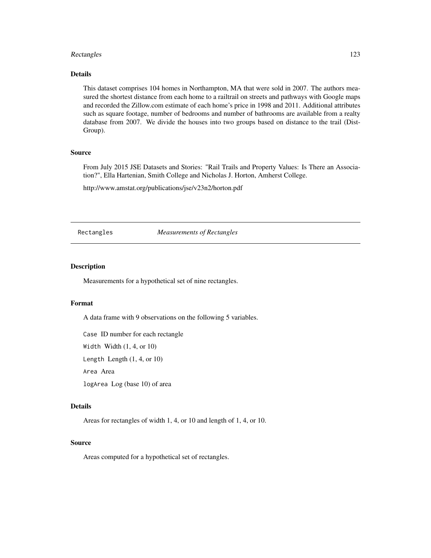#### Rectangles 123

## Details

This dataset comprises 104 homes in Northampton, MA that were sold in 2007. The authors measured the shortest distance from each home to a railtrail on streets and pathways with Google maps and recorded the Zillow.com estimate of each home's price in 1998 and 2011. Additional attributes such as square footage, number of bedrooms and number of bathrooms are available from a realty database from 2007. We divide the houses into two groups based on distance to the trail (Dist-Group).

### Source

From July 2015 JSE Datasets and Stories: "Rail Trails and Property Values: Is There an Association?", Ella Hartenian, Smith College and Nicholas J. Horton, Amherst College.

http://www.amstat.org/publications/jse/v23n2/horton.pdf

Rectangles *Measurements of Rectangles*

# Description

Measurements for a hypothetical set of nine rectangles.

## Format

A data frame with 9 observations on the following 5 variables.

Case ID number for each rectangle

Width Width (1, 4, or 10)

Length Length (1, 4, or 10)

Area Area

logArea Log (base 10) of area

# Details

Areas for rectangles of width 1, 4, or 10 and length of 1, 4, or 10.

#### Source

Areas computed for a hypothetical set of rectangles.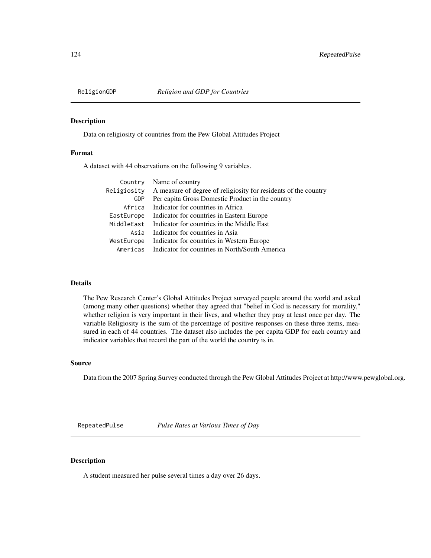Data on religiosity of countries from the Pew Global Attitudes Project

# Format

A dataset with 44 observations on the following 9 variables.

|             | Country Name of country                                         |
|-------------|-----------------------------------------------------------------|
| Religiosity | A measure of degree of religiosity for residents of the country |
| <b>GDP</b>  | Per capita Gross Domestic Product in the country                |
| Africa      | Indicator for countries in Africa                               |
| EastEurope  | Indicator for countries in Eastern Europe                       |
| MiddleEast  | Indicator for countries in the Middle East                      |
| Asia        | Indicator for countries in Asia                                 |
| WestEurope  | Indicator for countries in Western Europe                       |
| Americas    | Indicator for countries in North/South America                  |

# Details

The Pew Research Center's Global Attitudes Project surveyed people around the world and asked (among many other questions) whether they agreed that "belief in God is necessary for morality," whether religion is very important in their lives, and whether they pray at least once per day. The variable Religiosity is the sum of the percentage of positive responses on these three items, measured in each of 44 countries. The dataset also includes the per capita GDP for each country and indicator variables that record the part of the world the country is in.

#### Source

Data from the 2007 Spring Survey conducted through the Pew Global Attitudes Project at http://www.pewglobal.org.

RepeatedPulse *Pulse Rates at Various Times of Day*

# Description

A student measured her pulse several times a day over 26 days.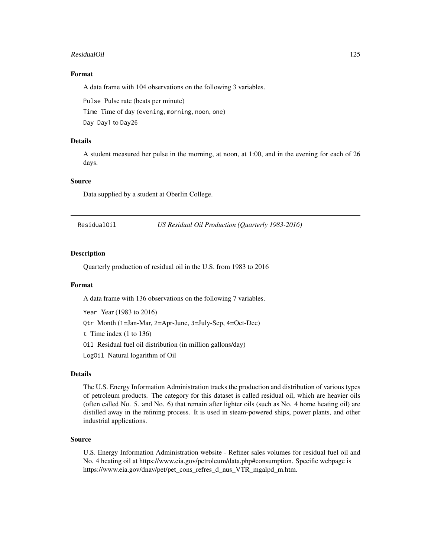#### ResidualOil 125

# Format

A data frame with 104 observations on the following 3 variables.

Pulse Pulse rate (beats per minute)

Time Time of day (evening, morning, noon, one)

Day Day1 to Day26

# Details

A student measured her pulse in the morning, at noon, at 1:00, and in the evening for each of 26 days.

## Source

Data supplied by a student at Oberlin College.

ResidualOil *US Residual Oil Production (Quarterly 1983-2016)*

## Description

Quarterly production of residual oil in the U.S. from 1983 to 2016

#### Format

A data frame with 136 observations on the following 7 variables.

Year Year (1983 to 2016) Qtr Month (1=Jan-Mar, 2=Apr-June, 3=July-Sep, 4=Oct-Dec) t Time index (1 to 136) Oil Residual fuel oil distribution (in million gallons/day) LogOil Natural logarithm of Oil

#### Details

The U.S. Energy Information Administration tracks the production and distribution of various types of petroleum products. The category for this dataset is called residual oil, which are heavier oils (often called No. 5. and No. 6) that remain after lighter oils (such as No. 4 home heating oil) are distilled away in the refining process. It is used in steam-powered ships, power plants, and other industrial applications.

#### Source

U.S. Energy Information Administration website - Refiner sales volumes for residual fuel oil and No. 4 heating oil at https://www.eia.gov/petroleum/data.php#consumption. Specific webpage is https://www.eia.gov/dnav/pet/pet\_cons\_refres\_d\_nus\_VTR\_mgalpd\_m.htm.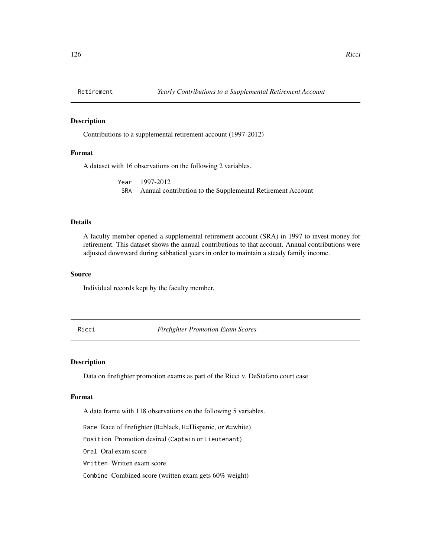Contributions to a supplemental retirement account (1997-2012)

# Format

A dataset with 16 observations on the following 2 variables.

Year 1997-2012 SRA Annual contribution to the Supplemental Retirement Account

## Details

A faculty member opened a supplemental retirement account (SRA) in 1997 to invest money for retirement. This dataset shows the annual contributions to that account. Annual contributions were adjusted downward during sabbatical years in order to maintain a steady family income.

### Source

Individual records kept by the faculty member.

Ricci *Firefighter Promotion Exam Scores*

#### Description

Data on firefighter promotion exams as part of the Ricci v. DeStafano court case

#### Format

A data frame with 118 observations on the following 5 variables.

Race Race of firefighter (B=black, H=Hispanic, or W=white)

Position Promotion desired (Captain or Lieutenant)

Oral Oral exam score

Written Written exam score

Combine Combined score (written exam gets 60% weight)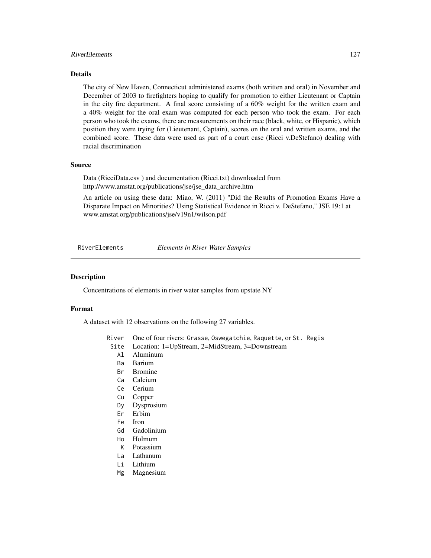# RiverElements 127

# Details

The city of New Haven, Connecticut administered exams (both written and oral) in November and December of 2003 to firefighters hoping to qualify for promotion to either Lieutenant or Captain in the city fire department. A final score consisting of a 60% weight for the written exam and a 40% weight for the oral exam was computed for each person who took the exam. For each person who took the exams, there are measurements on their race (black, white, or Hispanic), which position they were trying for (Lieutenant, Captain), scores on the oral and written exams, and the combined score. These data were used as part of a court case (Ricci v.DeStefano) dealing with racial discrimination

## Source

Data (RicciData.csv ) and documentation (Ricci.txt) downloaded from http://www.amstat.org/publications/jse/jse\_data\_archive.htm

An article on using these data: Miao, W. (2011) "Did the Results of Promotion Exams Have a Disparate Impact on Minorities? Using Statistical Evidence in Ricci v. DeStefano," JSE 19:1 at www.amstat.org/publications/jse/v19n1/wilson.pdf

RiverElements *Elements in River Water Samples*

#### Description

Concentrations of elements in river water samples from upstate NY

#### Format

A dataset with 12 observations on the following 27 variables.

River One of four rivers: Grasse, Oswegatchie, Raquette, or St. Regis

- Site Location: 1=UpStream, 2=MidStream, 3=Downstream
	- Al Aluminum
	- Ba Barium
	- Br Bromine
	- Ca Calcium
	- Ce Cerium
	- Cu Copper
	- Dy Dysprosium
	- Er Erbim
	- Fe Iron
	- Gd Gadolinium
	- Ho Holmum
	- K Potassium
	- La Lathanum
	-
	- Li Lithium
	- Mg Magnesium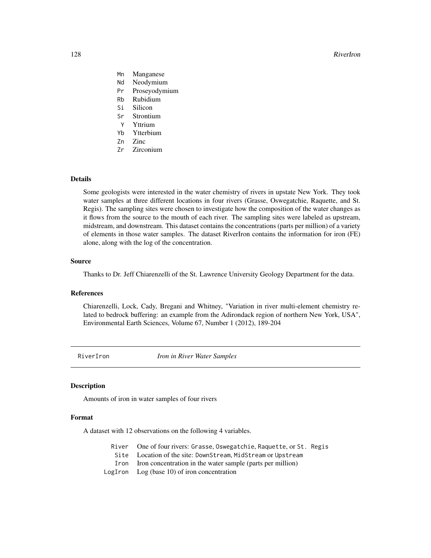#### 128 RiverIron

- Mn Manganese
- Nd Neodymium
- Pr Proseyodymium
- Rb Rubidium
- Si Silicon
- Sr Strontium
- Y Yttrium
- Yb Ytterbium
- Zn Zinc
- Zr Zirconium

# Details

Some geologists were interested in the water chemistry of rivers in upstate New York. They took water samples at three different locations in four rivers (Grasse, Oswegatchie, Raquette, and St. Regis). The sampling sites were chosen to investigate how the composition of the water changes as it flows from the source to the mouth of each river. The sampling sites were labeled as upstream, midstream, and downstream. This dataset contains the concentrations (parts per million) of a variety of elements in those water samples. The dataset RiverIron contains the information for iron (FE) alone, along with the log of the concentration.

#### Source

Thanks to Dr. Jeff Chiarenzelli of the St. Lawrence University Geology Department for the data.

## References

Chiarenzelli, Lock, Cady, Bregani and Whitney, "Variation in river multi-element chemistry related to bedrock buffering: an example from the Adirondack region of northern New York, USA", Environmental Earth Sciences, Volume 67, Number 1 (2012), 189-204

RiverIron *Iron in River Water Samples*

#### Description

Amounts of iron in water samples of four rivers

# Format

A dataset with 12 observations on the following 4 variables.

- River One of four rivers: Grasse, Oswegatchie, Raquette, or St. Regis
	- Site Location of the site: DownStream, MidStream or Upstream
- Iron Iron concentration in the water sample (parts per million)
- LogIron Log (base 10) of iron concentration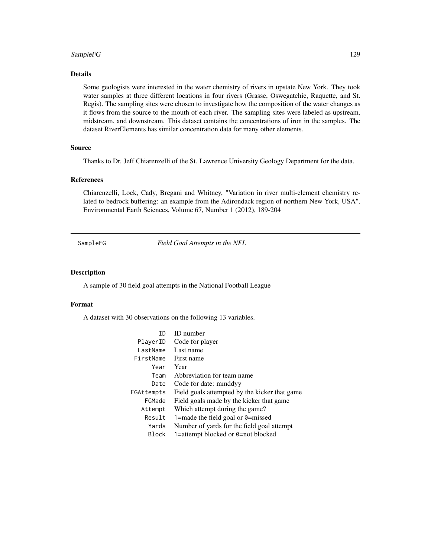# SampleFG 129

# Details

Some geologists were interested in the water chemistry of rivers in upstate New York. They took water samples at three different locations in four rivers (Grasse, Oswegatchie, Raquette, and St. Regis). The sampling sites were chosen to investigate how the composition of the water changes as it flows from the source to the mouth of each river. The sampling sites were labeled as upstream, midstream, and downstream. This dataset contains the concentrations of iron in the samples. The dataset RiverElements has similar concentration data for many other elements.

## Source

Thanks to Dr. Jeff Chiarenzelli of the St. Lawrence University Geology Department for the data.

## References

Chiarenzelli, Lock, Cady, Bregani and Whitney, "Variation in river multi-element chemistry related to bedrock buffering: an example from the Adirondack region of northern New York, USA", Environmental Earth Sciences, Volume 67, Number 1 (2012), 189-204

SampleFG *Field Goal Attempts in the NFL*

## Description

A sample of 30 field goal attempts in the National Football League

## Format

A dataset with 30 observations on the following 13 variables.

| ΤD           | <b>ID</b> number                              |
|--------------|-----------------------------------------------|
| PlayerID     | Code for player                               |
| lastName     | Last name                                     |
| FirstName    | First name                                    |
| Year         | Year                                          |
| Team         | Abbreviation for team name                    |
| Date         | Code for date: mmddyy                         |
| FGAttempts   | Field goals attempted by the kicker that game |
| FGMade       | Field goals made by the kicker that game      |
| Attempt      | Which attempt during the game?                |
| Result       | 1=made the field goal or $\theta$ =missed     |
| Yards        | Number of yards for the field goal attempt    |
| <b>Block</b> | 1=attempt blocked or 0=not blocked            |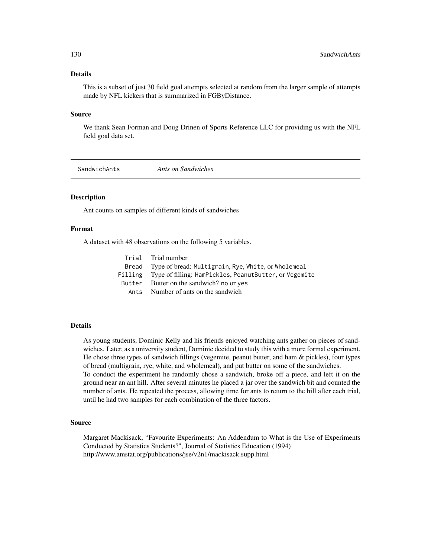# Details

This is a subset of just 30 field goal attempts selected at random from the larger sample of attempts made by NFL kickers that is summarized in FGByDistance.

#### Source

We thank Sean Forman and Doug Drinen of Sports Reference LLC for providing us with the NFL field goal data set.

SandwichAnts *Ants on Sandwiches*

## Description

Ant counts on samples of different kinds of sandwiches

# Format

A dataset with 48 observations on the following 5 variables.

| Trial Trial number                                             |
|----------------------------------------------------------------|
| Bread Type of bread: Multigrain, Rye, White, or Wholemeal      |
| Filling Type of filling: HamPickles, PeanutButter, or Vegemite |
| Butter Butter on the sandwich? no or yes                       |
| Ants Number of ants on the sandwich                            |

# Details

As young students, Dominic Kelly and his friends enjoyed watching ants gather on pieces of sandwiches. Later, as a university student, Dominic decided to study this with a more formal experiment. He chose three types of sandwich fillings (vegemite, peanut butter, and ham & pickles), four types of bread (multigrain, rye, white, and wholemeal), and put butter on some of the sandwiches. To conduct the experiment he randomly chose a sandwich, broke off a piece, and left it on the ground near an ant hill. After several minutes he placed a jar over the sandwich bit and counted the number of ants. He repeated the process, allowing time for ants to return to the hill after each trial, until he had two samples for each combination of the three factors.

#### Source

Margaret Mackisack, "Favourite Experiments: An Addendum to What is the Use of Experiments Conducted by Statistics Students?", Journal of Statistics Education (1994) http://www.amstat.org/publications/jse/v2n1/mackisack.supp.html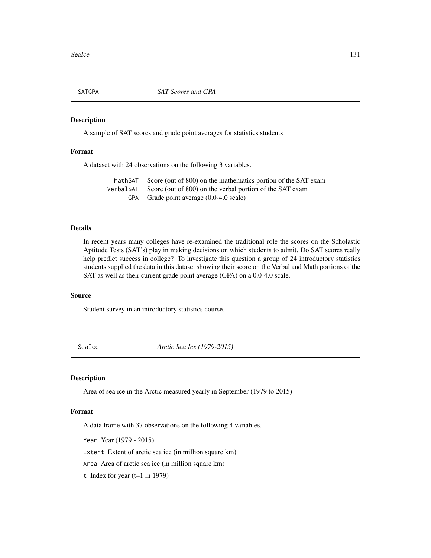A sample of SAT scores and grade point averages for statistics students

# Format

A dataset with 24 observations on the following 3 variables.

MathSAT Score (out of 800) on the mathematics portion of the SAT exam VerbalSAT Score (out of 800) on the verbal portion of the SAT exam GPA Grade point average (0.0-4.0 scale)

# Details

In recent years many colleges have re-examined the traditional role the scores on the Scholastic Aptitude Tests (SAT's) play in making decisions on which students to admit. Do SAT scores really help predict success in college? To investigate this question a group of 24 introductory statistics students supplied the data in this dataset showing their score on the Verbal and Math portions of the SAT as well as their current grade point average (GPA) on a 0.0-4.0 scale.

## Source

Student survey in an introductory statistics course.

SeaIce *Arctic Sea Ice (1979-2015)*

# Description

Area of sea ice in the Arctic measured yearly in September (1979 to 2015)

# Format

A data frame with 37 observations on the following 4 variables.

Year Year (1979 - 2015)

Extent Extent of arctic sea ice (in million square km)

Area Area of arctic sea ice (in million square km)

t Index for year  $(t=1 \text{ in } 1979)$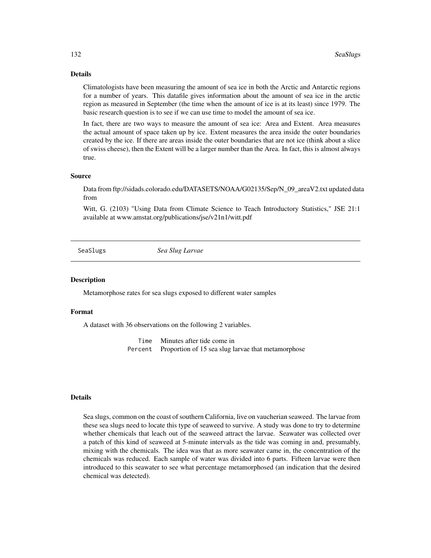## Details

Climatologists have been measuring the amount of sea ice in both the Arctic and Antarctic regions for a number of years. This datafile gives information about the amount of sea ice in the arctic region as measured in September (the time when the amount of ice is at its least) since 1979. The basic research question is to see if we can use time to model the amount of sea ice.

In fact, there are two ways to measure the amount of sea ice: Area and Extent. Area measures the actual amount of space taken up by ice. Extent measures the area inside the outer boundaries created by the ice. If there are areas inside the outer boundaries that are not ice (think about a slice of swiss cheese), then the Extent will be a larger number than the Area. In fact, this is almost always true.

#### Source

Data from ftp://sidads.colorado.edu/DATASETS/NOAA/G02135/Sep/N\_09\_areaV2.txt updated data from

Witt, G. (2103) "Using Data from Climate Science to Teach Introductory Statistics," JSE 21:1 available at www.amstat.org/publications/jse/v21n1/witt.pdf

SeaSlugs *Sea Slug Larvae*

#### **Description**

Metamorphose rates for sea slugs exposed to different water samples

#### Format

A dataset with 36 observations on the following 2 variables.

Time Minutes after tide come in Percent Proportion of 15 sea slug larvae that metamorphose

#### Details

Sea slugs, common on the coast of southern California, live on vaucherian seaweed. The larvae from these sea slugs need to locate this type of seaweed to survive. A study was done to try to determine whether chemicals that leach out of the seaweed attract the larvae. Seawater was collected over a patch of this kind of seaweed at 5-minute intervals as the tide was coming in and, presumably, mixing with the chemicals. The idea was that as more seawater came in, the concentration of the chemicals was reduced. Each sample of water was divided into 6 parts. Fifteen larvae were then introduced to this seawater to see what percentage metamorphosed (an indication that the desired chemical was detected).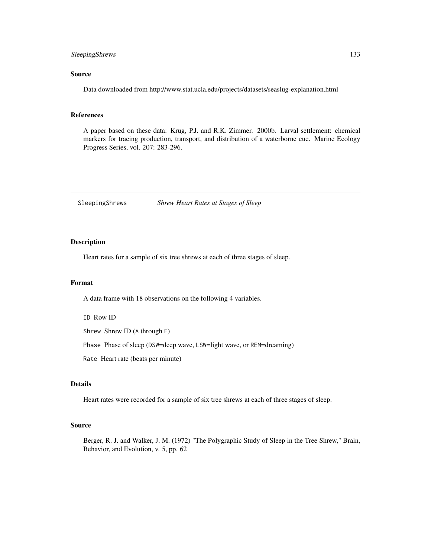# SleepingShrews 133

# Source

Data downloaded from http://www.stat.ucla.edu/projects/datasets/seaslug-explanation.html

#### References

A paper based on these data: Krug, P.J. and R.K. Zimmer. 2000b. Larval settlement: chemical markers for tracing production, transport, and distribution of a waterborne cue. Marine Ecology Progress Series, vol. 207: 283-296.

SleepingShrews *Shrew Heart Rates at Stages of Sleep*

# Description

Heart rates for a sample of six tree shrews at each of three stages of sleep.

## Format

A data frame with 18 observations on the following 4 variables.

ID Row ID

Shrew Shrew ID (A through F)

Phase Phase of sleep (DSW=deep wave, LSW=light wave, or REM=dreaming)

Rate Heart rate (beats per minute)

# Details

Heart rates were recorded for a sample of six tree shrews at each of three stages of sleep.

#### Source

Berger, R. J. and Walker, J. M. (1972) "The Polygraphic Study of Sleep in the Tree Shrew," Brain, Behavior, and Evolution, v. 5, pp. 62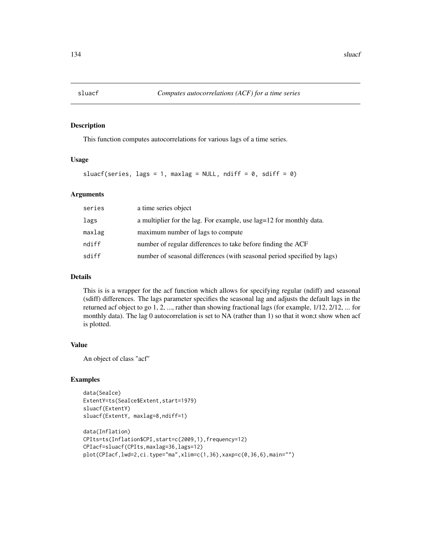This function computes autocorrelations for various lags of a time series.

#### Usage

sluacf(series, lags = 1, maxlag = NULL, ndiff =  $0$ , sdiff =  $0$ )

#### Arguments

| series | a time series object                                                    |
|--------|-------------------------------------------------------------------------|
| lags   | a multiplier for the lag. For example, use lag=12 for monthly data.     |
| maxlag | maximum number of lags to compute                                       |
| ndiff  | number of regular differences to take before finding the ACF            |
| sdiff  | number of seasonal differences (with seasonal period specified by lags) |
|        |                                                                         |

## Details

This is is a wrapper for the acf function which allows for specifying regular (ndiff) and seasonal (sdiff) differences. The lags parameter specifies the seasonal lag and adjusts the default lags in the returned acf object to go 1, 2, ..., rather than showing fractional lags (for example, 1/12, 2/12, ... for monthly data). The lag 0 autocorrelation is set to NA (rather than 1) so that it won;t show when acf is plotted.

# Value

An object of class "acf"

# Examples

```
data(SeaIce)
ExtentY=ts(SeaIce$Extent,start=1979)
sluacf(ExtentY)
sluacf(ExtentY, maxlag=8,ndiff=1)
```

```
data(Inflation)
CPIts=ts(Inflation$CPI,start=c(2009,1),frequency=12)
CPIacf=sluacf(CPIts,maxlag=36,lags=12)
plot(CPIacf,lwd=2,ci.type="ma",xlim=c(1,36),xaxp=c(0,36,6),main="")
```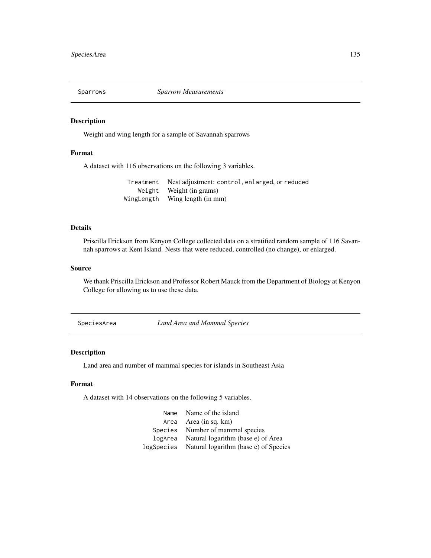Weight and wing length for a sample of Savannah sparrows

# Format

A dataset with 116 observations on the following 3 variables.

| Treatment Nest adjustment: control, enlarged, or reduced |
|----------------------------------------------------------|
| Weight Weight (in grams)                                 |
| WingLength Wing length (in mm)                           |

## Details

Priscilla Erickson from Kenyon College collected data on a stratified random sample of 116 Savannah sparrows at Kent Island. Nests that were reduced, controlled (no change), or enlarged.

## Source

We thank Priscilla Erickson and Professor Robert Mauck from the Department of Biology at Kenyon College for allowing us to use these data.

SpeciesArea *Land Area and Mammal Species*

# Description

Land area and number of mammal species for islands in Southeast Asia

## Format

A dataset with 14 observations on the following 5 variables.

| Name Name of the island                          |
|--------------------------------------------------|
| Area Area $(in sq. km)$                          |
| Species Number of mammal species                 |
| logArea Natural logarithm (base e) of Area       |
| logSpecies Natural logarithm (base e) of Species |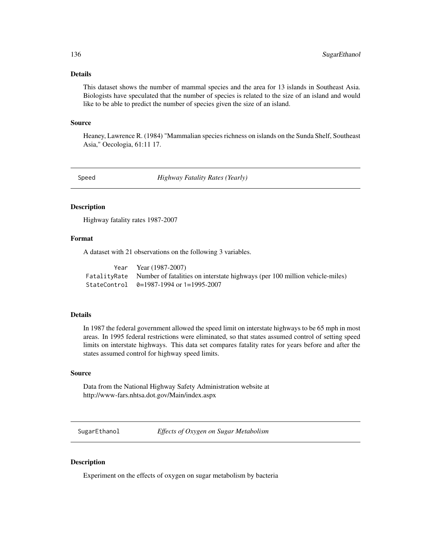# Details

This dataset shows the number of mammal species and the area for 13 islands in Southeast Asia. Biologists have speculated that the number of species is related to the size of an island and would like to be able to predict the number of species given the size of an island.

## Source

Heaney, Lawrence R. (1984) "Mammalian species richness on islands on the Sunda Shelf, Southeast Asia," Oecologia, 61:11 17.

Speed *Highway Fatality Rates (Yearly)*

## Description

Highway fatality rates 1987-2007

# Format

A dataset with 21 observations on the following 3 variables.

| Year Year (1987-2007)                                                                    |
|------------------------------------------------------------------------------------------|
| FatalityRate Number of fatalities on interstate highways (per 100 million vehicle-miles) |
| StateControl $\theta = 1987 - 1994$ or 1=1995-2007                                       |

# Details

In 1987 the federal government allowed the speed limit on interstate highways to be 65 mph in most areas. In 1995 federal restrictions were eliminated, so that states assumed control of setting speed limits on interstate highways. This data set compares fatality rates for years before and after the states assumed control for highway speed limits.

## Source

Data from the National Highway Safety Administration website at http://www-fars.nhtsa.dot.gov/Main/index.aspx

SugarEthanol *Effects of Oxygen on Sugar Metabolism*

# Description

Experiment on the effects of oxygen on sugar metabolism by bacteria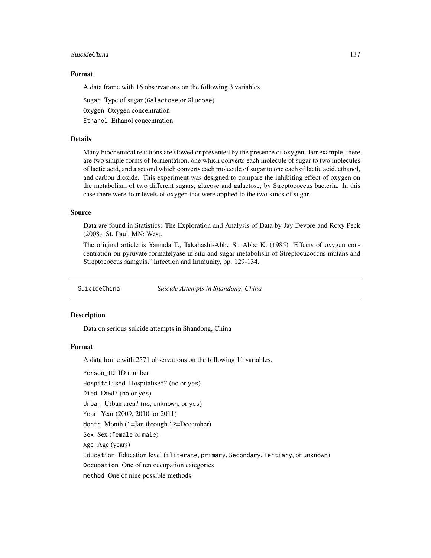#### SuicideChina 137

# Format

A data frame with 16 observations on the following 3 variables.

Sugar Type of sugar (Galactose or Glucose)

Oxygen Oxygen concentration

Ethanol Ethanol concentration

# Details

Many biochemical reactions are slowed or prevented by the presence of oxygen. For example, there are two simple forms of fermentation, one which converts each molecule of sugar to two molecules of lactic acid, and a second which converts each molecule of sugar to one each of lactic acid, ethanol, and carbon dioxide. This experiment was designed to compare the inhibiting effect of oxygen on the metabolism of two different sugars, glucose and galactose, by Streptococcus bacteria. In this case there were four levels of oxygen that were applied to the two kinds of sugar.

# Source

Data are found in Statistics: The Exploration and Analysis of Data by Jay Devore and Roxy Peck (2008). St. Paul, MN: West.

The original article is Yamada T., Takahashi-Abbe S., Abbe K. (1985) "Effects of oxygen concentration on pyruvate formatelyase in situ and sugar metabolism of Streptocucoccus mutans and Streptococcus samguis," Infection and Immunity, pp. 129-134.

SuicideChina *Suicide Attempts in Shandong, China*

#### **Description**

Data on serious suicide attempts in Shandong, China

# Format

A data frame with 2571 observations on the following 11 variables.

Person\_ID ID number

Hospitalised Hospitalised? (no or yes)

Died Died? (no or yes)

Urban Urban area? (no, unknown, or yes)

Year Year (2009, 2010, or 2011)

Month Month (1=Jan through 12=December)

Sex Sex (female or male)

Age Age (years)

Education Education level (iliterate, primary, Secondary, Tertiary, or unknown)

Occupation One of ten occupation categories

method One of nine possible methods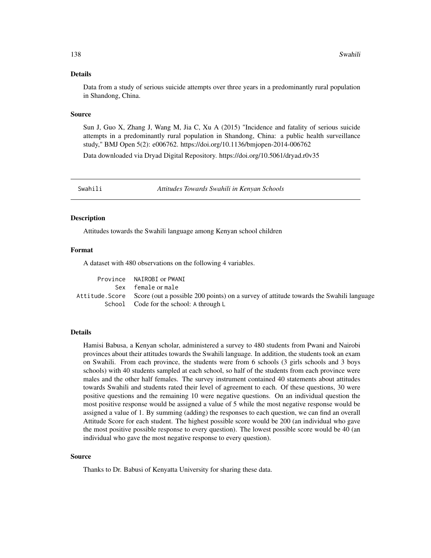#### Details

Data from a study of serious suicide attempts over three years in a predominantly rural population in Shandong, China.

#### Source

Sun J, Guo X, Zhang J, Wang M, Jia C, Xu A (2015) "Incidence and fatality of serious suicide attempts in a predominantly rural population in Shandong, China: a public health surveillance study," BMJ Open 5(2): e006762. https://doi.org/10.1136/bmjopen-2014-006762

Data downloaded via Dryad Digital Repository. https://doi.org/10.5061/dryad.r0v35

Swahili *Attitudes Towards Swahili in Kenyan Schools*

#### **Description**

Attitudes towards the Swahili language among Kenyan school children

#### Format

A dataset with 480 observations on the following 4 variables.

| Province NAIROBI or PWANI                                                                              |
|--------------------------------------------------------------------------------------------------------|
| Sex female or male                                                                                     |
| Attitude. Score Score (out a possible 200 points) on a survey of attitude towards the Swahili language |
| School Code for the school: A through L                                                                |

## Details

Hamisi Babusa, a Kenyan scholar, administered a survey to 480 students from Pwani and Nairobi provinces about their attitudes towards the Swahili language. In addition, the students took an exam on Swahili. From each province, the students were from 6 schools (3 girls schools and 3 boys schools) with 40 students sampled at each school, so half of the students from each province were males and the other half females. The survey instrument contained 40 statements about attitudes towards Swahili and students rated their level of agreement to each. Of these questions, 30 were positive questions and the remaining 10 were negative questions. On an individual question the most positive response would be assigned a value of 5 while the most negative response would be assigned a value of 1. By summing (adding) the responses to each question, we can find an overall Attitude Score for each student. The highest possible score would be 200 (an individual who gave the most positive possible response to every question). The lowest possible score would be 40 (an individual who gave the most negative response to every question).

#### Source

Thanks to Dr. Babusi of Kenyatta University for sharing these data.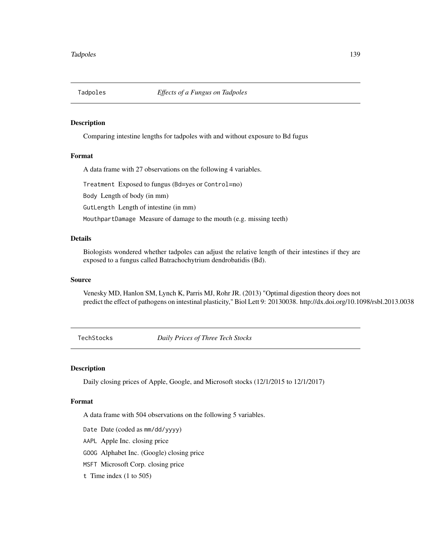Comparing intestine lengths for tadpoles with and without exposure to Bd fugus

### Format

A data frame with 27 observations on the following 4 variables.

Treatment Exposed to fungus (Bd=yes or Control=no)

Body Length of body (in mm)

GutLength Length of intestine (in mm)

MouthpartDamage Measure of damage to the mouth (e.g. missing teeth)

## Details

Biologists wondered whether tadpoles can adjust the relative length of their intestines if they are exposed to a fungus called Batrachochytrium dendrobatidis (Bd).

# Source

Venesky MD, Hanlon SM, Lynch K, Parris MJ, Rohr JR. (2013) "Optimal digestion theory does not predict the effect of pathogens on intestinal plasticity," Biol Lett 9: 20130038. http://dx.doi.org/10.1098/rsbl.2013.0038

TechStocks *Daily Prices of Three Tech Stocks*

# Description

Daily closing prices of Apple, Google, and Microsoft stocks (12/1/2015 to 12/1/2017)

#### Format

A data frame with 504 observations on the following 5 variables.

- Date Date (coded as mm/dd/yyyy)
- AAPL Apple Inc. closing price

GOOG Alphabet Inc. (Google) closing price

- MSFT Microsoft Corp. closing price
- t Time index (1 to 505)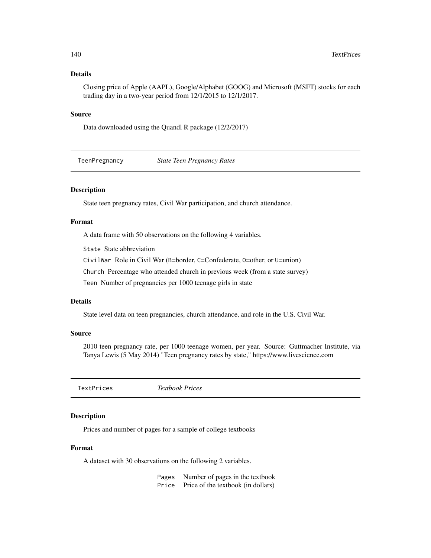# Details

Closing price of Apple (AAPL), Google/Alphabet (GOOG) and Microsoft (MSFT) stocks for each trading day in a two-year period from 12/1/2015 to 12/1/2017.

## Source

Data downloaded using the Quandl R package (12/2/2017)

TeenPregnancy *State Teen Pregnancy Rates*

# Description

State teen pregnancy rates, Civil War participation, and church attendance.

# Format

A data frame with 50 observations on the following 4 variables.

State State abbreviation

CivilWar Role in Civil War (B=border, C=Confederate, O=other, or U=union)

Church Percentage who attended church in previous week (from a state survey)

Teen Number of pregnancies per 1000 teenage girls in state

# Details

State level data on teen pregnancies, church attendance, and role in the U.S. Civil War.

# Source

2010 teen pregnancy rate, per 1000 teenage women, per year. Source: Guttmacher Institute, via Tanya Lewis (5 May 2014) "Teen pregnancy rates by state," https://www.livescience.com

TextPrices *Textbook Prices*

#### Description

Prices and number of pages for a sample of college textbooks

#### Format

A dataset with 30 observations on the following 2 variables.

Pages Number of pages in the textbook Price Price of the textbook (in dollars)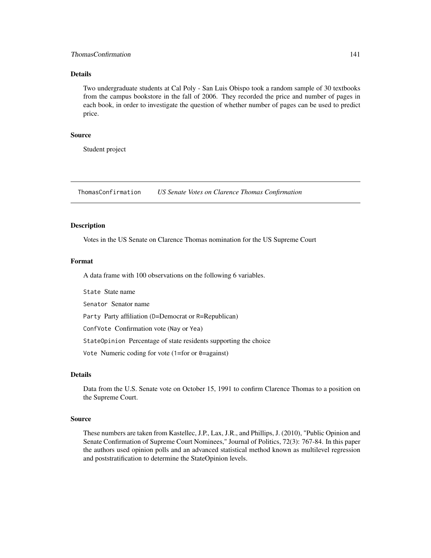# ThomasConfirmation 141

## Details

Two undergraduate students at Cal Poly - San Luis Obispo took a random sample of 30 textbooks from the campus bookstore in the fall of 2006. They recorded the price and number of pages in each book, in order to investigate the question of whether number of pages can be used to predict price.

#### Source

Student project

ThomasConfirmation *US Senate Votes on Clarence Thomas Confirmation*

## Description

Votes in the US Senate on Clarence Thomas nomination for the US Supreme Court

#### Format

A data frame with 100 observations on the following 6 variables.

State State name

Senator Senator name

Party Party affiliation (D=Democrat or R=Republican)

ConfVote Confirmation vote (Nay or Yea)

StateOpinion Percentage of state residents supporting the choice

Vote Numeric coding for vote (1=for or 0=against)

# **Details**

Data from the U.S. Senate vote on October 15, 1991 to confirm Clarence Thomas to a position on the Supreme Court.

## Source

These numbers are taken from Kastellec, J.P., Lax, J.R., and Phillips, J. (2010), "Public Opinion and Senate Confirmation of Supreme Court Nominees," Journal of Politics, 72(3): 767-84. In this paper the authors used opinion polls and an advanced statistical method known as multilevel regression and poststratification to determine the StateOpinion levels.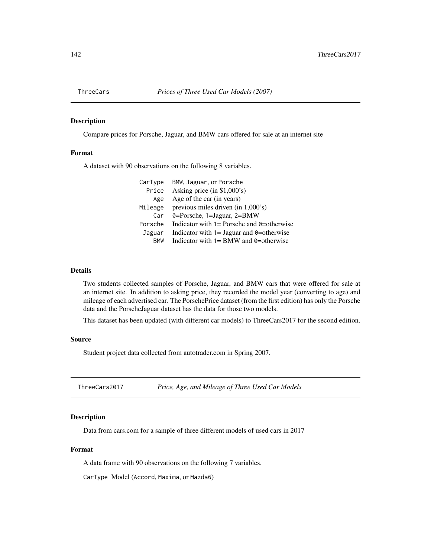Compare prices for Porsche, Jaguar, and BMW cars offered for sale at an internet site

# Format

A dataset with 90 observations on the following 8 variables.

| CarType    | BMW, Jaguar, or Porsche                               |
|------------|-------------------------------------------------------|
| Price      | Asking price $(in $1,000's)$                          |
| Age        | Age of the car (in years)                             |
| Mileage    | previous miles driven (in 1,000's)                    |
| Car        | 0=Porsche, 1=Jaguar, 2=BMW                            |
| Porsche    | Indicator with $1 =$ Porsche and $\theta =$ otherwise |
| Jaguar     | Indicator with $1 =$ Jaguar and $\theta$ =otherwise   |
| <b>RMW</b> | Indicator with $1 = BMW$ and $0 = \text{otherwise}$   |

#### Details

Two students collected samples of Porsche, Jaguar, and BMW cars that were offered for sale at an internet site. In addition to asking price, they recorded the model year (converting to age) and mileage of each advertised car. The PorschePrice dataset (from the first edition) has only the Porsche data and the PorscheJaguar dataset has the data for those two models.

This dataset has been updated (with different car models) to ThreeCars2017 for the second edition.

#### Source

Student project data collected from autotrader.com in Spring 2007.

ThreeCars2017 *Price, Age, and Mileage of Three Used Car Models*

# Description

Data from cars.com for a sample of three different models of used cars in 2017

# Format

A data frame with 90 observations on the following 7 variables.

CarType Model (Accord, Maxima, or Mazda6)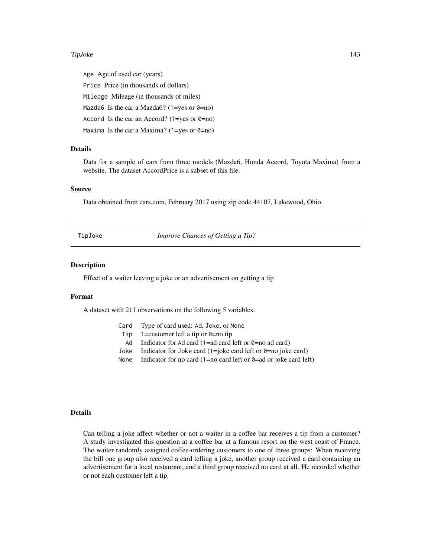#### TipJoke 2012 143

Age Age of used car (years) Price Price (in thousands of dollars) Mileage Mileage (in thousands of miles) Mazda6 Is the car a Mazda6? (1=yes or  $0=$ no) Accord Is the car an Accord? (1=yes or  $0=$ no) Maxima Is the car a Maxima? (1=yes or  $\theta$ =no)

## Details

Data for a sample of cars from three models (Mazda6, Honda Accord, Toyota Maxima) from a website. The dataset AccordPrice is a subset of this file.

#### Source

Data obtained from cars.com, February 2017 using zip code 44107, Lakewood, Ohio.

TipJoke *Improve Chances of Getting a Tip?*

#### Description

Effect of a waiter leaving a joke or an advertisement on getting a tip

#### Format

A dataset with 211 observations on the following 5 variables.

- Card Type of card used: Ad, Joke, or None
- Tip 1=customer left a tip or  $\theta$ =no tip
- Ad Indicator for Ad card (1=ad card left or  $\theta$ =no ad card)
- Joke Indicator for Joke card  $(1=$ joke card left or 0=no joke card)
- None Indicator for no card (1=no card left or  $\theta$ =ad or joke card left)

#### Details

Can telling a joke affect whether or not a waiter in a coffee bar receives a tip from a customer? A study investigated this question at a coffee bar at a famous resort on the west coast of France. The waiter randomly assigned coffee-ordering customers to one of three groups: When receiving the bill one group also received a card telling a joke, another group received a card containing an advertisement for a local restaurant, and a third group received no card at all. He recorded whether or not each customer left a tip.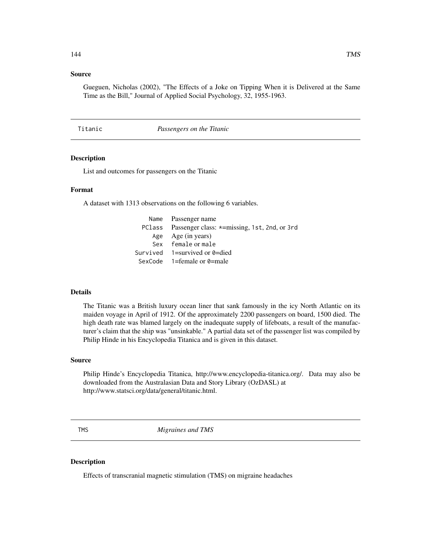# Source

Gueguen, Nicholas (2002), "The Effects of a Joke on Tipping When it is Delivered at the Same Time as the Bill," Journal of Applied Social Psychology, 32, 1955-1963.

Titanic *Passengers on the Titanic*

# Description

List and outcomes for passengers on the Titanic

# Format

A dataset with 1313 observations on the following 6 variables.

| Name Passenger name                                 |
|-----------------------------------------------------|
| PClass Passenger class: *=missing, 1st, 2nd, or 3rd |
| Age Age (in years)                                  |
| Sex female or male                                  |
| Survived $1 =$ survived or 0=died                   |
| SexCode $1$ =female or 0=male                       |

#### Details

The Titanic was a British luxury ocean liner that sank famously in the icy North Atlantic on its maiden voyage in April of 1912. Of the approximately 2200 passengers on board, 1500 died. The high death rate was blamed largely on the inadequate supply of lifeboats, a result of the manufacturer's claim that the ship was "unsinkable." A partial data set of the passenger list was compiled by Philip Hinde in his Encyclopedia Titanica and is given in this dataset.

#### Source

Philip Hinde's Encyclopedia Titanica, http://www.encyclopedia-titanica.org/. Data may also be downloaded from the Australasian Data and Story Library (OzDASL) at http://www.statsci.org/data/general/titanic.html.

TMS *Migraines and TMS*

# Description

Effects of transcranial magnetic stimulation (TMS) on migraine headaches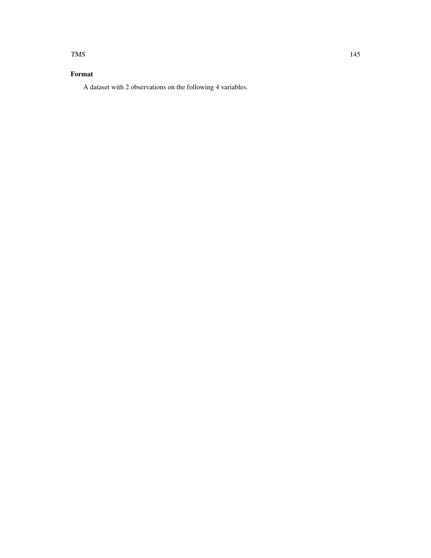#### TMS 145

# Format

A dataset with 2 observations on the following 4 variables.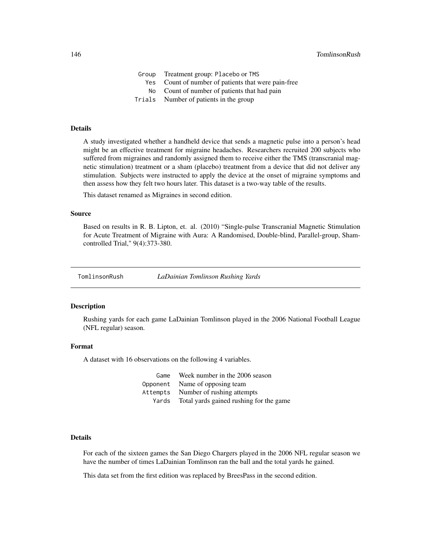<span id="page-145-0"></span>

| Group | Treatment group: Placebo or TMS                     |
|-------|-----------------------------------------------------|
|       | Yes Count of number of patients that were pain-free |
|       | No Count of number of patients that had pain        |
|       | Trials Number of patients in the group              |

#### Details

A study investigated whether a handheld device that sends a magnetic pulse into a person's head might be an effective treatment for migraine headaches. Researchers recruited 200 subjects who suffered from migraines and randomly assigned them to receive either the TMS (transcranial magnetic stimulation) treatment or a sham (placebo) treatment from a device that did not deliver any stimulation. Subjects were instructed to apply the device at the onset of migraine symptoms and then assess how they felt two hours later. This dataset is a two-way table of the results.

This dataset renamed as Migraines in second edition.

#### Source

Based on results in R. B. Lipton, et. al. (2010) "Single-pulse Transcranial Magnetic Stimulation for Acute Treatment of Migraine with Aura: A Randomised, Double-blind, Parallel-group, Shamcontrolled Trial," 9(4):373-380.

TomlinsonRush *LaDainian Tomlinson Rushing Yards*

#### Description

Rushing yards for each game LaDainian Tomlinson played in the 2006 National Football League (NFL regular) season.

# Format

A dataset with 16 observations on the following 4 variables.

| Game     | Week number in the 2006 season          |
|----------|-----------------------------------------|
|          | Opponent Name of opposing team          |
| Attempts | Number of rushing attempts              |
| Yards    | Total yards gained rushing for the game |

#### Details

For each of the sixteen games the San Diego Chargers played in the 2006 NFL regular season we have the number of times LaDainian Tomlinson ran the ball and the total yards he gained.

This data set from the first edition was replaced by BreesPass in the second edition.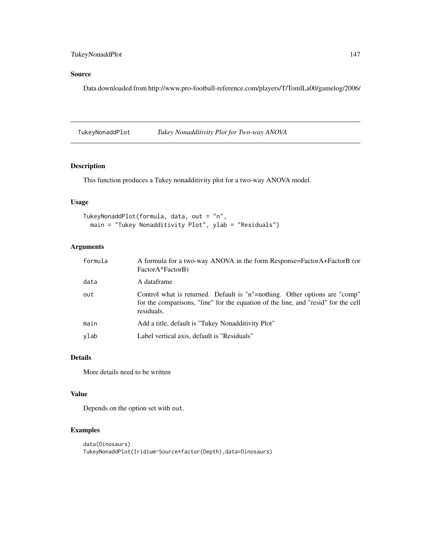# <span id="page-146-0"></span>Source

Data downloaded from http://www.pro-football-reference.com/players/T/TomlLa00/gamelog/2006/

TukeyNonaddPlot *Tukey Nonadditivity Plot for Two-way ANOVA*

# Description

This function produces a Tukey nonadditivity plot for a two-way ANOVA model.

# Usage

```
TukeyNonaddPlot(formula, data, out = "n",
 main = "Tukey Nonadditivity Plot", ylab = "Residuals")
```
# Arguments

| formula | A formula for a two-way ANOVA in the form Response=FactorA+FactorB (or<br>FactorA*FactorB)                                                                                     |
|---------|--------------------------------------------------------------------------------------------------------------------------------------------------------------------------------|
| data    | A dataframe                                                                                                                                                                    |
| out     | Control what is returned. Default is "n"=nothing. Other options are "comp"<br>for the comparisons, "line" for the equation of the line, and "resid" for the cell<br>residuals. |
| main    | Add a title, default is "Tukey Nonadditivity Plot"                                                                                                                             |
| ylab    | Label vertical axis, default is "Residuals"                                                                                                                                    |

# Details

More details need to be written

#### Value

Depends on the option set with out.

# Examples

```
data(Dinosaurs)
TukeyNonaddPlot(Iridium~Source*factor(Depth),data=Dinosaurs)
```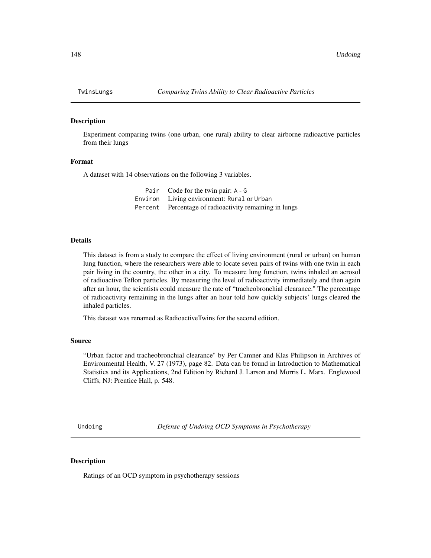<span id="page-147-0"></span>

Experiment comparing twins (one urban, one rural) ability to clear airborne radioactive particles from their lungs

#### Format

A dataset with 14 observations on the following 3 variables.

| Pair Code for the twin pair: A - G                     |
|--------------------------------------------------------|
| Environ Living environment: Rural or Urban             |
| Percent Percentage of radioactivity remaining in lungs |

# Details

This dataset is from a study to compare the effect of living environment (rural or urban) on human lung function, where the researchers were able to locate seven pairs of twins with one twin in each pair living in the country, the other in a city. To measure lung function, twins inhaled an aerosol of radioactive Teflon particles. By measuring the level of radioactivity immediately and then again after an hour, the scientists could measure the rate of "tracheobronchial clearance." The percentage of radioactivity remaining in the lungs after an hour told how quickly subjects' lungs cleared the inhaled particles.

This dataset was renamed as RadioactiveTwins for the second edition.

# Source

"Urban factor and tracheobronchial clearance" by Per Camner and Klas Philipson in Archives of Environmental Health, V. 27 (1973), page 82. Data can be found in Introduction to Mathematical Statistics and its Applications, 2nd Edition by Richard J. Larson and Morris L. Marx. Englewood Cliffs, NJ: Prentice Hall, p. 548.

Undoing *Defense of Undoing OCD Symptoms in Psychotherapy*

#### **Description**

Ratings of an OCD symptom in psychotherapy sessions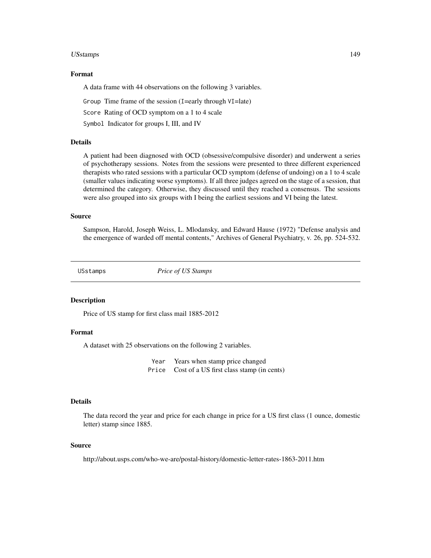#### <span id="page-148-0"></span>USstamps 149

#### Format

A data frame with 44 observations on the following 3 variables.

Group Time frame of the session (I=early through VI=late)

Score Rating of OCD symptom on a 1 to 4 scale

Symbol Indicator for groups I, III, and IV

#### Details

A patient had been diagnosed with OCD (obsessive/compulsive disorder) and underwent a series of psychotherapy sessions. Notes from the sessions were presented to three different experienced therapists who rated sessions with a particular OCD symptom (defense of undoing) on a 1 to 4 scale (smaller values indicating worse symptoms). If all three judges agreed on the stage of a session, that determined the category. Otherwise, they discussed until they reached a consensus. The sessions were also grouped into six groups with I being the earliest sessions and VI being the latest.

# Source

Sampson, Harold, Joseph Weiss, L. Mlodansky, and Edward Hause (1972) "Defense analysis and the emergence of warded off mental contents," Archives of General Psychiatry, v. 26, pp. 524-532.

USstamps *Price of US Stamps*

#### **Description**

Price of US stamp for first class mail 1885-2012

#### Format

A dataset with 25 observations on the following 2 variables.

Year Years when stamp price changed Price Cost of a US first class stamp (in cents)

#### Details

The data record the year and price for each change in price for a US first class (1 ounce, domestic letter) stamp since 1885.

# Source

http://about.usps.com/who-we-are/postal-history/domestic-letter-rates-1863-2011.htm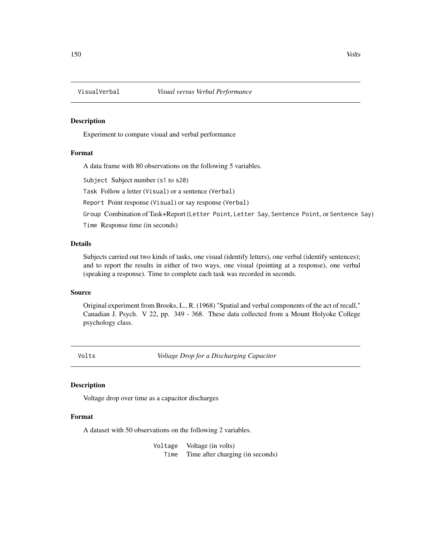<span id="page-149-0"></span>

Experiment to compare visual and verbal performance

# Format

A data frame with 80 observations on the following 5 variables.

Subject Subject number (s1 to s20)

Task Follow a letter (Visual) or a sentence (Verbal)

Report Point response (Visual) or say response (Verbal)

Group Combination of Task+Report (Letter Point, Letter Say, Sentence Point, or Sentence Say)

Time Response time (in seconds)

# Details

Subjects carried out two kinds of tasks, one visual (identify letters), one verbal (identify sentences); and to report the results in either of two ways, one visual (pointing at a response), one verbal (speaking a response). Time to complete each task was recorded in seconds.

#### Source

Original experiment from Brooks, L., R. (1968) "Spatial and verbal components of the act of recall," Canadian J. Psych. V 22, pp. 349 - 368. These data collected from a Mount Holyoke College psychology class.

Volts *Voltage Drop for a Discharging Capacitor*

#### Description

Voltage drop over time as a capacitor discharges

# Format

A dataset with 50 observations on the following 2 variables.

Voltage Voltage (in volts) Time Time after charging (in seconds)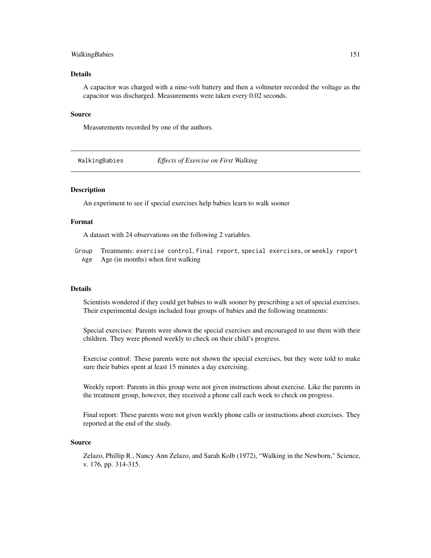# <span id="page-150-0"></span>WalkingBabies 151

# Details

A capacitor was charged with a nine-volt battery and then a voltmeter recorded the voltage as the capacitor was discharged. Measurements were taken every 0.02 seconds.

#### Source

Measurements recorded by one of the authors.

WalkingBabies *Effects of Exercise on First Walking*

# **Description**

An experiment to see if special exercises help babies learn to walk sooner

#### Format

A dataset with 24 observations on the following 2 variables.

Group Treatments: exercise control, final report, special exercises, or weekly report Age Age (in months) when first walking

#### **Details**

Scientists wondered if they could get babies to walk sooner by prescribing a set of special exercises. Their experimental design included four groups of babies and the following treatments:

Special exercises: Parents were shown the special exercises and encouraged to use them with their children. They were phoned weekly to check on their child's progress.

Exercise control: These parents were not shown the special exercises, but they were told to make sure their babies spent at least 15 minutes a day exercising.

Weekly report: Parents in this group were not given instructions about exercise. Like the parents in the treatment group, however, they received a phone call each week to check on progress.

Final report: These parents were not given weekly phone calls or instructions about exercises. They reported at the end of the study.

#### Source

Zelazo, Phillip R., Nancy Ann Zelazo, and Sarah Kolb (1972), "Walking in the Newborn," Science, v. 176, pp. 314-315.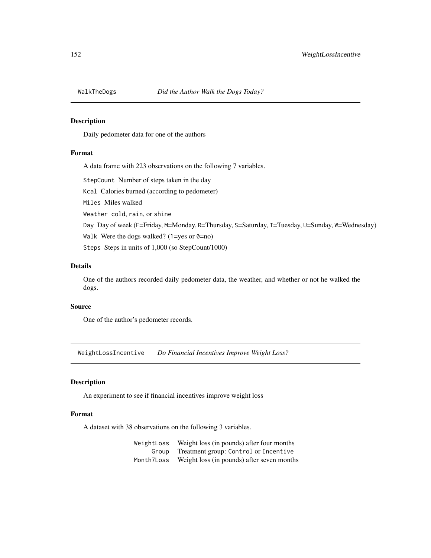<span id="page-151-0"></span>

Daily pedometer data for one of the authors

# Format

A data frame with 223 observations on the following 7 variables.

StepCount Number of steps taken in the day

Kcal Calories burned (according to pedometer)

Miles Miles walked

Weather cold, rain, or shine

Day Day of week (F=Friday, M=Monday, R=Thursday, S=Saturday, T=Tuesday, U=Sunday, W=Wednesday)

Walk Were the dogs walked? (1=yes or  $0=$ no)

Steps Steps in units of 1,000 (so StepCount/1000)

### Details

One of the authors recorded daily pedometer data, the weather, and whether or not he walked the dogs.

#### Source

One of the author's pedometer records.

WeightLossIncentive *Do Financial Incentives Improve Weight Loss?*

#### Description

An experiment to see if financial incentives improve weight loss

# Format

A dataset with 38 observations on the following 3 variables.

WeightLoss Weight loss (in pounds) after four months Group Treatment group: Control or Incentive Month7Loss Weight loss (in pounds) after seven months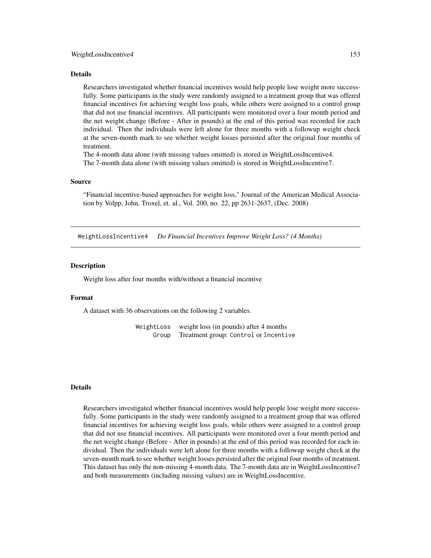#### <span id="page-152-0"></span>Details

Researchers investigated whether financial incentives would help people lose weight more successfully. Some participants in the study were randomly assigned to a treatment group that was offered financial incentives for achieving weight loss goals, while others were assigned to a control group that did not use financial incentives. All participants were monitored over a four month period and the net weight change (Before - After in pounds) at the end of this period was recorded for each individual. Then the individuals were left alone for three months with a followup weight check at the seven-month mark to see whether weight losses persisted after the original four months of treatment.

The 4-month data alone (with missing values omitted) is stored in WeightLossIncentive4. The 7-month data alone (with missing values omitted) is stored in WeightLossIncentive7.

#### Source

"Financial incentive-based approaches for weight loss," Journal of the American Medical Association by Volpp, John, Troxel, et. al., Vol. 200, no. 22, pp 2631-2637, (Dec. 2008)

WeightLossIncentive4 *Do Financial Incentives Improve Weight Loss? (4 Months)*

#### **Description**

Weight loss after four months with/without a financial incentive

#### Format

A dataset with 36 observations on the following 2 variables.

WeightLoss weight loss (in pounds) after 4 months Group Treatment group: Control or Incentive

# Details

Researchers investigated whether financial incentives would help people lose weight more successfully. Some participants in the study were randomly assigned to a treatment group that was offered financial incentives for achieving weight loss goals, while others were assigned to a control group that did not use financial incentives. All participants were monitored over a four month period and the net weight change (Before - After in pounds) at the end of this period was recorded for each individual. Then the individuals were left alone for three months with a followup weight check at the seven-month mark to see whether weight losses persisted after the original four months of treatment. This dataset has only the non-missing 4-month data. The 7-month data are in WeightLossIncentive7 and both measurements (including missing values) are in WeightLossIncentive.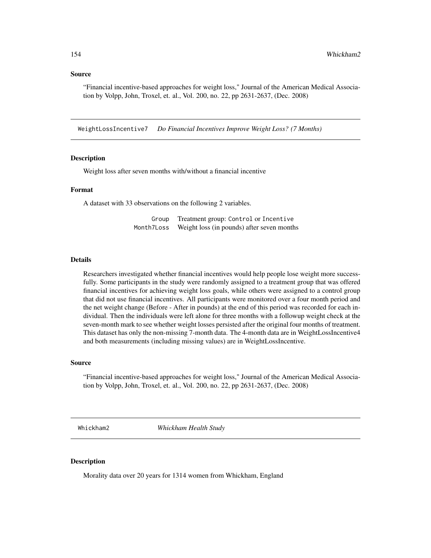#### <span id="page-153-0"></span>Source

"Financial incentive-based approaches for weight loss," Journal of the American Medical Association by Volpp, John, Troxel, et. al., Vol. 200, no. 22, pp 2631-2637, (Dec. 2008)

WeightLossIncentive7 *Do Financial Incentives Improve Weight Loss? (7 Months)*

# Description

Weight loss after seven months with/without a financial incentive

#### Format

A dataset with 33 observations on the following 2 variables.

| Group      | Treatment group: Control or Incentive      |
|------------|--------------------------------------------|
| Month7Loss | Weight loss (in pounds) after seven months |

# Details

Researchers investigated whether financial incentives would help people lose weight more successfully. Some participants in the study were randomly assigned to a treatment group that was offered financial incentives for achieving weight loss goals, while others were assigned to a control group that did not use financial incentives. All participants were monitored over a four month period and the net weight change (Before - After in pounds) at the end of this period was recorded for each individual. Then the individuals were left alone for three months with a followup weight check at the seven-month mark to see whether weight losses persisted after the original four months of treatment. This dataset has only the non-missing 7-month data. The 4-month data are in WeightLossIncentive4 and both measurements (including missing values) are in WeightLossIncentive.

#### Source

"Financial incentive-based approaches for weight loss," Journal of the American Medical Association by Volpp, John, Troxel, et. al., Vol. 200, no. 22, pp 2631-2637, (Dec. 2008)

Whickham2 *Whickham Health Study*

# Description

Morality data over 20 years for 1314 women from Whickham, England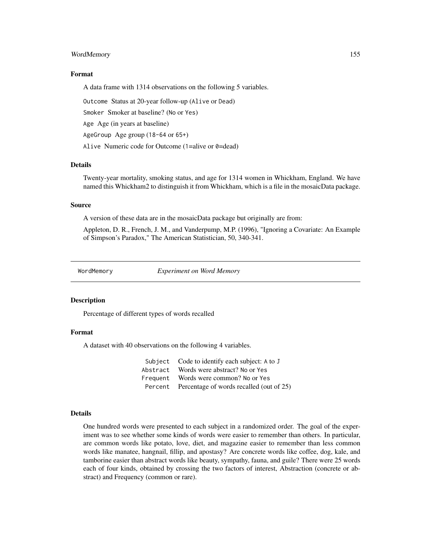#### <span id="page-154-0"></span>WordMemory 155

#### Format

A data frame with 1314 observations on the following 5 variables.

Outcome Status at 20-year follow-up (Alive or Dead)

Smoker Smoker at baseline? (No or Yes)

Age Age (in years at baseline)

AgeGroup Age group (18-64 or 65+)

Alive Numeric code for Outcome (1=alive or 0=dead)

#### **Details**

Twenty-year mortality, smoking status, and age for 1314 women in Whickham, England. We have named this Whickham2 to distinguish it from Whickham, which is a file in the mosaicData package.

# Source

A version of these data are in the mosaicData package but originally are from:

Appleton, D. R., French, J. M., and Vanderpump, M.P. (1996), "Ignoring a Covariate: An Example of Simpson's Paradox," The American Statistician, 50, 340-341.

WordMemory *Experiment on Word Memory*

#### **Description**

Percentage of different types of words recalled

#### Format

A dataset with 40 observations on the following 4 variables.

|          | Subject Code to identify each subject: A to J    |
|----------|--------------------------------------------------|
| Abstract | Words were abstract? No or Yes                   |
| Frequent | Words were common? No or Yes                     |
|          | Percent Percentage of words recalled (out of 25) |

#### Details

One hundred words were presented to each subject in a randomized order. The goal of the experiment was to see whether some kinds of words were easier to remember than others. In particular, are common words like potato, love, diet, and magazine easier to remember than less common words like manatee, hangnail, fillip, and apostasy? Are concrete words like coffee, dog, kale, and tamborine easier than abstract words like beauty, sympathy, fauna, and guile? There were 25 words each of four kinds, obtained by crossing the two factors of interest, Abstraction (concrete or abstract) and Frequency (common or rare).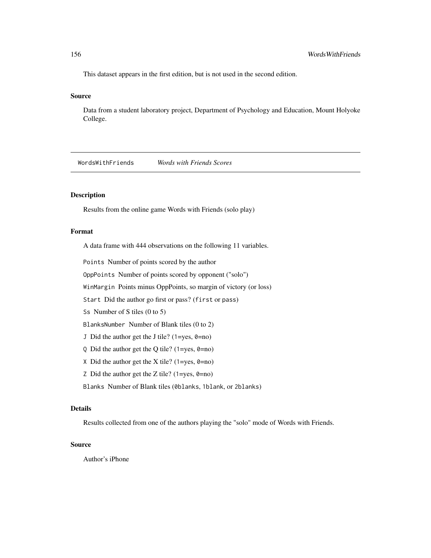<span id="page-155-0"></span>This dataset appears in the first edition, but is not used in the second edition.

#### Source

Data from a student laboratory project, Department of Psychology and Education, Mount Holyoke College.

WordsWithFriends *Words with Friends Scores*

#### Description

Results from the online game Words with Friends (solo play)

# Format

A data frame with 444 observations on the following 11 variables.

Points Number of points scored by the author

OppPoints Number of points scored by opponent ("solo")

WinMargin Points minus OppPoints, so margin of victory (or loss)

Start Did the author go first or pass? (first or pass)

Ss Number of S tiles (0 to 5)

BlanksNumber Number of Blank tiles (0 to 2)

J Did the author get the J tile? (1=yes,  $0=$ no)

- Q Did the author get the Q tile? ( $1 = yes, \theta = no$ )
- X Did the author get the X tile? (1=yes,  $\theta$ =no)
- Z Did the author get the Z tile? (1=yes,  $\theta$ =no)

Blanks Number of Blank tiles (0blanks, 1blank, or 2blanks)

# Details

Results collected from one of the authors playing the "solo" mode of Words with Friends.

#### Source

Author's iPhone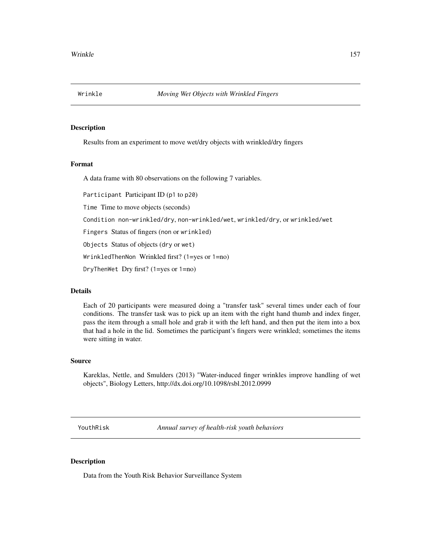<span id="page-156-0"></span>

Results from an experiment to move wet/dry objects with wrinkled/dry fingers

#### Format

A data frame with 80 observations on the following 7 variables.

Participant Participant ID (p1 to p20)

Time Time to move objects (seconds)

Condition non-wrinkled/dry, non-wrinkled/wet, wrinkled/dry, or wrinkled/wet

Fingers Status of fingers (non or wrinkled)

Objects Status of objects (dry or wet)

WrinkledThenNon Wrinkled first? (1=yes or 1=no)

DryThenWet Dry first? (1=yes or 1=no)

# Details

Each of 20 participants were measured doing a "transfer task" several times under each of four conditions. The transfer task was to pick up an item with the right hand thumb and index finger, pass the item through a small hole and grab it with the left hand, and then put the item into a box that had a hole in the lid. Sometimes the participant's fingers were wrinkled; sometimes the items were sitting in water.

# Source

Kareklas, Nettle, and Smulders (2013) "Water-induced finger wrinkles improve handling of wet objects", Biology Letters, http://dx.doi.org/10.1098/rsbl.2012.0999

YouthRisk *Annual survey of health-risk youth behaviors*

# Description

Data from the Youth Risk Behavior Surveillance System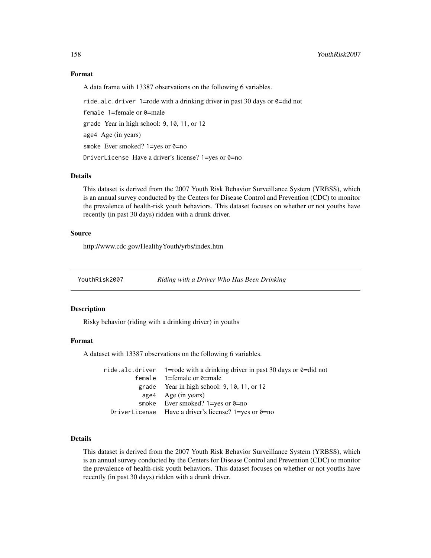#### Format

A data frame with 13387 observations on the following 6 variables.

ride.alc.driver 1=rode with a drinking driver in past 30 days or 0=did not female 1=female or 0=male grade Year in high school: 9, 10, 11, or 12 age4 Age (in years) smoke Ever smoked?  $1 = yes$  or  $0 = no$ DriverLicense Have a driver's license? 1=yes or 0=no

#### Details

This dataset is derived from the 2007 Youth Risk Behavior Surveillance System (YRBSS), which is an annual survey conducted by the Centers for Disease Control and Prevention (CDC) to monitor the prevalence of health-risk youth behaviors. This dataset focuses on whether or not youths have recently (in past 30 days) ridden with a drunk driver.

# Source

http://www.cdc.gov/HealthyYouth/yrbs/index.htm

YouthRisk2007 *Riding with a Driver Who Has Been Drinking*

#### Description

Risky behavior (riding with a drinking driver) in youths

# Format

A dataset with 13387 observations on the following 6 variables.

| ride.alc.driver 1=rode with a drinking driver in past 30 days or $\theta$ =did not |
|------------------------------------------------------------------------------------|
| female $1 =$ female or 0=male                                                      |
| grade Year in high school: $9, 10, 11,$ or $12$                                    |
| age4 Age (in years)                                                                |
| smoke Ever smoked? $1 = yes$ or $0 = no$                                           |
| DriverLicense Have a driver's license? $1 = yes$ or $0 = no$                       |

# Details

This dataset is derived from the 2007 Youth Risk Behavior Surveillance System (YRBSS), which is an annual survey conducted by the Centers for Disease Control and Prevention (CDC) to monitor the prevalence of health-risk youth behaviors. This dataset focuses on whether or not youths have recently (in past 30 days) ridden with a drunk driver.

<span id="page-157-0"></span>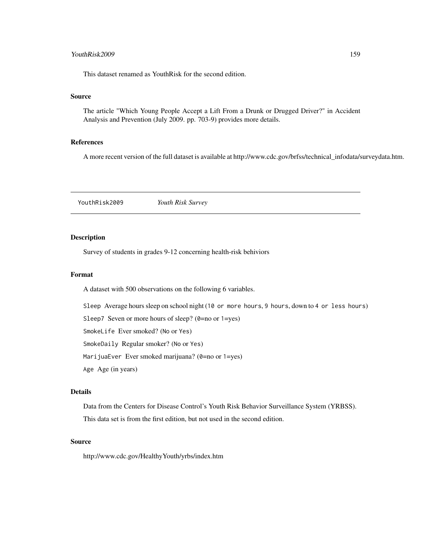# <span id="page-158-0"></span>YouthRisk2009 159

This dataset renamed as YouthRisk for the second edition.

#### Source

The article "Which Young People Accept a Lift From a Drunk or Drugged Driver?" in Accident Analysis and Prevention (July 2009. pp. 703-9) provides more details.

# References

A more recent version of the full dataset is available at http://www.cdc.gov/brfss/technical\_infodata/surveydata.htm.

YouthRisk2009 *Youth Risk Survey*

#### Description

Survey of students in grades 9-12 concerning health-risk behiviors

# Format

A dataset with 500 observations on the following 6 variables.

Sleep Average hours sleep on school night (10 or more hours, 9 hours, down to 4 or less hours)

Sleep7 Seven or more hours of sleep? (0=no or 1=yes)

SmokeLife Ever smoked? (No or Yes)

SmokeDaily Regular smoker? (No or Yes)

MarijuaEver Ever smoked marijuana? (0=no or 1=yes)

Age Age (in years)

# Details

Data from the Centers for Disease Control's Youth Risk Behavior Surveillance System (YRBSS). This data set is from the first edition, but not used in the second edition.

### Source

http://www.cdc.gov/HealthyYouth/yrbs/index.htm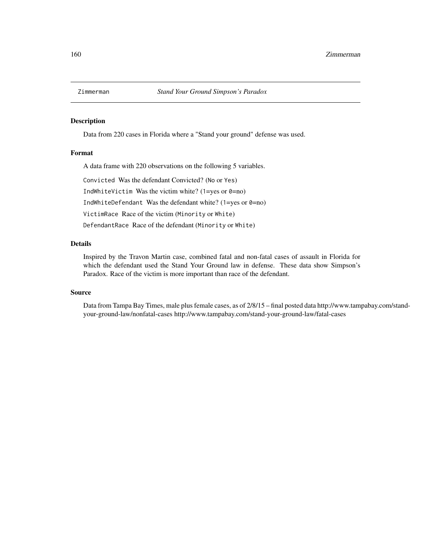<span id="page-159-0"></span>

Data from 220 cases in Florida where a "Stand your ground" defense was used.

# Format

A data frame with 220 observations on the following 5 variables.

Convicted Was the defendant Convicted? (No or Yes)

IndWhiteVictim Was the victim white? (1=yes or  $0=$ no)

IndWhiteDefendant Was the defendant white? (1=yes or  $0=$ no)

VictimRace Race of the victim (Minority or White)

DefendantRace Race of the defendant (Minority or White)

# Details

Inspired by the Travon Martin case, combined fatal and non-fatal cases of assault in Florida for which the defendant used the Stand Your Ground law in defense. These data show Simpson's Paradox. Race of the victim is more important than race of the defendant.

#### Source

Data from Tampa Bay Times, male plus female cases, as of 2/8/15 – final posted data http://www.tampabay.com/standyour-ground-law/nonfatal-cases http://www.tampabay.com/stand-your-ground-law/fatal-cases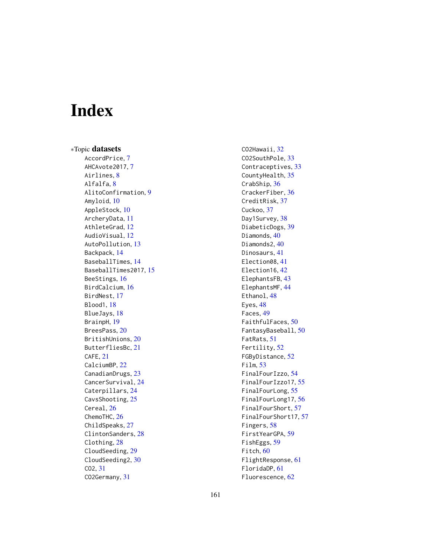# Index

∗Topic datasets AccordPrice, [7](#page-6-0) AHCAvote2017, [7](#page-6-0) Airlines, [8](#page-7-0) Alfalfa, [8](#page-7-0) AlitoConfirmation, [9](#page-8-0) Amyloid, [10](#page-9-0) AppleStock, [10](#page-9-0) ArcheryData, [11](#page-10-0) AthleteGrad, [12](#page-11-0) AudioVisual, [12](#page-11-0) AutoPollution, [13](#page-12-0) Backpack, [14](#page-13-0) BaseballTimes, [14](#page-13-0) BaseballTimes2017, [15](#page-14-0) BeeStings, [16](#page-15-0) BirdCalcium, [16](#page-15-0) BirdNest, [17](#page-16-0) Blood1, [18](#page-17-0) BlueJays, [18](#page-17-0) BrainpH, [19](#page-18-0) BreesPass, [20](#page-19-0) BritishUnions, [20](#page-19-0) ButterfliesBc, [21](#page-20-0) CAFE, [21](#page-20-0) CalciumBP, [22](#page-21-0) CanadianDrugs, [23](#page-22-0) CancerSurvival, [24](#page-23-0) Caterpillars, [24](#page-23-0) CavsShooting, [25](#page-24-0) Cereal, [26](#page-25-0) ChemoTHC, [26](#page-25-0) ChildSpeaks, [27](#page-26-0) ClintonSanders, [28](#page-27-0) Clothing, [28](#page-27-0) CloudSeeding, [29](#page-28-0) CloudSeeding2, [30](#page-29-0) CO2, [31](#page-30-0) CO2Germany, [31](#page-30-0)

CO2Hawaii, [32](#page-31-0) CO2SouthPole, [33](#page-32-0) Contraceptives, [33](#page-32-0) CountyHealth, [35](#page-34-0) CrabShip, [36](#page-35-0) CrackerFiber, [36](#page-35-0) CreditRisk, [37](#page-36-0) Cuckoo, [37](#page-36-0) Day1Survey, [38](#page-37-0) DiabeticDogs, [39](#page-38-0) Diamonds, [40](#page-39-0) Diamonds2, [40](#page-39-0) Dinosaurs, [41](#page-40-0) Election08, [41](#page-40-0) Election16, [42](#page-41-0) ElephantsFB, [43](#page-42-0) ElephantsMF, [44](#page-43-0) Ethanol, [48](#page-47-0) Eyes, [48](#page-47-0) Faces, [49](#page-48-0) FaithfulFaces, [50](#page-49-0) FantasyBaseball, [50](#page-49-0) FatRats, [51](#page-50-0) Fertility, [52](#page-51-0) FGByDistance, [52](#page-51-0) Film, [53](#page-52-0) FinalFourIzzo, [54](#page-53-0) FinalFourIzzo17, [55](#page-54-0) FinalFourLong, [55](#page-54-0) FinalFourLong17, [56](#page-55-0) FinalFourShort, [57](#page-56-0) FinalFourShort17, [57](#page-56-0) Fingers, [58](#page-57-0) FirstYearGPA, [59](#page-58-0) FishEggs, [59](#page-58-0) Fitch, [60](#page-59-0) FlightResponse, [61](#page-60-0) FloridaDP, [61](#page-60-0) Fluorescence, [62](#page-61-0)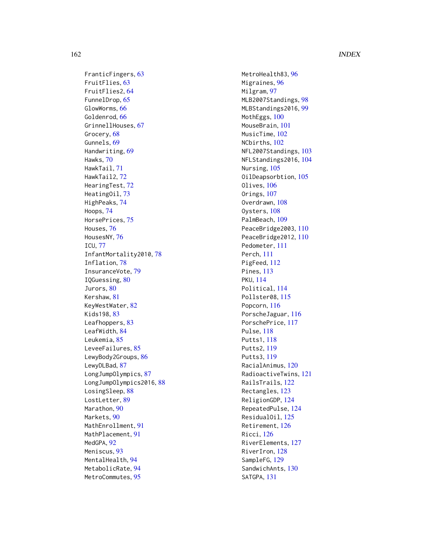162 INDEX

FranticFingers , [63](#page-62-0) FruitFlies , [63](#page-62-0) FruitFlies2 , [64](#page-63-0) FunnelDrop , [65](#page-64-0) GlowWorms, [66](#page-65-0) Goldenrod, [66](#page-65-0) GrinnellHouses , [67](#page-66-0) Grocery, [68](#page-67-0) Gunnels, [69](#page-68-0) Handwriting, [69](#page-68-0) Hawks , [70](#page-69-0) HawkTail , [71](#page-70-0) HawkTail2 , [72](#page-71-0) HearingTest, [72](#page-71-0) HeatingOil, [73](#page-72-0) HighPeaks , [74](#page-73-0) Hoops , [74](#page-73-0) HorsePrices , [75](#page-74-0) Houses , [76](#page-75-0) HousesNY, [76](#page-75-0) ICU , [77](#page-76-0) InfantMortality2010 , [78](#page-77-0) Inflation , [78](#page-77-0) InsuranceVote , [79](#page-78-0) IQGuessing , [80](#page-79-0) Jurors, [80](#page-79-0) Kershaw , [81](#page-80-0) KeyWestWater, <mark>[82](#page-81-0)</mark> Kids198, [83](#page-82-0) Leafhoppers, [83](#page-82-0) LeafWidth , [84](#page-83-0) Leukemia, [85](#page-84-0) LeveeFailures, [85](#page-84-0) LewyBody2Groups, [86](#page-85-0) LewyDLBad , [87](#page-86-0) LongJumpOlympics , [87](#page-86-0) LongJumpOlympics2016, [88](#page-87-0) LosingSleep, [88](#page-87-0) LostLetter , [89](#page-88-0) Marathon, [90](#page-89-0) Markets , [90](#page-89-0) MathEnrollment , [91](#page-90-0) MathPlacement, [91](#page-90-0) MedGPA, [92](#page-91-0) Meniscus, [93](#page-92-0) MentalHealth , [94](#page-93-0) MetabolicRate, [94](#page-93-0) MetroCommutes, [95](#page-94-0)

MetroHealth83, [96](#page-95-0) Migraines , [96](#page-95-0) Milgram, [97](#page-96-0) MLB2007Standings , [98](#page-97-0) MLBStandings2016 , [99](#page-98-0) MothEggs, [100](#page-99-0) MouseBrain, [101](#page-100-0) MusicTime, [102](#page-101-0) NCbirths , [102](#page-101-0) NFL2007Standings , [103](#page-102-0) NFLStandings2016 , [104](#page-103-0) Nursing, [105](#page-104-0) OilDeapsorbtion , [105](#page-104-0) Olives, [106](#page-105-0) Orings, [107](#page-106-0) Overdrawn, [108](#page-107-0) 0ysters,  $108$ PalmBeach, [109](#page-108-0) PeaceBridge2003,[110](#page-109-0) PeaceBridge2012,[110](#page-109-0) Pedometer , [111](#page-110-0) Perch , [111](#page-110-0) PigFeed, [112](#page-111-0) Pines, [113](#page-112-0) PKU , [114](#page-113-0) Political , [114](#page-113-0) Pollster08 , [115](#page-114-0) Popcorn, [116](#page-115-0) PorscheJaguar , [116](#page-115-0) PorschePrice , [117](#page-116-0) Pulse , [118](#page-117-0) Putts1 , [118](#page-117-0) Putts2 , [119](#page-118-0) Putts3 , [119](#page-118-0) RacialAnimus , [120](#page-119-0) RadioactiveTwins , [121](#page-120-0) RailsTrails , [122](#page-121-0) Rectangles , [123](#page-122-0) ReligionGDP , [124](#page-123-0) RepeatedPulse , [124](#page-123-0) ResidualOil,12<mark>5</mark> Retirement , [126](#page-125-0) Ricci, [126](#page-125-0) RiverElements , [127](#page-126-0) RiverIron, [128](#page-127-0) SampleFG, [129](#page-128-0) SandwichAnts, [130](#page-129-0) SATGPA , [131](#page-130-0)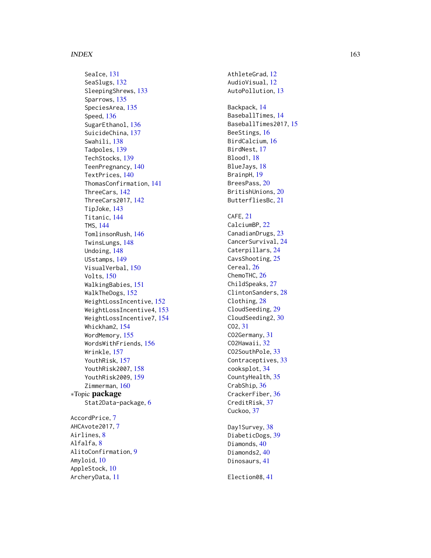#### $I\Lambda$  is a set of  $I\Lambda$  is a set of  $I\Lambda$  is a set of  $I\Lambda$  is a set of  $I\Lambda$  is a set of  $I\Lambda$

SeaIce, [131](#page-130-0) SeaSlugs , [132](#page-131-0) SleepingShrews , [133](#page-132-0) Sparrows, [135](#page-134-0) SpeciesArea, [135](#page-134-0) Speed , [136](#page-135-0) SugarEthanol, [136](#page-135-0) SuicideChina , [137](#page-136-0) Swahili, [138](#page-137-0) Tadpoles , [139](#page-138-0) TechStocks , [139](#page-138-0) TeenPregnancy , [140](#page-139-0) TextPrices , [140](#page-139-0) ThomasConfirmation , [141](#page-140-0) ThreeCars , [142](#page-141-0) ThreeCars2017 , [142](#page-141-0) TipJoke , [143](#page-142-0) Titanic , [144](#page-143-0) TMS , [144](#page-143-0) TomlinsonRush , [146](#page-145-0) TwinsLungs , [148](#page-147-0) Undoing , [148](#page-147-0) USstamps , [149](#page-148-0) VisualVerbal, [150](#page-149-0) Volts , [150](#page-149-0) WalkingBabies , [151](#page-150-0) WalkTheDogs, [152](#page-151-0) WeightLossIncentive, [152](#page-151-0) WeightLossIncentive4 , [153](#page-152-0) WeightLossIncentive7 , [154](#page-153-0) Whickham2 , [154](#page-153-0) WordMemory , [155](#page-154-0) WordsWithFriends , [156](#page-155-0) Wrinkle , [157](#page-156-0) YouthRisk , [157](#page-156-0) YouthRisk2007 , [158](#page-157-0) YouthRisk2009 , [159](#page-158-0) Zimmerman, [160](#page-159-0) ∗Topic package Stat2Data-package, [6](#page-5-0) AccordPrice, [7](#page-6-0) AHCAvote201[7](#page-6-0),7 Airlines, [8](#page-7-0) Alfalfa, <mark>[8](#page-7-0)</mark> AlitoConfirmation, [9](#page-8-0) Amyloid , [10](#page-9-0) AppleStock , [10](#page-9-0) ArcheryData , [11](#page-10-0)

AthleteGrad , [12](#page-11-0) AudioVisual, [12](#page-11-0) AutoPollution , [13](#page-12-0) Backpack , [14](#page-13-0) BaseballTimes, [14](#page-13-0) BaseballTimes2017 , [15](#page-14-0) BeeStings, [16](#page-15-0) BirdCalcium, 1<mark>6</mark> BirdNest , [17](#page-16-0) Blood1 , [18](#page-17-0) BlueJays , [18](#page-17-0) BrainpH , [19](#page-18-0) BreesPass , [20](#page-19-0) BritishUnions , [20](#page-19-0) ButterfliesBc , [21](#page-20-0) CAFE , [21](#page-20-0) CalciumBP , [22](#page-21-0) CanadianDrugs, [23](#page-22-0) CancerSurvival , [24](#page-23-0) Caterpillars , [24](#page-23-0) CavsShooting, [25](#page-24-0) Cereal, [26](#page-25-0) ChemoTHC, [26](#page-25-0) ChildSpeaks, [27](#page-26-0) ClintonSanders , [28](#page-27-0) Clothing, [28](#page-27-0) CloudSeeding, [29](#page-28-0) CloudSeeding2, [30](#page-29-0) CO2 , [31](#page-30-0) CO2Germany , [31](#page-30-0) CO2Hawaii, [32](#page-31-0) CO2SouthPole, [33](#page-32-0) Contraceptives, [33](#page-32-0) cooksplot , [34](#page-33-0) CountyHealth, [35](#page-34-0) CrabShip, [36](#page-35-0) CrackerFiber, [36](#page-35-0) CreditRisk , [37](#page-36-0) Cuckoo, [37](#page-36-0) Day1Survey, [38](#page-37-0) DiabeticDogs , [39](#page-38-0) Diamonds, [40](#page-39-0) Diamonds2,[40](#page-39-0) Dinosaurs , [41](#page-40-0)

Election08 , [41](#page-40-0)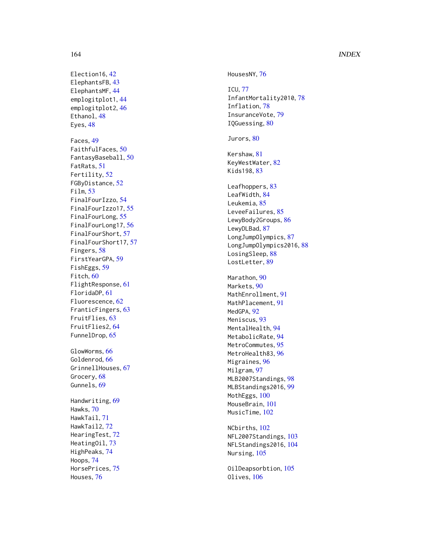# 164 INDEX

Election16, [42](#page-41-0) ElephantsFB, [43](#page-42-0) ElephantsMF, [44](#page-43-0) emplogitplot1, [44](#page-43-0) emplogitplot2, [46](#page-45-0) Ethanol, [48](#page-47-0) Eyes, [48](#page-47-0) Faces , [49](#page-48-0) FaithfulFaces , [50](#page-49-0) FantasyBaseball , [50](#page-49-0) FatRats , [51](#page-50-0) Fertility , [52](#page-51-0) FGByDistance , [52](#page-51-0) Film , [53](#page-52-0) FinalFourIzzo , [54](#page-53-0) FinalFourIzzo17 , [55](#page-54-0) FinalFourLong, [55](#page-54-0) FinalFourLong17, [56](#page-55-0) FinalFourShort , [57](#page-56-0) FinalFourShort17 , [57](#page-56-0) Fingers, [58](#page-57-0) FirstYearGPA, <mark>[59](#page-58-0)</mark> FishEggs, [59](#page-58-0) Fitch, [60](#page-59-0) FlightResponse , [61](#page-60-0) FloridaDP , [61](#page-60-0) Fluorescence , [62](#page-61-0) FranticFingers , [63](#page-62-0) FruitFlies , [63](#page-62-0) FruitFlies2 , [64](#page-63-0) FunnelDrop , [65](#page-64-0) GlowWorms, [66](#page-65-0) Goldenrod, [66](#page-65-0) GrinnellHouses , [67](#page-66-0) Grocery, [68](#page-67-0) Gunnels, [69](#page-68-0) Handwriting , [69](#page-68-0) Hawks , [70](#page-69-0) HawkTail , [71](#page-70-0) HawkTail2 , [72](#page-71-0) HearingTest , [72](#page-71-0) HeatingOil, [73](#page-72-0) HighPeaks , [74](#page-73-0) Hoops , [74](#page-73-0) HorsePrices , [75](#page-74-0) Houses , [76](#page-75-0)

HousesNY, [76](#page-75-0) ICU , [77](#page-76-0) InfantMortality2010 , [78](#page-77-0) Inflation , [78](#page-77-0) InsuranceVote, [79](#page-78-0) IQGuessing, [80](#page-79-0) Jurors,  $80$ Kershaw , [81](#page-80-0) KeyWestWater, <mark>[82](#page-81-0)</mark> Kids198, <mark>[83](#page-82-0)</mark> Leafhoppers, [83](#page-82-0) LeafWidth, [84](#page-83-0) Leukemia, [85](#page-84-0) LeveeFailures, [85](#page-84-0) LewyBody2Groups, [86](#page-85-0) LewyDLBad, [87](#page-86-0) LongJumpOlympics , [87](#page-86-0) LongJumpOlympics2016,[88](#page-87-0) LosingSleep, [88](#page-87-0) LostLetter, [89](#page-88-0) Marathon, [90](#page-89-0) Markets, <mark>9</mark>0 MathEnrollment , [91](#page-90-0) MathPlacement , [91](#page-90-0) MedGPA, <mark>[92](#page-91-0)</mark> Meniscus , [93](#page-92-0) MentalHealth, [94](#page-93-0) MetabolicRate, [94](#page-93-0) MetroCommutes, [95](#page-94-0) MetroHealth83, [96](#page-95-0) Migraines , [96](#page-95-0) Milgram , [97](#page-96-0) MLB2007Standings , [98](#page-97-0) MLBStandings2016 , [99](#page-98-0) MothEggs, [100](#page-99-0) MouseBrain, [101](#page-100-0) MusicTime, [102](#page-101-0) NCbirths , [102](#page-101-0) NFL2007Standings , [103](#page-102-0) NFLStandings2016 , [104](#page-103-0)

OilDeapsorbtion , [105](#page-104-0) Olives, [106](#page-105-0)

Nursing, [105](#page-104-0)